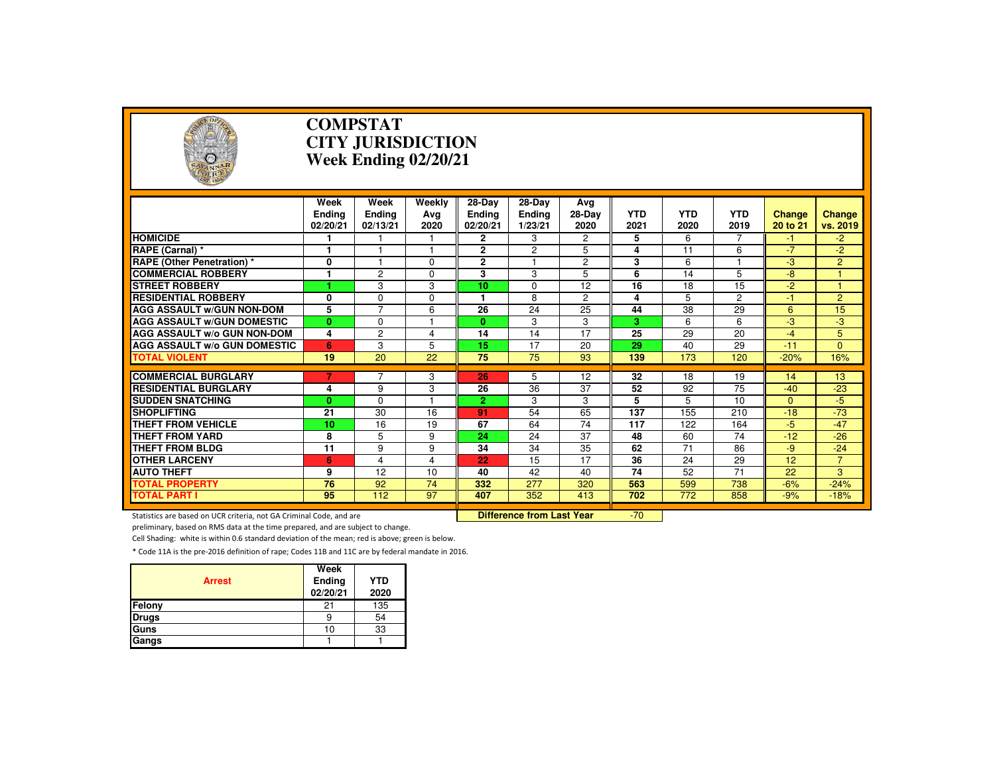

#### **COMPSTAT CITY JURISDICTIONWeek Ending 02/20/21**

|                                                                     | Week                      | Week               | Weekly                           | $28-Dav$                  | 28-Day            | Ava                  | <b>YTD</b>      | <b>YTD</b> | <b>YTD</b>      |                           |                           |
|---------------------------------------------------------------------|---------------------------|--------------------|----------------------------------|---------------------------|-------------------|----------------------|-----------------|------------|-----------------|---------------------------|---------------------------|
|                                                                     | <b>Endina</b><br>02/20/21 | Endina<br>02/13/21 | Ava<br>2020                      | <b>Ending</b><br>02/20/21 | Ending<br>1/23/21 | 28-Dav<br>2020       | 2021            | 2020       | 2019            | <b>Change</b><br>20 to 21 | <b>Change</b><br>vs. 2019 |
| <b>HOMICIDE</b>                                                     |                           |                    |                                  | $\mathbf{2}$              | 3                 | $\mathbf{2}^{\circ}$ | 5               | 6          | $\overline{7}$  | $-1$                      | $-2$                      |
| RAPE (Carnal) *                                                     |                           |                    |                                  | $\overline{2}$            | $\overline{c}$    | 5                    | 4               | 11         | 6               | $-7$                      | $-2$                      |
| <b>RAPE (Other Penetration) *</b>                                   | $\mathbf 0$               |                    | $\Omega$                         | $\overline{2}$            |                   | $\overline{2}$       | 3               | 6          |                 | $-3$                      | $\overline{2}$            |
| <b>COMMERCIAL ROBBERY</b>                                           | 1                         | $\overline{2}$     | $\Omega$                         | 3                         | 3                 | 5                    | 6               | 14         | 5               | $-8$                      |                           |
| <b>STREET ROBBERY</b>                                               | ٠                         | 3                  | 3                                | 10                        | $\Omega$          | 12                   | 16              | 18         | 15              | $-2$                      |                           |
| <b>RESIDENTIAL ROBBERY</b>                                          | $\mathbf 0$               | $\Omega$           | $\Omega$                         |                           | 8                 | $\overline{2}$       | 4               | 5          | $\overline{2}$  | $-1$                      | $\overline{2}$            |
| <b>AGG ASSAULT w/GUN NON-DOM</b>                                    | 5                         | $\overline{7}$     | 6                                | 26                        | 24                | 25                   | 44              | 38         | 29              | 6                         | 15                        |
| <b>AGG ASSAULT w/GUN DOMESTIC</b>                                   | $\bf{0}$                  | $\Omega$           |                                  | 0                         | 3                 | 3                    | 3               | 6          | 6               | $-3$                      | $-3$                      |
| <b>AGG ASSAULT w/o GUN NON-DOM</b>                                  | 4                         | $\overline{2}$     | 4                                | $\overline{14}$           | 14                | 17                   | $\overline{25}$ | 29         | $\overline{20}$ | $-4$                      | 5                         |
| <b>AGG ASSAULT w/o GUN DOMESTIC</b>                                 | 6                         | 3                  | 5                                | 15                        | 17                | 20                   | 29              | 40         | 29              | $-11$                     | $\Omega$                  |
| <b>TOTAL VIOLENT</b>                                                | 19                        | 20                 | 22                               | 75                        | 75                | 93                   | 139             | 173        | 120             | $-20%$                    | 16%                       |
|                                                                     |                           | $\overline{7}$     |                                  |                           |                   |                      |                 |            |                 |                           |                           |
| <b>COMMERCIAL BURGLARY</b>                                          | 7                         |                    | 3                                | 26                        | 5                 | 12                   | 32              | 18         | 19              | 14                        | 13                        |
| <b>RESIDENTIAL BURGLARY</b>                                         | 4                         | 9                  | 3                                | 26                        | $\overline{36}$   | 37                   | 52              | 92         | 75              | $-40$                     | $-23$                     |
| <b>SUDDEN SNATCHING</b>                                             | $\bf{0}$                  | $\Omega$           |                                  | $\overline{2}$            | 3                 | 3                    | 5               | 5          | 10              | $\Omega$                  | $-5$                      |
| <b>SHOPLIFTING</b>                                                  | 21                        | 30                 | 16                               | 91                        | 54                | 65                   | 137             | 155        | 210             | $-18$                     | $-73$                     |
| THEFT FROM VEHICLE                                                  | 10                        | 16                 | 19                               | 67                        | 64                | 74                   | 117             | 122        | 164             | $-5$                      | $-47$                     |
| <b>THEFT FROM YARD</b>                                              | 8                         | 5                  | 9                                | 24                        | 24                | $\overline{37}$      | 48              | 60         | $\overline{74}$ | $-12$                     | $-26$                     |
| THEFT FROM BLDG                                                     | 11                        | 9                  | 9                                | 34                        | 34                | 35                   | 62              | 71         | 86              | $-9$                      | $-24$                     |
| <b>OTHER LARCENY</b>                                                | 6                         | $\overline{4}$     | 4                                | 22                        | 15                | 17                   | 36              | 24         | 29              | 12                        | $\overline{7}$            |
| <b>AUTO THEFT</b>                                                   | 9                         | $\overline{12}$    | 10                               | 40                        | 42                | 40                   | $\overline{74}$ | 52         | $\overline{71}$ | 22                        | 3                         |
| <b>TOTAL PROPERTY</b>                                               | 76                        | 92                 | 74                               | 332                       | 277               | 320                  | 563             | 599        | 738             | $-6%$                     | $-24%$                    |
| <b>TOTAL PART I</b>                                                 | 95                        | 112                | 97                               | 407                       | 352               | 413                  | 702             | 772        | 858             | $-9%$                     | $-18%$                    |
| Statistics are based on UCR criteria, not GA Criminal Code, and are |                           |                    | <b>Difference from Last Year</b> |                           | $-70$             |                      |                 |            |                 |                           |                           |

Statistics are based on UCR criteria, not GA Criminal Code, and are **Difference from Last Year** 

preliminary, based on RMS data at the time prepared, and are subject to change.

Cell Shading: white is within 0.6 standard deviation of the mean; red is above; green is below.

| <b>Arrest</b> | Week<br>Ending<br>02/20/21 | <b>YTD</b><br>2020 |
|---------------|----------------------------|--------------------|
| Felony        | ᠀                          | 135                |
| <b>Drugs</b>  |                            | 54                 |
| Guns          | 10                         | 33                 |
| Gangs         |                            |                    |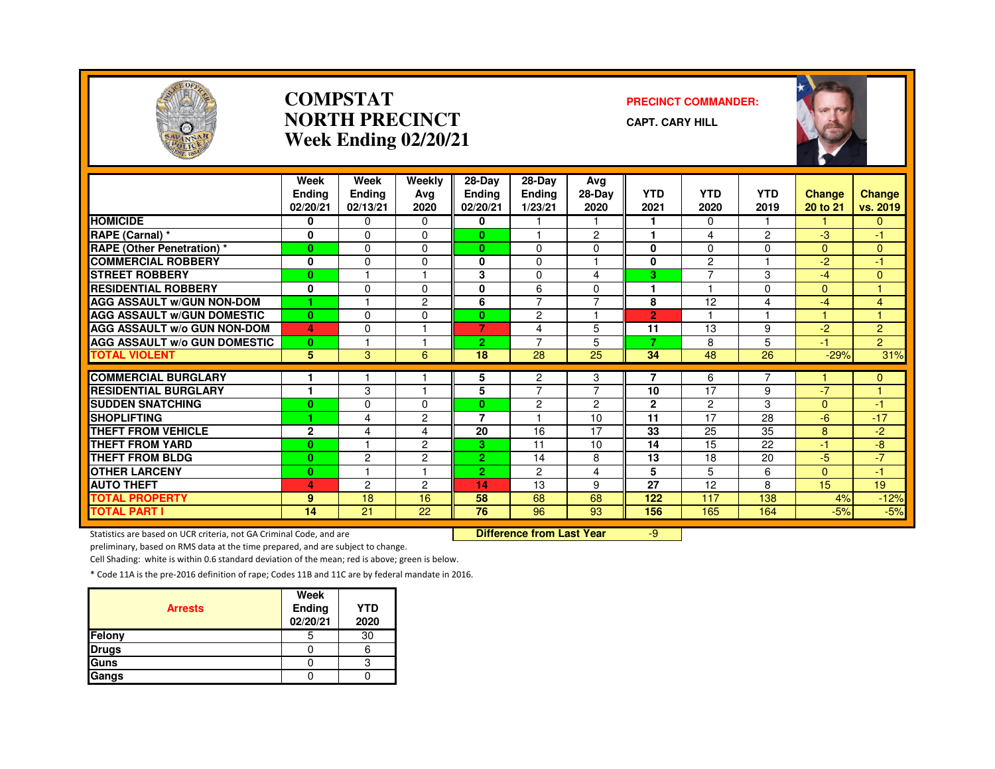

#### **COMPSTATNORTH PRECINCTWeek Ending 02/20/21**

#### **PRECINCT COMMANDER:**

**CAPT. CARY HILL**



|                                     | Week<br><b>Endina</b><br>02/20/21 | Week<br><b>Ending</b><br>02/13/21 | Weekly<br>Avg<br>2020 | $28 - Day$<br><b>Ending</b><br>02/20/21 | 28-Day<br><b>Ending</b><br>1/23/21 | Avg<br>28-Day<br>2020   | <b>YTD</b><br>2021 | <b>YTD</b><br>2020 | <b>YTD</b><br>2019 | Change<br>20 to 21 | Change<br>vs. 2019 |
|-------------------------------------|-----------------------------------|-----------------------------------|-----------------------|-----------------------------------------|------------------------------------|-------------------------|--------------------|--------------------|--------------------|--------------------|--------------------|
| <b>HOMICIDE</b>                     | 0                                 | $\Omega$                          | $\Omega$              | 0                                       |                                    |                         |                    | $\Omega$           |                    |                    | $\Omega$           |
| RAPE (Carnal) *                     | $\mathbf{0}$                      | $\Omega$                          | 0                     | 0                                       |                                    | $\overline{c}$          | н                  | 4                  | $\overline{2}$     | $-3$               | $-1$               |
| <b>RAPE (Other Penetration) *</b>   | $\bf{0}$                          | $\Omega$                          | $\Omega$              | $\bf{0}$                                | $\Omega$                           | 0                       | $\bf{0}$           | $\Omega$           | $\Omega$           | $\Omega$           | $\Omega$           |
| <b>COMMERCIAL ROBBERY</b>           | $\mathbf{0}$                      | $\Omega$                          | 0                     | 0                                       | $\Omega$                           |                         | 0                  | $\overline{c}$     |                    | $-2$               | -1                 |
| <b>STREET ROBBERY</b>               | $\bf{0}$                          |                                   |                       | 3                                       | $\Omega$                           | 4                       | 3                  | 7                  | 3                  | $-4$               | $\Omega$           |
| <b>RESIDENTIAL ROBBERY</b>          | $\mathbf{0}$                      | $\Omega$                          | 0                     | 0                                       | 6                                  | 0                       | ٠                  |                    | $\Omega$           | $\Omega$           | и                  |
| <b>AGG ASSAULT W/GUN NON-DOM</b>    | 1                                 |                                   | 2                     | 6                                       | $\overline{7}$                     | $\overline{7}$          | 8                  | 12                 | 4                  | $-4$               | 4                  |
| <b>AGG ASSAULT W/GUN DOMESTIC</b>   | $\mathbf{0}$                      | $\Omega$                          | $\Omega$              | 0                                       | $\overline{2}$                     | $\overline{\mathbf{1}}$ | $\overline{2}$     |                    |                    | 4.                 | 4                  |
| <b>AGG ASSAULT W/o GUN NON-DOM</b>  | 4                                 | 0                                 |                       | $\overline{7}$                          | 4                                  | 5                       | 11                 | 13                 | 9                  | $-2$               | $\overline{2}$     |
| <b>AGG ASSAULT W/o GUN DOMESTIC</b> | $\bf{0}$                          |                                   |                       | 2.                                      | 7                                  | 5                       | 7                  | 8                  | 5                  | -17                | $\overline{2}$     |
| <b>TOTAL VIOLENT</b>                | 5                                 | 3                                 | 6                     | 18                                      | 28                                 | 25                      | 34                 | 48                 | 26                 | $-29%$             | 31%                |
|                                     |                                   |                                   |                       |                                         |                                    |                         |                    |                    |                    |                    |                    |
| <b>COMMERCIAL BURGLARY</b>          |                                   |                                   |                       | 5                                       | 2                                  | 3                       | 7                  | 6                  |                    |                    | 0                  |
| <b>RESIDENTIAL BURGLARY</b>         | и                                 | 3                                 | $\overline{1}$        | 5                                       | $\overline{7}$                     | $\overline{7}$          | 10                 | 17                 | 9                  | $-7$               | H                  |
| <b>SUDDEN SNATCHING</b>             | $\bf{0}$                          | 0                                 | 0                     | 0                                       | 2                                  | 2                       | $\mathbf{2}$       | $\overline{c}$     | 3                  | $\Omega$           | -1                 |
| <b>SHOPLIFTING</b>                  | 1                                 | 4                                 | 2                     | $\overline{7}$                          |                                    | 10                      | 11                 | 17                 | 28                 | -6                 | $-17$              |
| <b>THEFT FROM VEHICLE</b>           | $\mathbf{2}$                      | 4                                 | 4                     | 20                                      | 16                                 | 17                      | 33                 | 25                 | 35                 | 8                  | $-2$               |
| <b>THEFT FROM YARD</b>              | $\mathbf{0}$                      |                                   | 2                     | 3                                       | 11                                 | 10                      | 14                 | 15                 | 22                 | $\bullet$          | $-8$               |
| <b>THEFT FROM BLDG</b>              | $\bf{0}$                          | $\overline{c}$                    | $\overline{2}$        | $\overline{2}$                          | 14                                 | 8                       | 13                 | 18                 | 20                 | $-5$               | $-7$               |
| <b>OTHER LARCENY</b>                | $\bf{0}$                          |                                   |                       | $\overline{2}$                          | $\overline{c}$                     | 4                       | 5                  | 5                  | 6                  | $\Omega$           | -1                 |
| <b>AUTO THEFT</b>                   | 4                                 | $\overline{c}$                    | 2                     | 14                                      | 13                                 | 9                       | $\overline{27}$    | 12                 | 8                  | 15                 | 19                 |
| <b>TOTAL PROPERTY</b>               | 9                                 | 18                                | 16                    | 58                                      | 68                                 | 68                      | 122                | 117                | 138                | 4%                 | $-12%$             |
| <b>TOTAL PART I</b>                 | 14                                | $\overline{21}$                   | 22                    | $\overline{76}$                         | 96                                 | 93                      | 156                | 165                | 164                | $-5%$              | $-5%$              |

Statistics are based on UCR criteria, not GA Criminal Code, and are **Difference from Last Year** 

-9

preliminary, based on RMS data at the time prepared, and are subject to change.

Cell Shading: white is within 0.6 standard deviation of the mean; red is above; green is below.

| <b>Arrests</b> | Week<br><b>Ending</b><br>02/20/21 | <b>YTD</b><br>2020 |
|----------------|-----------------------------------|--------------------|
| Felony         |                                   | 30                 |
| <b>Drugs</b>   |                                   |                    |
| Guns           |                                   |                    |
| Gangs          |                                   |                    |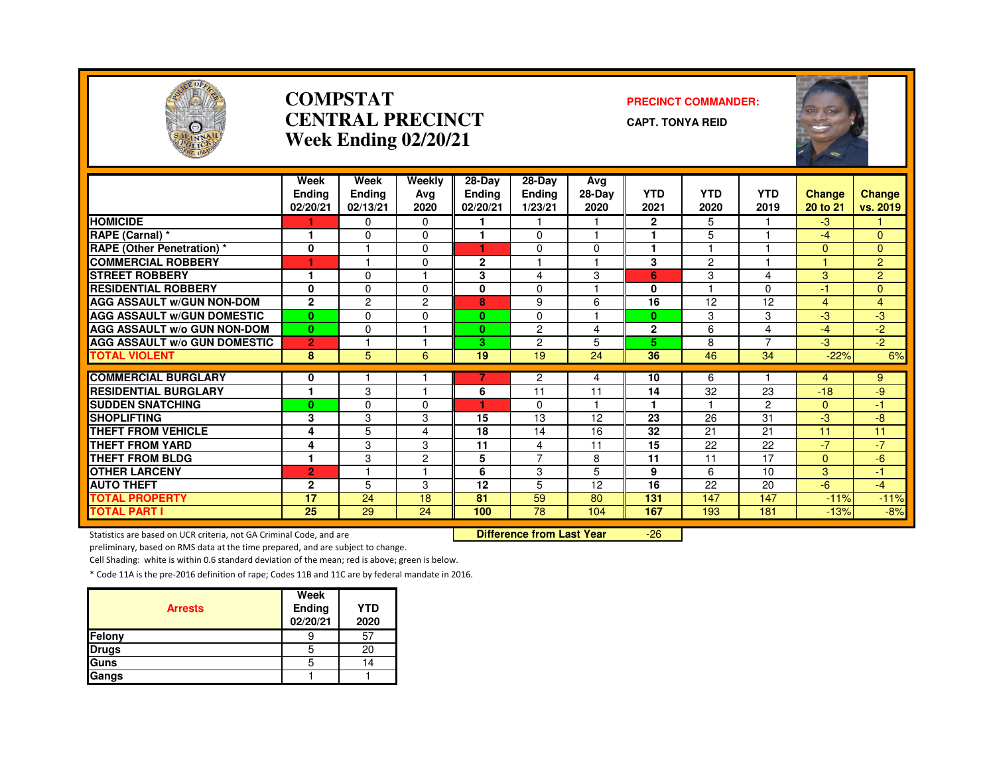

#### **COMPSTATCENTRAL PRECINCTWeek Ending 02/20/21**

#### **PRECINCT COMMANDER:**

**CAPT. TONYA REID**



|                                     | Week<br><b>Ending</b> | Week<br><b>Ending</b> | Weekly<br>Avg  | 28-Day<br><b>Ending</b> | $28-Dav$<br><b>Ending</b> | Avg<br>28-Day | <b>YTD</b>   | <b>YTD</b>              | <b>YTD</b>               | Change       | Change         |
|-------------------------------------|-----------------------|-----------------------|----------------|-------------------------|---------------------------|---------------|--------------|-------------------------|--------------------------|--------------|----------------|
|                                     | 02/20/21              | 02/13/21              | 2020           | 02/20/21                | 1/23/21                   | 2020          | 2021         | 2020                    | 2019                     | 20 to 21     | vs. 2019       |
| <b>HOMICIDE</b>                     |                       | $\Omega$              | $\Omega$       |                         |                           |               | $\mathbf{2}$ | 5                       |                          | $-3$         |                |
| RAPE (Carnal) *                     |                       | $\Omega$              | $\Omega$       |                         | $\Omega$                  |               |              | 5                       |                          | $-4$         | $\Omega$       |
| <b>RAPE (Other Penetration) *</b>   | 0                     |                       | $\Omega$       |                         | 0                         | 0             | н            |                         |                          | 0            | 0              |
| <b>COMMERCIAL ROBBERY</b>           | ۴                     |                       | $\Omega$       | $\mathbf{2}$            |                           |               | 3            | $\overline{c}$          |                          |              | $\overline{2}$ |
| <b>STREET ROBBERY</b>               | м                     | $\mathbf 0$           |                | 3                       | 4                         | 3             | 6            | 3                       | 4                        | 3            | $\overline{2}$ |
| <b>RESIDENTIAL ROBBERY</b>          | $\bf{0}$              | $\Omega$              | $\Omega$       | 0                       | $\mathbf 0$               |               | $\mathbf{0}$ | $\overline{\mathbf{1}}$ | 0                        | $-1$         | $\overline{0}$ |
| <b>AGG ASSAULT W/GUN NON-DOM</b>    | $\mathbf{2}$          | $\overline{c}$        | $\overline{2}$ | 8                       | 9                         | 6             | 16           | 12                      | 12                       | 4            | $\overline{4}$ |
| <b>AGG ASSAULT W/GUN DOMESTIC</b>   | $\bf{0}$              | $\Omega$              | $\Omega$       | $\mathbf{0}$            | $\Omega$                  |               | $\mathbf{0}$ | 3                       | 3                        | -3           | -3             |
| <b>AGG ASSAULT W/o GUN NON-DOM</b>  | $\mathbf{0}$          | $\Omega$              |                | $\mathbf{0}$            | 2                         | 4             | $\mathbf{2}$ | 6                       | 4                        | $-4$         | $-2$           |
| <b>AGG ASSAULT W/o GUN DOMESTIC</b> | $\overline{2}$        |                       |                | 3.                      | $\overline{c}$            | 5             | 5            | 8                       | $\overline{\phantom{0}}$ | $-3$         | $-2$           |
| <b>TOTAL VIOLENT</b>                | 8                     | 5                     | 6              | 19                      | 19                        | 24            | 36           | 46                      | 34                       | $-22%$       | 6%             |
|                                     |                       |                       |                |                         |                           |               |              |                         |                          |              |                |
| <b>COMMERCIAL BURGLARY</b>          | 0                     |                       |                | 7                       | 2                         | 4             | 10           | 6                       |                          | 4            | 9              |
| <b>RESIDENTIAL BURGLARY</b>         |                       | 3                     |                | 6                       | 11                        | 11            | 14           | 32                      | 23                       | $-18$        | -9             |
| <b>SUDDEN SNATCHING</b>             | $\bf{0}$              | $\Omega$              | $\Omega$       |                         | $\Omega$                  |               |              |                         | $\overline{c}$           | $\Omega$     | -1             |
| <b>SHOPLIFTING</b>                  | 3                     | 3                     | 3              | 15                      | 13                        | 12            | 23           | 26                      | 31                       | $-3$         | $-8$           |
| <b>THEFT FROM VEHICLE</b>           | 4                     | 5                     | 4              | 18                      | 14                        | 16            | 32           | 21                      | 21                       | 11           | 11             |
| <b>THEFT FROM YARD</b>              | 4                     | 3                     | 3              | 11                      | 4                         | 11            | 15           | 22                      | 22                       | $-7$         | $-7$           |
| <b>THEFT FROM BLDG</b>              | ۴                     | 3                     | $\mathbf{2}$   | 5                       | $\overline{7}$            | 8             | 11           | 11                      | 17                       | $\mathbf{0}$ | $-6$           |
| <b>OTHER LARCENY</b>                | $\overline{2}$        |                       |                | 6                       | 3                         | 5             | 9            | 6                       | 10                       | 3            | -1.            |
| <b>AUTO THEFT</b>                   | $\mathbf{2}$          | 5                     | 3              | 12                      | 5                         | 12            | 16           | 22                      | 20                       | $-6$         | $-4$           |
| TOTAL PROPERTY                      | 17                    | 24                    | 18             | 81                      | 59                        | 80            | 131          | 147                     | 147                      | $-11%$       | $-11%$         |
| <b>TOTAL PART I</b>                 | 25                    | 29                    | 24             | 100                     | 78                        | 104           | 167          | 193                     | 181                      | $-13%$       | $-8%$          |

Statistics are based on UCR criteria, not GA Criminal Code, and are **Difference from Last Year** 

-26

preliminary, based on RMS data at the time prepared, and are subject to change.

Cell Shading: white is within 0.6 standard deviation of the mean; red is above; green is below.

| <b>Arrests</b> | Week<br>Ending<br>02/20/21 | <b>YTD</b><br>2020 |
|----------------|----------------------------|--------------------|
| Felony         |                            | 57                 |
| <b>Drugs</b>   | 5                          | 20                 |
| Guns           | 5                          | 14                 |
| Gangs          |                            |                    |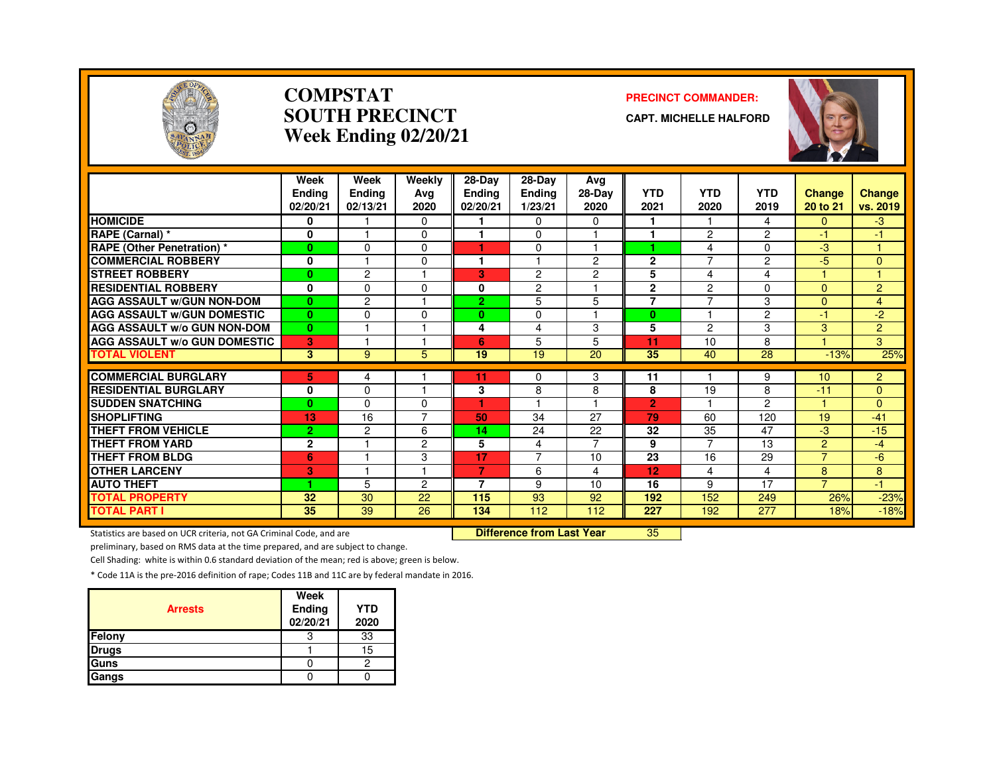

#### **COMPSTATSOUTH PRECINCTWeek Ending 02/20/21**

#### **PRECINCT COMMANDER:**

**CAPT. MICHELLE HALFORD**



|                                                           | Week<br>Endina<br>02/20/21     | Week<br><b>Ending</b><br>02/13/21 | Weekly<br>Avg<br>2020 | 28-Day<br><b>Ending</b><br>02/20/21 | $28-Dav$<br><b>Endina</b><br>1/23/21 | Avg<br>28-Day<br>2020 | <b>YTD</b><br>2021   | <b>YTD</b><br>2020 | <b>YTD</b><br>2019 | <b>Change</b><br>20 to 21 | <b>Change</b><br>vs. 2019 |
|-----------------------------------------------------------|--------------------------------|-----------------------------------|-----------------------|-------------------------------------|--------------------------------------|-----------------------|----------------------|--------------------|--------------------|---------------------------|---------------------------|
| <b>HOMICIDE</b>                                           | 0                              |                                   | $\Omega$              |                                     | $\Omega$                             | $\Omega$              | 1                    | 1                  | 4                  | $\Omega$                  | -3                        |
| RAPE (Carnal) *                                           | 0                              |                                   | 0                     |                                     | $\Omega$                             |                       | 1                    | $\overline{c}$     | $\overline{2}$     | $-1$                      | -1                        |
| <b>RAPE</b> (Other Penetration) *                         | $\bf{0}$                       | $\Omega$                          | 0                     | ٠                                   | $\Omega$                             |                       |                      | 4                  | $\Omega$           | -3                        |                           |
| <b>COMMERCIAL ROBBERY</b>                                 | 0                              |                                   | $\Omega$              |                                     |                                      | $\overline{c}$        | $\mathbf{2}$         | 7                  | 2                  | -5                        | $\mathbf{0}$              |
| <b>STREET ROBBERY</b>                                     | $\bf{0}$                       | $\overline{2}$                    |                       | G.                                  | $\overline{c}$                       | $\overline{c}$        | 5                    | 4                  | 4                  |                           |                           |
| <b>RESIDENTIAL ROBBERY</b>                                | $\mathbf{0}$                   | $\mathbf{0}$                      | O                     | 0                                   | 2                                    |                       | $\overline{2}$       | 2                  | 0                  | $\Omega$                  | $\overline{2}$            |
| <b>AGG ASSAULT W/GUN NON-DOM</b>                          | $\mathbf{0}$                   | $\overline{c}$                    |                       | $\overline{2}$                      | 5                                    | 5                     | $\overline{7}$       | $\overline{ }$     | 3                  | $\mathbf{0}$              | $\overline{4}$            |
| <b>AGG ASSAULT W/GUN DOMESTIC</b>                         | $\mathbf{0}$                   | $\Omega$                          | $\Omega$              | 0                                   | $\Omega$                             | м                     | $\bf{0}$             | ٠                  | $\overline{2}$     | $-1$                      | $-2$                      |
| <b>AGG ASSAULT W/o GUN NON-DOM</b>                        | $\bf{0}$                       |                                   |                       | 4                                   | 4                                    | 3                     | 5                    | 2                  | 3                  | 3                         | $\overline{2}$            |
| <b>AGG ASSAULT W/o GUN DOMESTIC</b>                       | 3                              |                                   |                       | 6                                   | 5                                    | 5                     | 11                   | 10                 | 8                  |                           | 3                         |
| <b>TOTAL VIOLENT</b>                                      | 3                              | 9                                 | 5                     | 19                                  | 19                                   | 20                    | 35                   | 40                 | 28                 | $-13%$                    | 25%                       |
|                                                           |                                |                                   |                       |                                     |                                      |                       |                      |                    |                    |                           |                           |
| <b>COMMERCIAL BURGLARY</b><br><b>RESIDENTIAL BURGLARY</b> | 5                              | 4<br>$\Omega$                     |                       | 11                                  | 0                                    | 3                     | 11<br>8              | 19                 | 9<br>8             | 10<br>$-11$               | $\overline{2}$            |
|                                                           | 0                              |                                   |                       | 3                                   | 8                                    | 8                     |                      |                    |                    |                           | $\Omega$                  |
| <b>SUDDEN SNATCHING</b><br><b>SHOPLIFTING</b>             | $\bf{0}$                       | $\Omega$<br>16                    | 0<br>7                | 50                                  | 34                                   | 27                    | $\overline{2}$<br>79 | 60                 | 2<br>120           | 19                        | $\mathbf{0}$<br>$-41$     |
|                                                           | 13                             |                                   |                       |                                     |                                      |                       |                      |                    |                    |                           |                           |
| <b>THEFT FROM VEHICLE</b><br><b>THEFT FROM YARD</b>       | $\overline{2}$<br>$\mathbf{2}$ | 2                                 | 6                     | 14                                  | 24                                   | 22<br>$\overline{7}$  | 32<br>9              | 35<br>7            | 47<br>13           | -3<br>2                   | $-15$<br>$-4$             |
| <b>THEFT FROM BLDG</b>                                    |                                |                                   | 2                     | 5<br>17                             | 4<br>7                               |                       | 23                   |                    |                    | $\overline{7}$            |                           |
|                                                           | 6                              | м                                 | 3                     | 7                                   |                                      | 10                    |                      | 16                 | 29                 |                           | -6                        |
| <b>OTHER LARCENY</b>                                      | 3                              |                                   |                       |                                     | 6                                    | 4                     | 12                   | 4                  | 4                  | 8                         | 8                         |
| <b>AUTO THEFT</b>                                         | 1                              | 5                                 | 2                     | 7                                   | 9                                    | 10                    | 16                   | 9                  | 17                 | $\overline{7}$            | -1                        |
| <b>TOTAL PROPERTY</b>                                     | 32                             | 30                                | 22                    | 115                                 | 93                                   | 92                    | 192                  | 152                | 249                | 26%                       | $-23%$                    |
| <b>TOTAL PART I</b>                                       | 35                             | 39                                | 26                    | 134                                 | 112                                  | 112                   | 227                  | 192                | 277                | 18%                       | $-18%$                    |

Statistics are based on UCR criteria, not GA Criminal Code, and are **Difference from Last Year** 

<sup>35</sup>

preliminary, based on RMS data at the time prepared, and are subject to change.

Cell Shading: white is within 0.6 standard deviation of the mean; red is above; green is below.

| <b>Arrests</b> | Week<br>Ending<br>02/20/21 | <b>YTD</b><br>2020 |
|----------------|----------------------------|--------------------|
| Felony         |                            | 33                 |
| <b>Drugs</b>   |                            | 15                 |
| Guns           |                            |                    |
| Gangs          |                            |                    |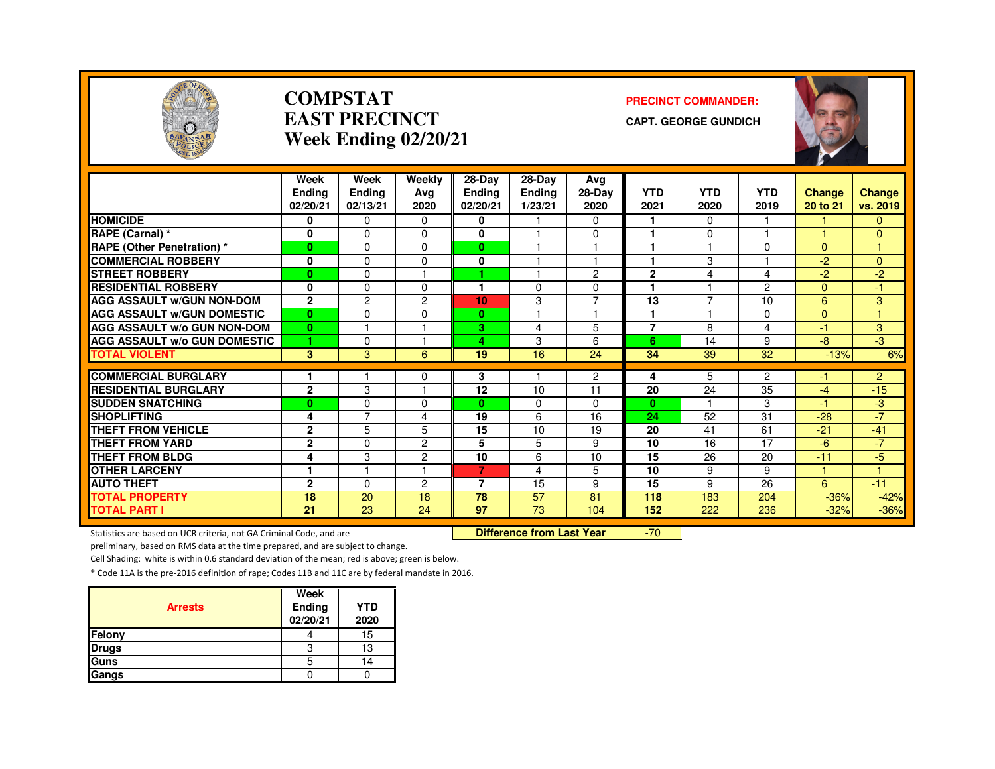

#### **COMPSTATEAST PRECINCTWeek Ending 02/20/21**

#### **PRECINCT COMMANDER:**

**CAPT. GEORGE GUNDICH**



|                                              | Week<br><b>Ending</b><br>02/20/21 | Week<br>Ending<br>02/13/21 | Weekly<br>Avg<br>2020 | $28-Dav$<br><b>Ending</b><br>02/20/21 | 28-Dav<br><b>Ending</b><br>1/23/21 | Ava<br>28-Day<br>2020 | <b>YTD</b><br>2021 | <b>YTD</b><br>2020 | <b>YTD</b><br>2019 | <b>Change</b><br>20 to 21 | <b>Change</b><br>vs. 2019 |
|----------------------------------------------|-----------------------------------|----------------------------|-----------------------|---------------------------------------|------------------------------------|-----------------------|--------------------|--------------------|--------------------|---------------------------|---------------------------|
| <b>HOMICIDE</b>                              | 0                                 | 0                          | $\Omega$              | 0                                     |                                    | 0                     |                    | $\Omega$           |                    |                           | 0                         |
| RAPE (Carnal) *                              | 0                                 | $\Omega$                   | $\Omega$              | 0                                     |                                    | $\Omega$              |                    | $\Omega$           |                    |                           | $\Omega$                  |
| <b>RAPE (Other Penetration) *</b>            | $\bf{0}$                          | $\Omega$                   | $\Omega$              | $\mathbf{0}$                          |                                    | ٠                     |                    |                    | $\Omega$           | $\Omega$                  |                           |
| <b>COMMERCIAL ROBBERY</b>                    | 0                                 | $\Omega$                   | $\Omega$              | $\bf{0}$                              |                                    | 1                     | ٠                  | 3                  |                    | $-2$                      | $\Omega$                  |
| <b>STREET ROBBERY</b>                        | $\bf{0}$                          | $\Omega$                   |                       |                                       |                                    | 2                     | $\mathbf{2}$       | 4                  | 4                  | $-2$                      | $-2$                      |
| <b>RESIDENTIAL ROBBERY</b>                   | 0                                 | $\Omega$                   | 0                     |                                       | 0                                  | 0                     |                    |                    | $\overline{2}$     | $\Omega$                  | -1                        |
| <b>AGG ASSAULT W/GUN NON-DOM</b>             | $\mathbf{2}$                      | $\overline{c}$             | $\overline{c}$        | 10 <sub>1</sub>                       | 3                                  | $\overline{7}$        | 13                 | $\overline{7}$     | 10                 | 6                         | 3                         |
| <b>AGG ASSAULT W/GUN DOMESTIC</b>            | $\bf{0}$                          | $\Omega$                   | $\Omega$              | $\mathbf{0}$                          |                                    | 1                     | и                  |                    | $\Omega$           | $\Omega$                  |                           |
| <b>AGG ASSAULT W/o GUN NON-DOM</b>           | $\mathbf{0}$                      | м                          | м                     | 3                                     | 4                                  | 5                     | $\overline{7}$     | 8                  | 4                  | $-1$                      | 3                         |
| <b>AGG ASSAULT w/o GUN DOMESTIC</b>          | 1                                 | $\Omega$                   | м                     | 4                                     | 3                                  | 6                     | 6                  | 14                 | 9                  | -8                        | $-3$                      |
| <b>TOTAL VIOLENT</b>                         | 3                                 | 3                          | 6                     | 19                                    | 16                                 | 24                    | 34                 | 39                 | 32                 | $-13%$                    | 6%                        |
| <b>COMMERCIAL BURGLARY</b>                   |                                   |                            |                       |                                       |                                    | $\overline{2}$        |                    |                    | $\overline{2}$     |                           | $\overline{2}$            |
| <b>RESIDENTIAL BURGLARY</b>                  | $\overline{2}$                    | 3                          | $\Omega$              | 3<br>12                               | 10                                 | 11                    | 4<br>20            | 5<br>24            | 35                 | -1<br>$-4$                | $-15$                     |
| <b>SUDDEN SNATCHING</b>                      |                                   | $\Omega$                   | $\Omega$              | $\mathbf{0}$                          | 0                                  | 0                     | $\bf{0}$           |                    | 3                  | $-1$                      | -3                        |
| <b>SHOPLIFTING</b>                           | $\bf{0}$                          | 7                          | 4                     | 19                                    | 6                                  | 16                    | 24                 | 52                 | 31                 | $-28$                     | $-7$                      |
| <b>THEFT FROM VEHICLE</b>                    | 4<br>$\mathbf{2}$                 | 5                          | 5                     | 15                                    | 10                                 | 19                    | 20                 | 41                 | 61                 | $-21$                     | $-41$                     |
| <b>THEFT FROM YARD</b>                       | $\mathbf{2}$                      | $\Omega$                   | 2                     | 5                                     | 5                                  | 9                     | 10                 | 16                 | 17                 | $-6$                      | $-7$                      |
| <b>THEFT FROM BLDG</b>                       |                                   |                            | $\overline{2}$        | 10                                    | 6                                  |                       | 15                 | 26                 |                    | $-11$                     |                           |
| <b>OTHER LARCENY</b>                         | 4<br>$\mathbf{1}$                 | 3<br>м                     | н                     | 7.                                    | 4                                  | 10<br>5               | 10                 | 9                  | 20<br>9            |                           | $-5$<br>$\overline{4}$    |
| <b>AUTO THEFT</b>                            | $\overline{2}$                    | $\Omega$                   | 2                     | 7                                     | 15                                 |                       | 15                 |                    | 26                 | 6                         |                           |
|                                              | 18                                | 20                         | 18                    | 78                                    | 57                                 | 9<br>81               | 118                | 9<br>183           | 204                |                           | $-11$                     |
| <b>TOTAL PROPERTY</b><br><b>TOTAL PART I</b> | 21                                | 23                         | 24                    | 97                                    | 73                                 | 104                   | 152                | 222                | 236                | $-36%$<br>$-32%$          | $-42%$<br>$-36%$          |
|                                              |                                   |                            |                       |                                       |                                    |                       |                    |                    |                    |                           |                           |

Statistics are based on UCR criteria, not GA Criminal Code, and are **Difference from Last Year** 

-70

preliminary, based on RMS data at the time prepared, and are subject to change.

Cell Shading: white is within 0.6 standard deviation of the mean; red is above; green is below.

| <b>Arrests</b> | Week<br>Ending<br>02/20/21 | <b>YTD</b><br>2020 |
|----------------|----------------------------|--------------------|
| Felony         |                            | 15                 |
| <b>Drugs</b>   | 3                          | 13                 |
| Guns           | b                          | 14                 |
| Gangs          |                            |                    |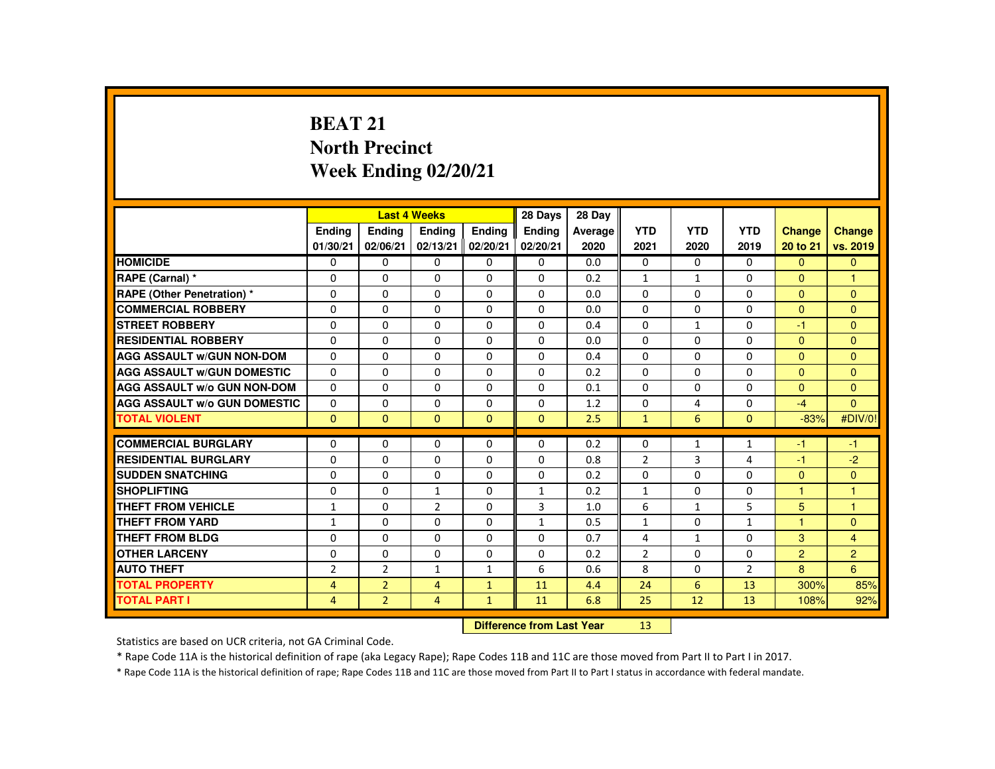# **BEAT 21 North PrecinctWeek Ending 02/20/21**

|                                     |                |                           | <b>Last 4 Weeks</b> |               | 28 Days       | 28 Day  |                |              |                |                      |                      |
|-------------------------------------|----------------|---------------------------|---------------------|---------------|---------------|---------|----------------|--------------|----------------|----------------------|----------------------|
|                                     | Ending         | Ending                    | <b>Endina</b>       | <b>Endina</b> | <b>Endina</b> | Average | <b>YTD</b>     | <b>YTD</b>   | <b>YTD</b>     | <b>Change</b>        | <b>Change</b>        |
|                                     | 01/30/21       | 02/06/21                  | 02/13/21            | 02/20/21      | 02/20/21      | 2020    | 2021           | 2020         | 2019           | 20 to 21             | vs. 2019             |
| <b>HOMICIDE</b>                     | $\mathbf{0}$   | $\mathbf{0}$              | 0                   | 0             | $\mathbf{0}$  | 0.0     | $\Omega$       | $\Omega$     | $\Omega$       | $\Omega$             | $\Omega$             |
| RAPE (Carnal) *                     | $\Omega$       | $\Omega$                  | $\Omega$            | $\Omega$      | $\Omega$      | 0.2     | 1              | $\mathbf{1}$ | $\Omega$       | $\Omega$             | $\blacktriangleleft$ |
| RAPE (Other Penetration) *          | $\Omega$       | $\Omega$                  | $\Omega$            | $\Omega$      | $\Omega$      | 0.0     | $\Omega$       | $\Omega$     | $\Omega$       | $\Omega$             | $\Omega$             |
| <b>COMMERCIAL ROBBERY</b>           | $\Omega$       | $\Omega$                  | $\Omega$            | $\Omega$      | $\Omega$      | 0.0     | $\Omega$       | $\Omega$     | $\Omega$       | $\Omega$             | $\Omega$             |
| <b>STREET ROBBERY</b>               | 0              | $\Omega$                  | $\Omega$            | $\Omega$      | $\Omega$      | 0.4     | $\Omega$       | $\mathbf{1}$ | $\Omega$       | $-1$                 | $\Omega$             |
| <b>RESIDENTIAL ROBBERY</b>          | $\Omega$       | $\Omega$                  | $\Omega$            | $\Omega$      | $\Omega$      | 0.0     | $\Omega$       | $\Omega$     | $\Omega$       | $\mathbf{0}$         | $\Omega$             |
| <b>AGG ASSAULT w/GUN NON-DOM</b>    | $\Omega$       | $\Omega$                  | $\Omega$            | $\Omega$      | $\Omega$      | 0.4     | $\Omega$       | $\Omega$     | $\Omega$       | $\Omega$             | $\Omega$             |
| <b>AGG ASSAULT W/GUN DOMESTIC</b>   | $\Omega$       | $\Omega$                  | $\Omega$            | $\Omega$      | $\Omega$      | 0.2     | $\Omega$       | $\Omega$     | $\Omega$       | $\Omega$             | $\Omega$             |
| <b>AGG ASSAULT W/o GUN NON-DOM</b>  | $\Omega$       | $\Omega$                  | $\Omega$            | $\mathbf{0}$  | $\mathbf{0}$  | 0.1     | $\Omega$       | 0            | 0              | $\Omega$             | $\Omega$             |
| <b>AGG ASSAULT W/o GUN DOMESTIC</b> | $\Omega$       | $\Omega$                  | $\Omega$            | $\Omega$      | $\Omega$      | 1.2     | $\Omega$       | 4            | $\Omega$       | $-4$                 | $\Omega$             |
| <b>TOTAL VIOLENT</b>                | $\Omega$       | $\Omega$                  | $\Omega$            | $\Omega$      | $\Omega$      | 2.5     | $\mathbf{1}$   | 6            | $\Omega$       | $-83%$               | #DIV/0!              |
| <b>COMMERCIAL BURGLARY</b>          | $\Omega$       | $\mathbf{0}$              | 0                   | $\mathbf{0}$  | $\Omega$      | 0.2     | $\mathbf{0}$   | 1            | $\mathbf{1}$   | -1                   | $-1$                 |
| <b>RESIDENTIAL BURGLARY</b>         | $\Omega$       | $\Omega$                  | $\Omega$            | $\Omega$      | $\Omega$      | 0.8     | $\overline{2}$ | 3            | 4              | $-1$                 | $-2$                 |
| <b>SUDDEN SNATCHING</b>             | $\Omega$       | $\Omega$                  | $\Omega$            | $\Omega$      | $\Omega$      | 0.2     | $\Omega$       | $\Omega$     | $\Omega$       | $\Omega$             | $\Omega$             |
| <b>SHOPLIFTING</b>                  | 0              | 0                         | $\mathbf{1}$        | 0             | $\mathbf{1}$  | 0.2     | $\mathbf{1}$   | 0            | 0              | 1                    | -1                   |
| <b>THEFT FROM VEHICLE</b>           | 1              | $\Omega$                  | $\overline{2}$      | $\Omega$      | 3             | 1.0     | 6              | $\mathbf{1}$ | 5              | 5 <sup>5</sup>       | $\blacktriangleleft$ |
| <b>THEFT FROM YARD</b>              | $\mathbf{1}$   | $\Omega$                  | $\Omega$            | $\Omega$      | $\mathbf{1}$  | 0.5     | $\mathbf{1}$   | $\Omega$     | $\mathbf{1}$   | $\blacktriangleleft$ | $\Omega$             |
| <b>THEFT FROM BLDG</b>              | $\Omega$       | $\Omega$                  | $\Omega$            | $\Omega$      | $\Omega$      | 0.7     | 4              | $\mathbf{1}$ | $\Omega$       | 3                    | $\overline{4}$       |
| <b>OTHER LARCENY</b>                | 0              | $\Omega$                  | $\Omega$            | $\Omega$      | $\Omega$      | 0.2     | $\overline{2}$ | $\Omega$     | $\Omega$       | $\overline{2}$       | $\overline{2}$       |
| <b>AUTO THEFT</b>                   | $\overline{2}$ | $\overline{2}$            | $\mathbf{1}$        | $\mathbf{1}$  | 6             | 0.6     | 8              | $\Omega$     | $\overline{2}$ | 8                    | 6                    |
| <b>TOTAL PROPERTY</b>               | $\overline{4}$ | $\overline{2}$            | $\overline{4}$      | $\mathbf{1}$  | 11            | 4.4     | 24             | 6            | 13             | 300%                 | 85%                  |
| <b>TOTAL PART I</b>                 | $\overline{4}$ | $\overline{2}$            | $\overline{4}$      | $\mathbf{1}$  | 11            | 6.8     | 25             | 12           | 13             | 108%                 | 92%                  |
|                                     |                | Difference from Last Year |                     | 13            |               |         |                |              |                |                      |                      |

 **Difference from Last Year**

Statistics are based on UCR criteria, not GA Criminal Code.

\* Rape Code 11A is the historical definition of rape (aka Legacy Rape); Rape Codes 11B and 11C are those moved from Part II to Part I in 2017.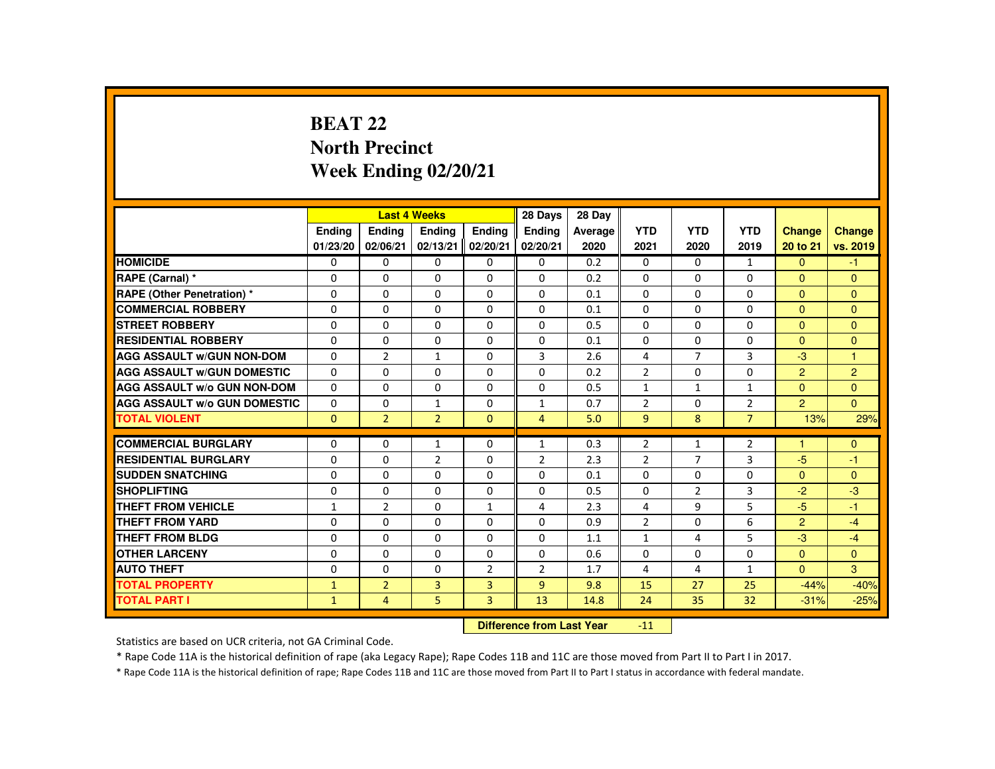# **BEAT 22 North PrecinctWeek Ending 02/20/21**

|                                     |                           |                | <b>Last 4 Weeks</b> |                | 28 Days        | 28 Day  |                |                |                |                |                |
|-------------------------------------|---------------------------|----------------|---------------------|----------------|----------------|---------|----------------|----------------|----------------|----------------|----------------|
|                                     | <b>Endina</b>             | <b>Ending</b>  | <b>Endina</b>       | <b>Endina</b>  | <b>Endina</b>  | Average | <b>YTD</b>     | <b>YTD</b>     | <b>YTD</b>     | <b>Change</b>  | Change         |
|                                     | 01/23/20                  | 02/06/21       | 02/13/21            | 02/20/21       | 02/20/21       | 2020    | 2021           | 2020           | 2019           | 20 to 21       | vs. 2019       |
| <b>HOMICIDE</b>                     | 0                         | $\mathbf{0}$   | $\mathbf{0}$        | $\Omega$       | 0              | 0.2     | 0              | $\Omega$       | $\mathbf{1}$   | $\Omega$       | $-1$           |
| RAPE (Carnal) *                     | $\Omega$                  | $\Omega$       | $\Omega$            | $\Omega$       | $\Omega$       | 0.2     | $\Omega$       | $\Omega$       | $\Omega$       | $\Omega$       | $\Omega$       |
| <b>RAPE (Other Penetration) *</b>   | $\mathbf{0}$              | $\Omega$       | $\mathbf{0}$        | $\Omega$       | 0              | 0.1     | 0              | $\Omega$       | 0              | $\Omega$       | $\mathbf{0}$   |
| <b>COMMERCIAL ROBBERY</b>           | $\Omega$                  | $\Omega$       | $\Omega$            | $\Omega$       | $\Omega$       | 0.1     | $\Omega$       | $\Omega$       | $\mathbf{0}$   | $\Omega$       | $\Omega$       |
| <b>STREET ROBBERY</b>               | $\mathbf{0}$              | $\Omega$       | $\Omega$            | $\Omega$       | $\Omega$       | 0.5     | $\Omega$       | $\Omega$       | $\Omega$       | $\Omega$       | $\Omega$       |
| <b>RESIDENTIAL ROBBERY</b>          | $\mathbf{0}$              | $\Omega$       | $\Omega$            | $\Omega$       | $\Omega$       | 0.1     | $\Omega$       | $\Omega$       | $\Omega$       | $\Omega$       | $\Omega$       |
| <b>AGG ASSAULT W/GUN NON-DOM</b>    | $\mathbf{0}$              | $\overline{2}$ | $\mathbf{1}$        | $\Omega$       | 3              | 2.6     | 4              | $\overline{7}$ | 3              | $-3$           | $\overline{1}$ |
| <b>AGG ASSAULT W/GUN DOMESTIC</b>   | $\Omega$                  | $\Omega$       | $\Omega$            | $\Omega$       | $\Omega$       | 0.2     | $\overline{2}$ | $\Omega$       | $\Omega$       | 2              | $\overline{2}$ |
| <b>AGG ASSAULT W/o GUN NON-DOM</b>  | $\Omega$                  | $\Omega$       | $\Omega$            | $\Omega$       | $\Omega$       | 0.5     | $\mathbf{1}$   | $\mathbf{1}$   | $\mathbf{1}$   | $\mathbf{0}$   | $\Omega$       |
| <b>AGG ASSAULT W/o GUN DOMESTIC</b> | 0                         | $\mathbf 0$    | 1                   | 0              | 1              | 0.7     | $\overline{2}$ | 0              | $\overline{2}$ | $\overline{2}$ | $\overline{0}$ |
| <b>TOTAL VIOLENT</b>                | $\Omega$                  | $\overline{2}$ | $\overline{2}$      | $\Omega$       | $\overline{4}$ | 5.0     | $\overline{9}$ | 8              | $\overline{7}$ | 13%            | 29%            |
| <b>COMMERCIAL BURGLARY</b>          | $\mathbf{0}$              | $\Omega$       | $\mathbf{1}$        | $\Omega$       | 1              | 0.3     | $\overline{2}$ | 1              | $\overline{2}$ | 1              | $\mathbf{0}$   |
| <b>RESIDENTIAL BURGLARY</b>         | $\Omega$                  | $\Omega$       | $\overline{2}$      | $\Omega$       | $\overline{2}$ | 2.3     | $\overline{2}$ | $\overline{7}$ | 3              | $-5$           | $-1$           |
| <b>SUDDEN SNATCHING</b>             | $\Omega$                  | $\Omega$       | $\Omega$            | $\Omega$       | $\Omega$       | 0.1     | $\Omega$       | $\Omega$       | $\Omega$       | $\mathbf{0}$   | $\Omega$       |
| <b>SHOPLIFTING</b>                  | $\Omega$                  | $\Omega$       | $\Omega$            | $\Omega$       | $\Omega$       | 0.5     | $\Omega$       | $\overline{2}$ | 3              | $-2$           | $-3$           |
| THEFT FROM VEHICLE                  | $\mathbf{1}$              | $\overline{2}$ | $\Omega$            | $\mathbf{1}$   | 4              | 2.3     | 4              | 9              | 5              | $-5$           | $-1$           |
| <b>THEFT FROM YARD</b>              | $\Omega$                  | $\Omega$       | $\Omega$            | $\Omega$       | $\Omega$       | 0.9     | $\overline{2}$ | $\Omega$       | 6              | $\overline{2}$ | $-4$           |
| <b>THEFT FROM BLDG</b>              | $\mathbf{0}$              | $\Omega$       | $\Omega$            | $\Omega$       | $\Omega$       | 1.1     | $\mathbf{1}$   | 4              | 5              | $-3$           | $-4$           |
| <b>OTHER LARCENY</b>                | $\Omega$                  | $\Omega$       | $\Omega$            | $\Omega$       | $\Omega$       | 0.6     | $\Omega$       | $\Omega$       | $\Omega$       | $\Omega$       | $\Omega$       |
| <b>AUTO THEFT</b>                   | $\Omega$                  | $\Omega$       | $\Omega$            | $\overline{2}$ | $\overline{2}$ | 1.7     | 4              | 4              | $\mathbf{1}$   | $\mathbf{0}$   | 3              |
| <b>TOTAL PROPERTY</b>               | $\mathbf{1}$              | $\overline{2}$ | 3                   | $\overline{3}$ | 9              | 9.8     | 15             | 27             | 25             | $-44%$         | $-40%$         |
| <b>TOTAL PART I</b>                 | $\mathbf{1}$              | 4              | 5                   | $\overline{3}$ | 13             | 14.8    | 24             | 35             | 32             | $-31%$         | $-25%$         |
|                                     | Difference from Loot Voor |                |                     |                |                |         | 11             |                |                |                |                |

 **Difference from Last Year**-11

Statistics are based on UCR criteria, not GA Criminal Code.

\* Rape Code 11A is the historical definition of rape (aka Legacy Rape); Rape Codes 11B and 11C are those moved from Part II to Part I in 2017.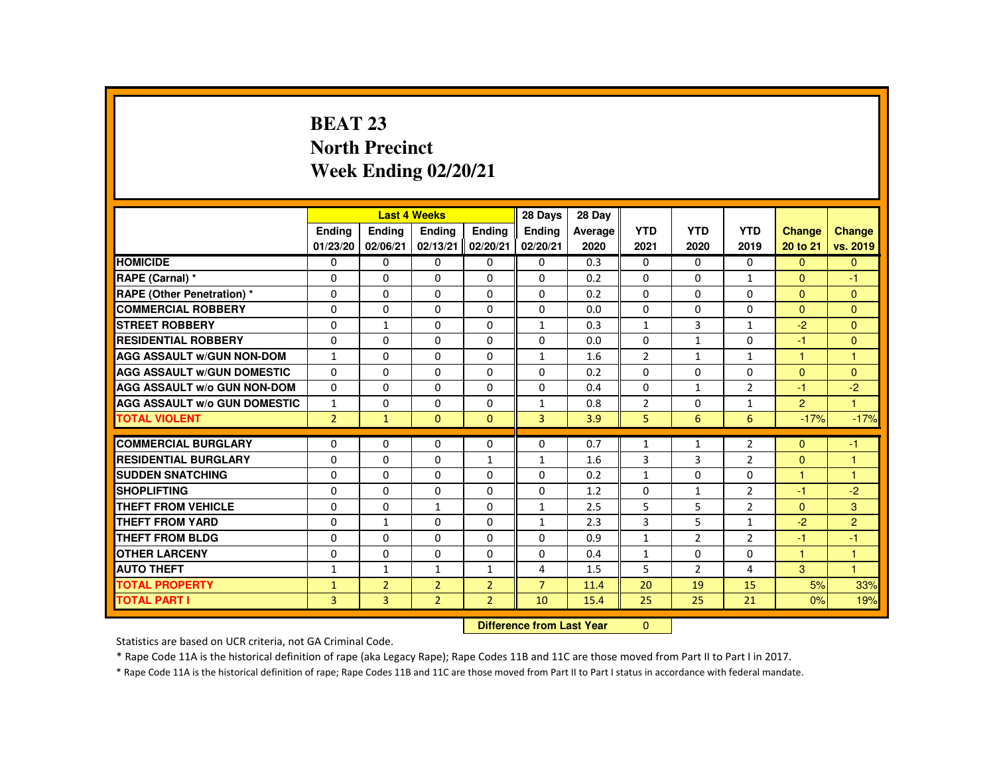# **BEAT 23 North PrecinctWeek Ending 02/20/21**

|                                     |                |                | <b>Last 4 Weeks</b> |                | 28 Days                   | 28 Day  |                |                |                |                |                      |
|-------------------------------------|----------------|----------------|---------------------|----------------|---------------------------|---------|----------------|----------------|----------------|----------------|----------------------|
|                                     | <b>Ending</b>  | <b>Ending</b>  | <b>Endina</b>       | <b>Endina</b>  | <b>Endina</b>             | Average | <b>YTD</b>     | <b>YTD</b>     | <b>YTD</b>     | <b>Change</b>  | <b>Change</b>        |
|                                     | 01/23/20       | 02/06/21       | 02/13/21            | 02/20/21       | 02/20/21                  | 2020    | 2021           | 2020           | 2019           | 20 to 21       | vs. 2019             |
| <b>HOMICIDE</b>                     | 0              | $\mathbf{0}$   | $\Omega$            | $\Omega$       | 0                         | 0.3     | 0              | $\Omega$       | 0              | $\Omega$       | $\mathbf{0}$         |
| RAPE (Carnal) *                     | $\Omega$       | $\Omega$       | $\Omega$            | $\Omega$       | $\Omega$                  | 0.2     | $\Omega$       | $\Omega$       | $\mathbf{1}$   | $\Omega$       | $-1$                 |
| <b>RAPE (Other Penetration) *</b>   | $\mathbf 0$    | $\Omega$       | $\Omega$            | 0              | 0                         | 0.2     | 0              | 0              | 0              | $\overline{0}$ | $\mathbf{0}$         |
| <b>COMMERCIAL ROBBERY</b>           | $\Omega$       | $\Omega$       | $\Omega$            | $\Omega$       | $\Omega$                  | 0.0     | $\Omega$       | $\Omega$       | $\Omega$       | $\Omega$       | $\Omega$             |
| <b>STREET ROBBERY</b>               | $\Omega$       | $\mathbf{1}$   | $\Omega$            | $\Omega$       | $\mathbf{1}$              | 0.3     | $\mathbf{1}$   | $\overline{3}$ | $\mathbf{1}$   | $-2$           | $\Omega$             |
| <b>RESIDENTIAL ROBBERY</b>          | $\Omega$       | $\Omega$       | $\mathbf{0}$        | $\Omega$       | $\Omega$                  | 0.0     | $\Omega$       | 1              | $\Omega$       | $-1$           | $\overline{0}$       |
| <b>AGG ASSAULT W/GUN NON-DOM</b>    | $\mathbf{1}$   | $\Omega$       | $\Omega$            | $\Omega$       | $\mathbf{1}$              | 1.6     | $\overline{2}$ | 1              | $\mathbf{1}$   | 1              | $\mathbf{1}$         |
| <b>AGG ASSAULT W/GUN DOMESTIC</b>   | $\Omega$       | $\Omega$       | $\Omega$            | $\Omega$       | $\Omega$                  | 0.2     | $\Omega$       | $\Omega$       | $\Omega$       | $\Omega$       | $\Omega$             |
| <b>AGG ASSAULT w/o GUN NON-DOM</b>  | $\Omega$       | $\Omega$       | $\Omega$            | $\Omega$       | $\Omega$                  | 0.4     | $\Omega$       | $\mathbf{1}$   | $\overline{2}$ | $-1$           | $-2$                 |
| <b>AGG ASSAULT W/o GUN DOMESTIC</b> | $\mathbf{1}$   | $\Omega$       | $\mathbf{0}$        | 0              | 1                         | 0.8     | $\overline{2}$ | 0              | $\mathbf{1}$   | $\overline{2}$ | $\blacktriangleleft$ |
| <b>TOTAL VIOLENT</b>                | $\overline{2}$ | $\mathbf{1}$   | $\Omega$            | $\Omega$       | $\overline{3}$            | 3.9     | 5              | 6              | 6              | $-17%$         | $-17%$               |
| <b>COMMERCIAL BURGLARY</b>          | $\Omega$       | $\Omega$       | $\Omega$            | $\Omega$       | 0                         | 0.7     | $\mathbf{1}$   | 1              | $\overline{2}$ | $\mathbf{0}$   | $-1$                 |
| <b>RESIDENTIAL BURGLARY</b>         | $\Omega$       | $\Omega$       | $\Omega$            | $\mathbf{1}$   | $\mathbf{1}$              | 1.6     | 3              | 3              | $\overline{2}$ | $\Omega$       | 1                    |
| <b>SUDDEN SNATCHING</b>             | $\Omega$       | $\Omega$       | $\Omega$            | $\Omega$       | $\Omega$                  | 0.2     | $\mathbf{1}$   | $\Omega$       | $\Omega$       | 1              | $\overline{1}$       |
| <b>SHOPLIFTING</b>                  | $\Omega$       | $\Omega$       | $\Omega$            | $\Omega$       | $\Omega$                  | 1.2     | $\Omega$       | $\mathbf{1}$   | $\overline{2}$ | -1             | $-2$                 |
| <b>THEFT FROM VEHICLE</b>           | $\Omega$       | $\Omega$       | $\mathbf{1}$        | $\Omega$       | $\mathbf{1}$              | 2.5     | 5              | 5              | $\overline{2}$ | $\Omega$       | 3 <sup>°</sup>       |
| <b>THEFT FROM YARD</b>              | $\mathbf{0}$   | $\mathbf{1}$   | $\Omega$            | $\Omega$       | $\mathbf{1}$              | 2.3     | 3              | 5              | $\mathbf{1}$   | $-2$           | $\overline{2}$       |
| THEFT FROM BLDG                     | $\mathbf{0}$   | $\Omega$       | $\Omega$            | $\Omega$       | $\Omega$                  | 0.9     | $\mathbf{1}$   | $\overline{2}$ | $\overline{2}$ | -1             | $-1$                 |
| <b>OTHER LARCENY</b>                | $\Omega$       | $\Omega$       | $\Omega$            | $\Omega$       | $\Omega$                  | 0.4     | $\mathbf{1}$   | $\Omega$       | $\Omega$       | 1              | 1                    |
| <b>AUTO THEFT</b>                   | $\mathbf{1}$   | $\mathbf{1}$   | $\mathbf{1}$        | $\mathbf{1}$   | 4                         | 1.5     | 5              | $\overline{2}$ | 4              | 3              | $\overline{1}$       |
| <b>TOTAL PROPERTY</b>               | $\mathbf{1}$   | 2 <sup>1</sup> | $\overline{2}$      | $\overline{2}$ | $\overline{7}$            | 11.4    | 20             | 19             | 15             | 5%             | 33%                  |
| <b>TOTAL PART I</b>                 | 3              | 3              | $\overline{2}$      | $\overline{2}$ | 10                        | 15.4    | 25             | 25             | 21             | 0%             | 19%                  |
|                                     |                |                |                     |                | Difference from Leat Voor |         | $\sim$         |                |                |                |                      |

 **Difference from Last Year**r 0

Statistics are based on UCR criteria, not GA Criminal Code.

\* Rape Code 11A is the historical definition of rape (aka Legacy Rape); Rape Codes 11B and 11C are those moved from Part II to Part I in 2017.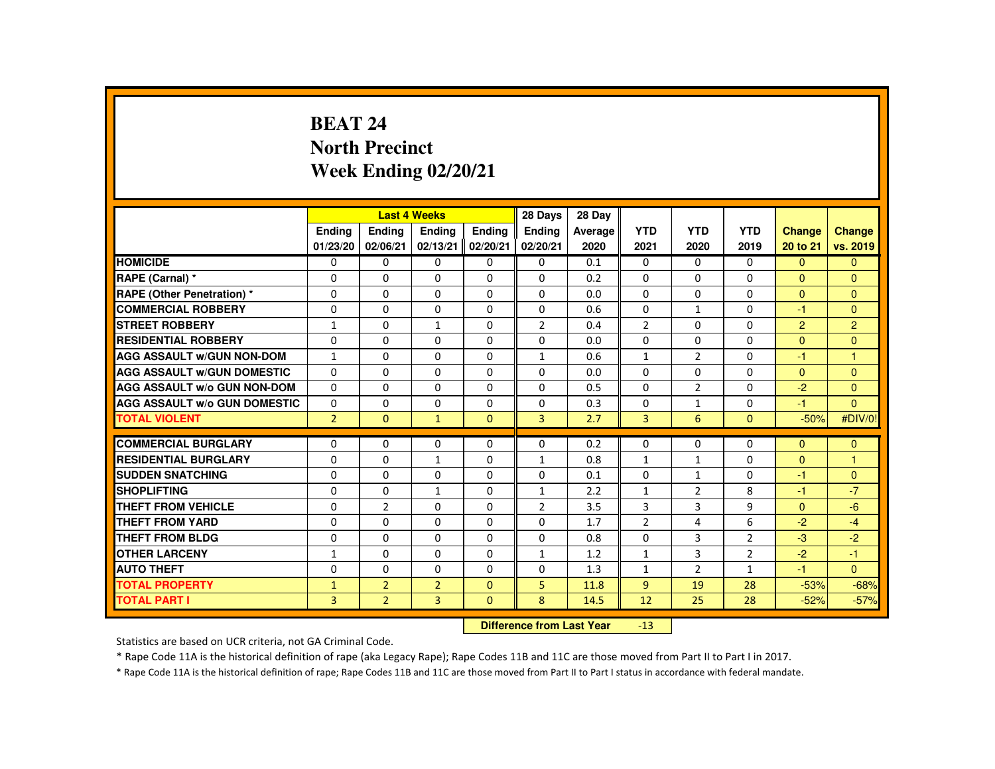# **BEAT 24 North PrecinctWeek Ending 02/20/21**

|                                     |                  |                            | <b>Last 4 Weeks</b> |               | 28 Days        | 28 Day  |                |                |                |                |                      |
|-------------------------------------|------------------|----------------------------|---------------------|---------------|----------------|---------|----------------|----------------|----------------|----------------|----------------------|
|                                     | Ending           | Ending                     | Ending              | <b>Endina</b> | <b>Endina</b>  | Average | <b>YTD</b>     | <b>YTD</b>     | <b>YTD</b>     | <b>Change</b>  | Change               |
|                                     | 01/23/20         | 02/06/21                   | 02/13/21            | 02/20/21      | 02/20/21       | 2020    | 2021           | 2020           | 2019           | 20 to 21       | vs. 2019             |
| <b>HOMICIDE</b>                     | 0                | $\Omega$                   | $\Omega$            | $\Omega$      | 0              | 0.1     | 0              | $\Omega$       | 0              | $\Omega$       | $\mathbf{0}$         |
| RAPE (Carnal) *                     | 0                | $\Omega$                   | $\Omega$            | $\Omega$      | $\Omega$       | 0.2     | $\Omega$       | $\Omega$       | $\Omega$       | $\Omega$       | $\Omega$             |
| <b>RAPE (Other Penetration) *</b>   | $\Omega$         | $\Omega$                   | $\Omega$            | $\Omega$      | $\Omega$       | 0.0     | $\Omega$       | $\Omega$       | $\Omega$       | $\Omega$       | $\Omega$             |
| <b>COMMERCIAL ROBBERY</b>           | $\Omega$         | $\Omega$                   | $\Omega$            | $\Omega$      | $\Omega$       | 0.6     | $\Omega$       | 1              | $\Omega$       | $-1$           | $\Omega$             |
| <b>STREET ROBBERY</b>               | $\mathbf{1}$     | $\Omega$                   | $\mathbf{1}$        | $\Omega$      | $\overline{2}$ | 0.4     | $\overline{2}$ | $\Omega$       | $\Omega$       | $\overline{2}$ | $\overline{2}$       |
| <b>RESIDENTIAL ROBBERY</b>          | $\mathbf{0}$     | $\Omega$                   | $\mathbf{0}$        | 0             | 0              | 0.0     | $\Omega$       | 0              | 0              | $\Omega$       | $\Omega$             |
| <b>AGG ASSAULT W/GUN NON-DOM</b>    | $\mathbf{1}$     | $\Omega$                   | $\Omega$            | $\Omega$      | $\mathbf{1}$   | 0.6     | $\mathbf{1}$   | $\overline{2}$ | $\Omega$       | -1             | $\overline{1}$       |
| <b>AGG ASSAULT W/GUN DOMESTIC</b>   | $\Omega$         | $\Omega$                   | $\Omega$            | $\Omega$      | $\Omega$       | 0.0     | $\Omega$       | 0              | $\Omega$       | $\Omega$       | $\Omega$             |
| <b>AGG ASSAULT W/o GUN NON-DOM</b>  | $\Omega$         | $\Omega$                   | $\Omega$            | $\Omega$      | $\Omega$       | 0.5     | $\Omega$       | $\overline{2}$ | $\Omega$       | $-2$           | $\Omega$             |
| <b>AGG ASSAULT W/o GUN DOMESTIC</b> | $\Omega$         | $\Omega$                   | $\Omega$            | $\Omega$      | $\Omega$       | 0.3     | $\Omega$       | $\mathbf{1}$   | $\Omega$       | $-1$           | $\Omega$             |
| <b>TOTAL VIOLENT</b>                | $\overline{2}$   | $\Omega$                   | $\mathbf{1}$        | $\Omega$      | $\overline{3}$ | 2.7     | $\overline{3}$ | 6              | $\Omega$       | $-50%$         | #DIV/0!              |
| <b>COMMERCIAL BURGLARY</b>          | $\Omega$         | $\Omega$                   | $\Omega$            | $\Omega$      | $\Omega$       | 0.2     | $\Omega$       | $\Omega$       | $\Omega$       | $\Omega$       | $\mathbf{0}$         |
| <b>RESIDENTIAL BURGLARY</b>         | $\Omega$         | $\Omega$                   |                     | $\Omega$      |                | 0.8     |                |                | $\Omega$       | $\Omega$       | $\overline{1}$       |
| <b>SUDDEN SNATCHING</b>             |                  |                            | $\mathbf{1}$        |               | $\mathbf{1}$   |         | $\mathbf{1}$   | $\mathbf{1}$   |                |                |                      |
| <b>SHOPLIFTING</b>                  | $\mathbf{0}$     | $\Omega$                   | $\mathbf{0}$        | $\mathbf{0}$  | 0              | 0.1     | 0              | $\mathbf{1}$   | 0              | $-1$           | $\mathbf{0}$<br>$-7$ |
| <b>THEFT FROM VEHICLE</b>           | $\Omega$         | $\Omega$<br>$\overline{2}$ | $\mathbf{1}$        | $\Omega$      | $\mathbf{1}$   | 2.2     | $\mathbf{1}$   | $\overline{2}$ | 8<br>9         | $-1$           |                      |
|                                     | $\Omega$         |                            | $\Omega$            | $\Omega$      | $\overline{2}$ | 3.5     | 3              | 3              |                | $\Omega$       | $-6$                 |
| <b>THEFT FROM YARD</b>              | $\Omega$         | $\Omega$                   | $\Omega$            | $\Omega$      | $\Omega$       | 1.7     | $\overline{2}$ | 4              | 6              | $-2$           | $-4$                 |
| <b>THEFT FROM BLDG</b>              | 0                | $\Omega$                   | $\Omega$            | $\Omega$      | 0              | 0.8     | $\Omega$       | 3              | $\overline{2}$ | $-3$           | $-2$                 |
| <b>OTHER LARCENY</b>                | 1                | $\Omega$                   | $\Omega$            | $\Omega$      | 1              | 1.2     | $\mathbf{1}$   | 3              | $\overline{2}$ | $-2$           | $-1$                 |
| <b>AUTO THEFT</b>                   | $\Omega$         | $\Omega$                   | $\Omega$            | $\Omega$      | $\Omega$       | 1.3     | $\mathbf{1}$   | 2              | $\mathbf{1}$   | $-1$           | $\Omega$             |
| <b>TOTAL PROPERTY</b>               | $\mathbf{1}$     | $\overline{2}$             | $\overline{2}$      | $\Omega$      | 5              | 11.8    | $\overline{9}$ | 19             | 28             | $-53%$         | $-68%$               |
| <b>TOTAL PART I</b>                 | $\overline{3}$   | $\overline{2}$             | $\overline{3}$      | $\mathbf{0}$  | 8              | 14.5    | 12             | 25             | 28             | $-52%$         | $-57%$               |
|                                     | <b>INSECTION</b> |                            |                     |               |                |         |                |                |                |                |                      |

 **Difference from Last Year**-13

Statistics are based on UCR criteria, not GA Criminal Code.

\* Rape Code 11A is the historical definition of rape (aka Legacy Rape); Rape Codes 11B and 11C are those moved from Part II to Part I in 2017.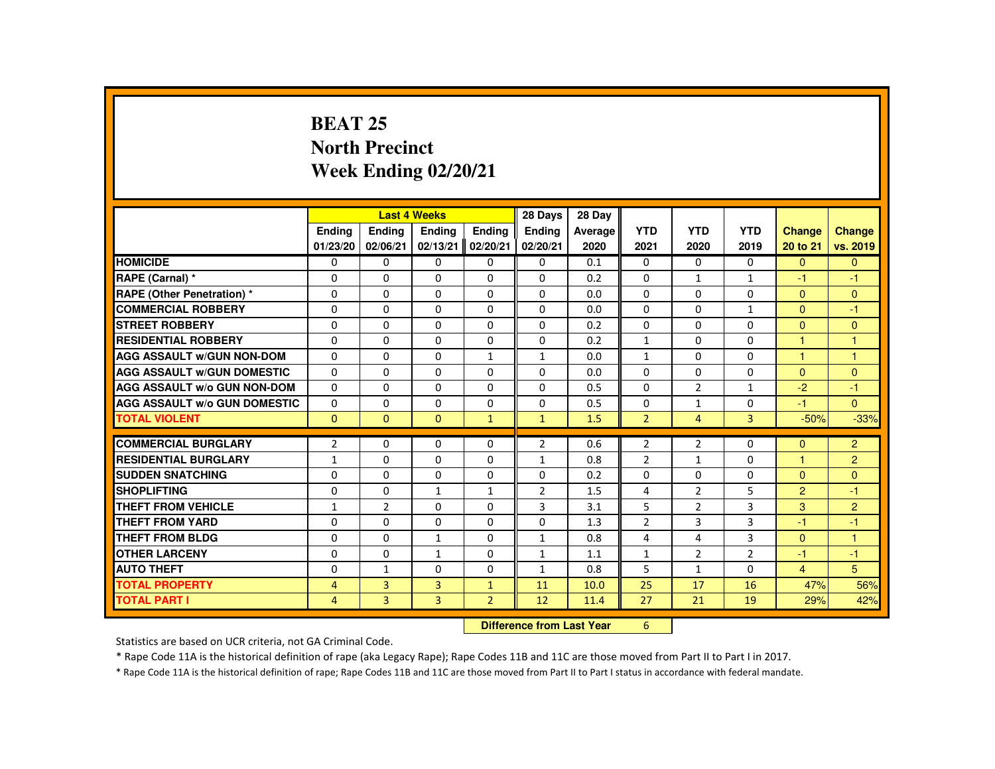# **BEAT 25 North PrecinctWeek Ending 02/20/21**

|                                     |                |                | <b>Last 4 Weeks</b> |                | 28 Days                                                                                                                                                                                                                        | 28 Day  |                |                |                |                |                |
|-------------------------------------|----------------|----------------|---------------------|----------------|--------------------------------------------------------------------------------------------------------------------------------------------------------------------------------------------------------------------------------|---------|----------------|----------------|----------------|----------------|----------------|
|                                     | <b>Endina</b>  | <b>Ending</b>  | <b>Ending</b>       | Ending         | Ending                                                                                                                                                                                                                         | Average | <b>YTD</b>     | <b>YTD</b>     | <b>YTD</b>     | <b>Change</b>  | <b>Change</b>  |
|                                     | 01/23/20       | 02/06/21       | 02/13/21            | 02/20/21       | 02/20/21                                                                                                                                                                                                                       | 2020    | 2021           | 2020           | 2019           | 20 to 21       | vs. 2019       |
| <b>HOMICIDE</b>                     | $\Omega$       | $\Omega$       | $\mathbf{0}$        | $\mathbf{0}$   | 0                                                                                                                                                                                                                              | 0.1     | 0              | $\Omega$       | $\Omega$       | $\Omega$       | $\Omega$       |
| RAPE (Carnal) *                     | 0              | $\Omega$       | $\Omega$            | $\Omega$       | $\Omega$                                                                                                                                                                                                                       | 0.2     | $\Omega$       | $\mathbf{1}$   | $\mathbf{1}$   | -1             | $-1$           |
| RAPE (Other Penetration) *          | $\Omega$       | $\Omega$       | $\Omega$            | $\Omega$       | $\Omega$                                                                                                                                                                                                                       | 0.0     | $\Omega$       | $\Omega$       | $\Omega$       | $\Omega$       | $\Omega$       |
| <b>COMMERCIAL ROBBERY</b>           | $\Omega$       | $\Omega$       | $\Omega$            | $\Omega$       | $\Omega$                                                                                                                                                                                                                       | 0.0     | $\Omega$       | $\Omega$       | $\mathbf{1}$   | $\Omega$       | $-1$           |
| <b>STREET ROBBERY</b>               | $\Omega$       | $\Omega$       | $\Omega$            | $\Omega$       | $\Omega$                                                                                                                                                                                                                       | 0.2     | $\Omega$       | $\Omega$       | $\Omega$       | $\Omega$       | $\Omega$       |
| <b>RESIDENTIAL ROBBERY</b>          | $\Omega$       | $\Omega$       | $\Omega$            | $\mathbf{0}$   | 0                                                                                                                                                                                                                              | 0.2     | $\mathbf{1}$   | 0              | 0              | $\mathbf{1}$   | $\mathbf{1}$   |
| <b>AGG ASSAULT W/GUN NON-DOM</b>    | $\Omega$       | $\Omega$       | $\Omega$            | $\mathbf{1}$   | $\mathbf{1}$                                                                                                                                                                                                                   | 0.0     | $\mathbf{1}$   | $\Omega$       | $\Omega$       | 1              | $\overline{1}$ |
| <b>AGG ASSAULT W/GUN DOMESTIC</b>   | $\Omega$       | $\Omega$       | $\Omega$            | $\Omega$       | $\Omega$                                                                                                                                                                                                                       | 0.0     | $\Omega$       | $\Omega$       | $\Omega$       | $\Omega$       | $\mathbf{0}$   |
| <b>AGG ASSAULT W/o GUN NON-DOM</b>  | $\Omega$       | $\Omega$       | $\Omega$            | $\Omega$       | $\Omega$                                                                                                                                                                                                                       | 0.5     | $\Omega$       | $\overline{2}$ | $\mathbf{1}$   | $-2$           | $-1$           |
| <b>AGG ASSAULT W/o GUN DOMESTIC</b> | $\Omega$       | $\Omega$       | $\Omega$            | $\Omega$       | $\Omega$                                                                                                                                                                                                                       | 0.5     | $\Omega$       | $\mathbf{1}$   | $\Omega$       | $-1$           | $\Omega$       |
| <b>TOTAL VIOLENT</b>                | $\mathbf{0}$   | $\mathbf{0}$   | $\mathbf{0}$        | $\mathbf{1}$   | $\mathbf{1}$                                                                                                                                                                                                                   | 1.5     | $\overline{2}$ | $\overline{4}$ | 3              | $-50%$         | $-33%$         |
|                                     |                |                |                     |                |                                                                                                                                                                                                                                |         |                |                |                |                |                |
| <b>COMMERCIAL BURGLARY</b>          | $\overline{2}$ | $\Omega$       | $\Omega$            | $\Omega$       | $\overline{2}$                                                                                                                                                                                                                 | 0.6     | $\overline{2}$ | $\overline{2}$ | $\Omega$       | $\Omega$       | $\overline{2}$ |
| <b>RESIDENTIAL BURGLARY</b>         | $\mathbf{1}$   | $\Omega$       | $\Omega$            | $\Omega$       | $\mathbf{1}$                                                                                                                                                                                                                   | 0.8     | $\overline{2}$ | $\mathbf{1}$   | $\Omega$       | $\overline{1}$ | $\overline{2}$ |
| <b>SUDDEN SNATCHING</b>             | $\Omega$       | $\mathbf{0}$   | $\mathbf{0}$        | 0              | 0                                                                                                                                                                                                                              | 0.2     | 0              | 0              | 0              | $\mathbf{0}$   | $\mathbf{0}$   |
| <b>SHOPLIFTING</b>                  | $\Omega$       | $\Omega$       | $\mathbf{1}$        | $\mathbf{1}$   | $\overline{2}$                                                                                                                                                                                                                 | 1.5     | 4              | $\overline{2}$ | 5              | $\overline{2}$ | $-1$           |
| <b>THEFT FROM VEHICLE</b>           | $\mathbf{1}$   | $\overline{2}$ | $\Omega$            | $\Omega$       | 3                                                                                                                                                                                                                              | 3.1     | 5              | $\overline{2}$ | 3              | 3              | $\overline{2}$ |
| <b>THEFT FROM YARD</b>              | $\Omega$       | $\Omega$       | $\Omega$            | $\Omega$       | $\Omega$                                                                                                                                                                                                                       | 1.3     | $\overline{2}$ | 3              | 3              | $-1$           | $-1$           |
| <b>THEFT FROM BLDG</b>              | $\Omega$       | $\Omega$       | $\mathbf{1}$        | $\Omega$       | $\mathbf{1}$                                                                                                                                                                                                                   | 0.8     | 4              | 4              | 3              | $\Omega$       | $\mathbf{1}$   |
| <b>OTHER LARCENY</b>                | $\Omega$       | $\Omega$       | $\mathbf{1}$        | 0              | $\mathbf{1}$                                                                                                                                                                                                                   | 1.1     | $\mathbf{1}$   | $\overline{2}$ | $\overline{2}$ | -1             | $-1$           |
| <b>AUTO THEFT</b>                   | $\Omega$       | $\mathbf{1}$   | $\Omega$            | $\Omega$       | $\mathbf{1}$                                                                                                                                                                                                                   | 0.8     | 5              | $\mathbf{1}$   | $\Omega$       | $\overline{4}$ | 5              |
| <b>TOTAL PROPERTY</b>               | $\overline{4}$ | $\overline{3}$ | 3                   | $\mathbf{1}$   | 11                                                                                                                                                                                                                             | 10.0    | 25             | 17             | 16             | 47%            | 56%            |
| <b>TOTAL PART I</b>                 | $\overline{4}$ | 3              | 3                   | $\overline{2}$ | 12                                                                                                                                                                                                                             | 11.4    | 27             | 21             | 19             | 29%            | 42%            |
|                                     |                |                |                     | <b>CARLES</b>  | a described to a control of the second states of the second states of the second states of the second states of the second states of the second states of the second states of the second states of the second states of the s |         | $\sim$         |                |                |                |                |

 **Difference from Last Year**<sup>6</sup>

Statistics are based on UCR criteria, not GA Criminal Code.

\* Rape Code 11A is the historical definition of rape (aka Legacy Rape); Rape Codes 11B and 11C are those moved from Part II to Part I in 2017.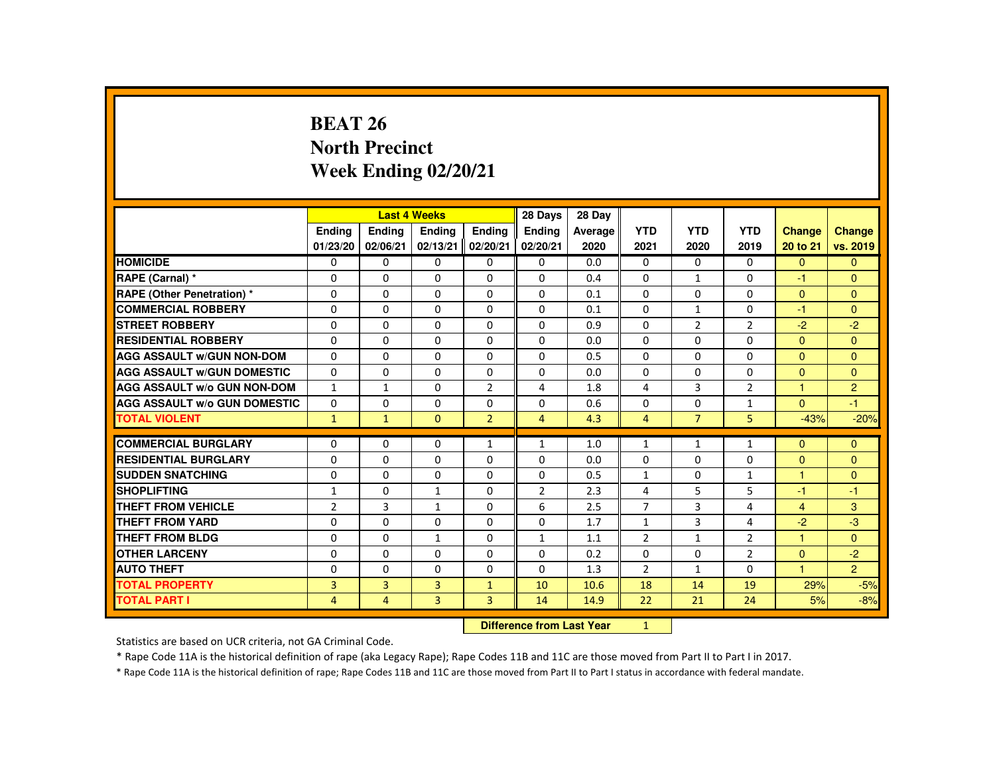# **BEAT 26 North PrecinctWeek Ending 02/20/21**

|                                     |                |                                  | <b>Last 4 Weeks</b> |                | 28 Days        | 28 Day  |                |                |                |                |                |
|-------------------------------------|----------------|----------------------------------|---------------------|----------------|----------------|---------|----------------|----------------|----------------|----------------|----------------|
|                                     | Ending         | Ending                           | <b>Endina</b>       | <b>Endina</b>  | <b>Endina</b>  | Average | <b>YTD</b>     | <b>YTD</b>     | <b>YTD</b>     | <b>Change</b>  | Change         |
|                                     | 01/23/20       | 02/06/21                         | 02/13/21            | 02/20/21       | 02/20/21       | 2020    | 2021           | 2020           | 2019           | 20 to 21       | vs. 2019       |
| <b>HOMICIDE</b>                     | 0              | $\mathbf 0$                      | $\mathbf{0}$        | 0              | 0              | 0.0     | 0              | $\Omega$       | $\Omega$       | $\overline{0}$ | $\mathbf{0}$   |
| RAPE (Carnal) *                     | $\Omega$       | $\Omega$                         | $\Omega$            | $\Omega$       | $\Omega$       | 0.4     | $\Omega$       | $\mathbf{1}$   | $\Omega$       | -1             | $\Omega$       |
| <b>RAPE (Other Penetration) *</b>   | $\Omega$       | $\Omega$                         | $\Omega$            | $\Omega$       | $\Omega$       | 0.1     | $\Omega$       | $\Omega$       | $\Omega$       | $\Omega$       | $\overline{0}$ |
| <b>COMMERCIAL ROBBERY</b>           | $\mathbf{0}$   | $\Omega$                         | $\Omega$            | $\Omega$       | $\Omega$       | 0.1     | $\Omega$       | $\mathbf{1}$   | $\Omega$       | $-1$           | $\Omega$       |
| <b>STREET ROBBERY</b>               | $\mathbf 0$    | $\Omega$                         | $\Omega$            | $\Omega$       | $\Omega$       | 0.9     | $\Omega$       | $\overline{2}$ | $\overline{2}$ | $-2$           | $-2$           |
| <b>RESIDENTIAL ROBBERY</b>          | $\Omega$       | $\Omega$                         | $\Omega$            | $\Omega$       | $\Omega$       | 0.0     | $\Omega$       | $\Omega$       | $\Omega$       | $\Omega$       | $\Omega$       |
| <b>AGG ASSAULT w/GUN NON-DOM</b>    | $\Omega$       | $\Omega$                         | $\Omega$            | $\Omega$       | $\Omega$       | 0.5     | $\Omega$       | $\Omega$       | $\Omega$       | $\Omega$       | $\Omega$       |
| <b>AGG ASSAULT W/GUN DOMESTIC</b>   | $\Omega$       | $\Omega$                         | $\Omega$            | $\Omega$       | $\Omega$       | 0.0     | $\Omega$       | $\Omega$       | $\Omega$       | $\Omega$       | $\Omega$       |
| <b>AGG ASSAULT W/o GUN NON-DOM</b>  | $\mathbf{1}$   | $\mathbf{1}$                     | $\Omega$            | $\overline{2}$ | 4              | 1.8     | 4              | 3              | $\overline{2}$ | $\mathbf{1}$   | $\overline{2}$ |
| <b>AGG ASSAULT W/o GUN DOMESTIC</b> | $\mathbf{0}$   | $\Omega$                         | $\Omega$            | $\Omega$       | $\Omega$       | 0.6     | $\Omega$       | $\Omega$       | $\mathbf{1}$   | $\Omega$       | $-1$           |
| <b>TOTAL VIOLENT</b>                | $\mathbf{1}$   | $\mathbf{1}$                     | $\mathbf{0}$        | 2 <sup>1</sup> | $\overline{4}$ | 4.3     | $\overline{4}$ | $\overline{7}$ | 5              | $-43%$         | $-20%$         |
| <b>COMMERCIAL BURGLARY</b>          | $\mathbf{0}$   | $\Omega$                         | $\mathbf{0}$        | $\mathbf{1}$   | $\mathbf{1}$   | 1.0     | 1              | 1              | 1              | $\mathbf{0}$   | $\mathbf{0}$   |
| <b>RESIDENTIAL BURGLARY</b>         | $\Omega$       | $\Omega$                         | $\Omega$            | $\Omega$       | $\Omega$       | 0.0     | 0              | $\Omega$       | 0              | $\mathbf{0}$   | $\mathbf{0}$   |
| <b>SUDDEN SNATCHING</b>             | $\Omega$       | $\Omega$                         | $\Omega$            | $\Omega$       | $\Omega$       | 0.5     | $\mathbf{1}$   | $\Omega$       | $\mathbf{1}$   | $\mathbf{1}$   | $\Omega$       |
| <b>SHOPLIFTING</b>                  | $\mathbf{1}$   | $\Omega$                         | 1                   | $\mathbf{0}$   | 2              | 2.3     | 4              | 5              | 5              | -1             | $-1$           |
| <b>THEFT FROM VEHICLE</b>           | $\overline{2}$ | 3                                | $\mathbf{1}$        | $\Omega$       | 6              | 2.5     | $\overline{7}$ | $\overline{3}$ | 4              | $\overline{4}$ | 3              |
| <b>THEFT FROM YARD</b>              | $\Omega$       | $\Omega$                         | $\Omega$            | $\Omega$       | 0              | 1.7     | $\mathbf{1}$   | 3              | 4              | $-2$           | $-3$           |
| <b>THEFT FROM BLDG</b>              | $\Omega$       | $\Omega$                         | $\mathbf{1}$        | $\Omega$       | $\mathbf{1}$   | 1.1     | $\overline{2}$ | $\mathbf{1}$   | $\overline{2}$ | $\mathbf{1}$   | $\Omega$       |
| <b>OTHER LARCENY</b>                | 0              | $\Omega$                         | $\mathbf{0}$        | 0              | 0              | 0.2     | $\Omega$       | 0              | $\overline{2}$ | $\mathbf{0}$   | $-2$           |
| <b>AUTO THEFT</b>                   | $\mathbf{0}$   | $\Omega$                         | $\Omega$            | $\Omega$       | $\Omega$       | 1.3     | $\overline{2}$ | $\mathbf{1}$   | $\Omega$       | 1              | $\overline{2}$ |
| <b>TOTAL PROPERTY</b>               | 3              | $\overline{3}$                   | 3                   | $\mathbf{1}$   | 10             | 10.6    | 18             | 14             | 19             | 29%            | $-5%$          |
| <b>TOTAL PART I</b>                 | $\overline{4}$ | $\overline{4}$                   | $\overline{3}$      | $\overline{3}$ | 14             | 14.9    | 22             | 21             | 24             | 5%             | $-8%$          |
|                                     |                | <b>Difference from Last Year</b> |                     | $\mathbf{1}$   |                |         |                |                |                |                |                |

 **Difference from Last Year**

Statistics are based on UCR criteria, not GA Criminal Code.

\* Rape Code 11A is the historical definition of rape (aka Legacy Rape); Rape Codes 11B and 11C are those moved from Part II to Part I in 2017.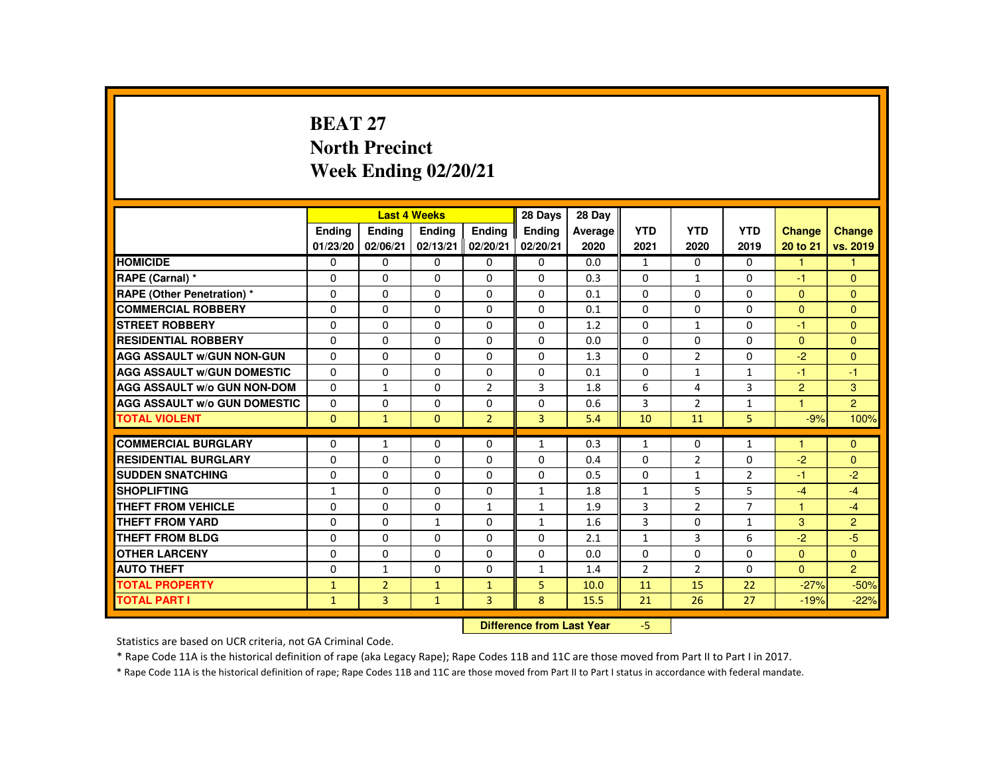### **BEAT 27 North PrecinctWeek Ending 02/20/21**

|                                     |               |                | <b>Last 4 Weeks</b> |                | 28 Days                   | 28 Day  |                |                |                |                      |                |
|-------------------------------------|---------------|----------------|---------------------|----------------|---------------------------|---------|----------------|----------------|----------------|----------------------|----------------|
|                                     | <b>Endina</b> | Ending         | Ending              | <b>Endina</b>  | <b>Endina</b>             | Average | <b>YTD</b>     | <b>YTD</b>     | <b>YTD</b>     | <b>Change</b>        | <b>Change</b>  |
|                                     | 01/23/20      | 02/06/21       | 02/13/21            | 02/20/21       | 02/20/21                  | 2020    | 2021           | 2020           | 2019           | 20 to 21             | vs. 2019       |
| <b>HOMICIDE</b>                     | $\Omega$      | $\Omega$       | $\Omega$            | $\Omega$       | $\Omega$                  | 0.0     | $\mathbf{1}$   | $\Omega$       | $\Omega$       | 1.                   | 1              |
| RAPE (Carnal) *                     | $\Omega$      | $\Omega$       | $\Omega$            | $\Omega$       | $\Omega$                  | 0.3     | $\Omega$       | $\mathbf{1}$   | $\Omega$       | $-1$                 | $\Omega$       |
| RAPE (Other Penetration) *          | $\Omega$      | $\Omega$       | $\Omega$            | $\Omega$       | $\Omega$                  | 0.1     | $\Omega$       | $\Omega$       | $\Omega$       | $\Omega$             | $\Omega$       |
| <b>COMMERCIAL ROBBERY</b>           | $\Omega$      | $\Omega$       | $\Omega$            | $\Omega$       | $\Omega$                  | 0.1     | $\Omega$       | $\Omega$       | $\Omega$       | $\Omega$             | $\Omega$       |
| <b>STREET ROBBERY</b>               | $\Omega$      | $\Omega$       | $\Omega$            | $\Omega$       | $\Omega$                  | 1.2     | $\Omega$       | $\mathbf{1}$   | $\Omega$       | $-1$                 | $\Omega$       |
| <b>RESIDENTIAL ROBBERY</b>          | 0             | $\mathbf{0}$   | 0                   | 0              | $\mathbf{0}$              | 0.0     | $\mathbf{0}$   | 0              | 0              | $\Omega$             | $\Omega$       |
| <b>AGG ASSAULT W/GUN NON-GUN</b>    | $\Omega$      | $\Omega$       | $\Omega$            | $\Omega$       | $\Omega$                  | 1.3     | $\Omega$       | $\overline{2}$ | $\Omega$       | $-2$                 | $\Omega$       |
| <b>AGG ASSAULT W/GUN DOMESTIC</b>   | $\Omega$      | $\Omega$       | $\Omega$            | $\Omega$       | $\Omega$                  | 0.1     | $\Omega$       | $\mathbf{1}$   | $\mathbf{1}$   | $-1$                 | $-1$           |
| <b>AGG ASSAULT W/o GUN NON-DOM</b>  | $\Omega$      | $\mathbf{1}$   | $\Omega$            | $\overline{2}$ | 3                         | 1.8     | 6              | 4              | $\overline{3}$ | 2                    | $\mathbf{3}$   |
| <b>AGG ASSAULT W/o GUN DOMESTIC</b> | $\Omega$      | $\Omega$       | 0                   | $\Omega$       | $\Omega$                  | 0.6     | 3              | $\overline{2}$ | $\mathbf{1}$   | $\blacktriangleleft$ | $\overline{2}$ |
| <b>TOTAL VIOLENT</b>                | $\mathbf{0}$  | $\mathbf{1}$   | $\mathbf{0}$        | 2 <sup>1</sup> | $\overline{3}$            | 5.4     | 10             | 11             | 5              | $-9%$                | 100%           |
| <b>COMMERCIAL BURGLARY</b>          | $\Omega$      | $\mathbf{1}$   | $\Omega$            | $\Omega$       | $\mathbf{1}$              | 0.3     | $\mathbf{1}$   | $\Omega$       | $\mathbf{1}$   | ۴                    | $\Omega$       |
| <b>RESIDENTIAL BURGLARY</b>         | $\Omega$      | $\Omega$       | $\Omega$            | $\Omega$       | $\Omega$                  | 0.4     | $\Omega$       | $\overline{2}$ | 0              | $-2$                 | $\Omega$       |
| <b>SUDDEN SNATCHING</b>             | $\Omega$      | $\Omega$       | $\Omega$            | $\Omega$       | $\Omega$                  | 0.5     | $\Omega$       | $\mathbf{1}$   | $\overline{2}$ | $-1$                 | $-2$           |
| <b>SHOPLIFTING</b>                  | $\mathbf{1}$  | $\Omega$       | $\Omega$            | $\Omega$       | $\mathbf{1}$              | 1.8     | $\mathbf{1}$   | 5              | 5              | $-4$                 | $-4$           |
| <b>THEFT FROM VEHICLE</b>           | $\Omega$      | $\Omega$       | $\Omega$            | $\mathbf{1}$   | $\mathbf{1}$              | 1.9     | 3              | $\overline{2}$ | $\overline{7}$ | $\blacktriangleleft$ | $-4$           |
| THEFT FROM YARD                     | $\Omega$      | $\Omega$       | $\mathbf{1}$        | $\Omega$       | $\mathbf{1}$              | 1.6     | 3              | $\Omega$       | $\mathbf{1}$   | $\mathbf{3}$         | $\overline{2}$ |
| <b>THEFT FROM BLDG</b>              | 0             | $\Omega$       | $\Omega$            | $\Omega$       | $\mathbf{0}$              | 2.1     | $\mathbf{1}$   | 3              | 6              | $-2$                 | $-5$           |
| <b>OTHER LARCENY</b>                | 0             | $\mathbf{0}$   | $\Omega$            | $\Omega$       | $\Omega$                  | 0.0     | $\Omega$       | $\Omega$       | $\Omega$       | $\mathbf{0}$         | $\Omega$       |
| <b>AUTO THEFT</b>                   | $\Omega$      | $\mathbf{1}$   | $\Omega$            | $\Omega$       | $\mathbf{1}$              | 1.4     | $\overline{2}$ | 2              | $\Omega$       | $\Omega$             | $\overline{2}$ |
| <b>TOTAL PROPERTY</b>               | $\mathbf{1}$  | $\overline{2}$ | $\mathbf{1}$        | $\mathbf{1}$   | 5                         | 10.0    | 11             | 15             | 22             | $-27%$               | $-50%$         |
| <b>TOTAL PART I</b>                 | $\mathbf{1}$  | 3              | $\mathbf{1}$        | $\overline{3}$ | 8                         | 15.5    | 21             | 26             | 27             | $-19%$               | $-22%$         |
|                                     |               |                |                     |                | Difference from Leat Vacu |         | m.             |                |                |                      |                |

 **Difference from Last Year**-5

Statistics are based on UCR criteria, not GA Criminal Code.

\* Rape Code 11A is the historical definition of rape (aka Legacy Rape); Rape Codes 11B and 11C are those moved from Part II to Part I in 2017.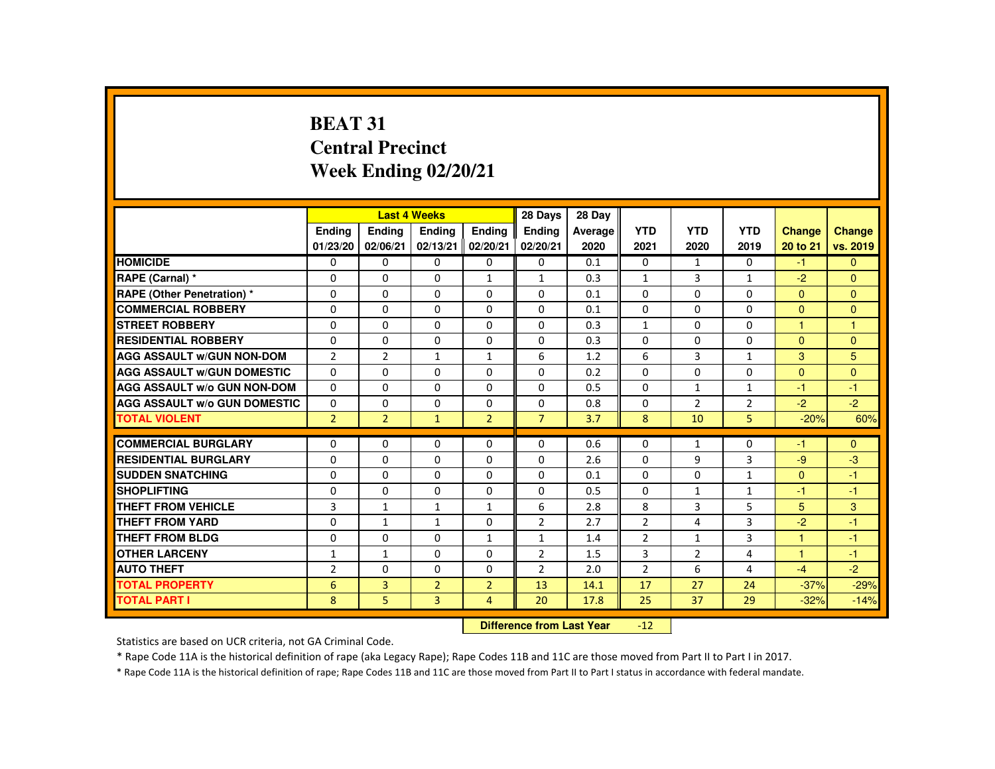# **BEAT 31 Central PrecinctWeek Ending 02/20/21**

|                                     |                |                | <b>Last 4 Weeks</b> |                | 28 Days                   | 28 Day  |                  |                |                |               |               |
|-------------------------------------|----------------|----------------|---------------------|----------------|---------------------------|---------|------------------|----------------|----------------|---------------|---------------|
|                                     | <b>Endina</b>  | <b>Ending</b>  | <b>Endina</b>       | Ending         | <b>Ending</b>             | Average | <b>YTD</b>       | <b>YTD</b>     | <b>YTD</b>     | <b>Change</b> | <b>Change</b> |
|                                     | 01/23/20       | 02/06/21       | 02/13/21            | 02/20/21       | 02/20/21                  | 2020    | 2021             | 2020           | 2019           | 20 to 21      | vs. 2019      |
| <b>HOMICIDE</b>                     | $\Omega$       | $\Omega$       | $\Omega$            | 0              | 0                         | 0.1     | $\Omega$         | $\mathbf{1}$   | $\Omega$       | $-1$          | $\Omega$      |
| RAPE (Carnal) *                     | $\Omega$       | $\Omega$       | $\Omega$            | $\mathbf{1}$   | $\mathbf{1}$              | 0.3     | $\mathbf{1}$     | 3              | $\mathbf{1}$   | $-2$          | $\Omega$      |
| <b>RAPE (Other Penetration) *</b>   | $\Omega$       | $\Omega$       | $\Omega$            | $\Omega$       | $\Omega$                  | 0.1     | $\Omega$         | $\Omega$       | $\Omega$       | $\Omega$      | $\Omega$      |
| <b>COMMERCIAL ROBBERY</b>           | $\Omega$       | $\Omega$       | $\Omega$            | $\Omega$       | $\Omega$                  | 0.1     | $\Omega$         | $\Omega$       | $\Omega$       | $\Omega$      | $\Omega$      |
| <b>STREET ROBBERY</b>               | $\Omega$       | $\Omega$       | $\Omega$            | $\Omega$       | $\Omega$                  | 0.3     | $\mathbf{1}$     | $\Omega$       | $\Omega$       | 1             | $\mathbf{1}$  |
| <b>RESIDENTIAL ROBBERY</b>          | $\Omega$       | $\Omega$       | $\mathbf{0}$        | 0              | 0                         | 0.3     | $\Omega$         | $\Omega$       | 0              | $\mathbf{0}$  | $\Omega$      |
| <b>AGG ASSAULT w/GUN NON-DOM</b>    | $\overline{2}$ | $\overline{2}$ | $\mathbf{1}$        | $\mathbf{1}$   | 6                         | 1.2     | 6                | 3              | $\mathbf{1}$   | 3             | 5             |
| <b>AGG ASSAULT W/GUN DOMESTIC</b>   | $\Omega$       | $\Omega$       | $\Omega$            | $\Omega$       | $\Omega$                  | 0.2     | $\Omega$         | $\Omega$       | $\Omega$       | $\Omega$      | $\Omega$      |
| <b>AGG ASSAULT W/o GUN NON-DOM</b>  | $\Omega$       | $\Omega$       | $\Omega$            | $\Omega$       | $\Omega$                  | 0.5     | $\Omega$         | $\mathbf{1}$   | $\mathbf{1}$   | $-1$          | $-1$          |
| <b>AGG ASSAULT W/o GUN DOMESTIC</b> | $\Omega$       | $\Omega$       | $\Omega$            | $\Omega$       | $\Omega$                  | 0.8     | $\Omega$         | $\overline{2}$ | $\overline{2}$ | $-2$          | $-2$          |
| <b>TOTAL VIOLENT</b>                | $\overline{2}$ | $\overline{2}$ | $\mathbf{1}$        | $\overline{2}$ | $\overline{7}$            | 3.7     | 8                | 10             | 5              | $-20%$        | 60%           |
|                                     |                |                |                     |                |                           |         |                  |                |                |               |               |
| <b>COMMERCIAL BURGLARY</b>          | $\Omega$       | $\Omega$       | $\Omega$            | $\Omega$       | $\Omega$                  | 0.6     | 0                | $\mathbf{1}$   | 0              | -1            | $\mathbf{0}$  |
| <b>RESIDENTIAL BURGLARY</b>         | $\Omega$       | $\Omega$       | $\Omega$            | $\Omega$       | $\Omega$                  | 2.6     | $\Omega$         | 9              | 3              | $-9$          | $-3$          |
| <b>SUDDEN SNATCHING</b>             | 0              | $\Omega$       | $\mathbf{0}$        | $\mathbf{0}$   | 0                         | 0.1     | $\Omega$         | $\Omega$       | $\mathbf{1}$   | $\Omega$      | $-1$          |
| <b>SHOPLIFTING</b>                  | $\Omega$       | $\Omega$       | $\Omega$            | $\Omega$       | $\Omega$                  | 0.5     | $\Omega$         | $\mathbf{1}$   | $\mathbf{1}$   | -1            | $-1$          |
| <b>THEFT FROM VEHICLE</b>           | 3              | $\mathbf{1}$   | $\mathbf{1}$        | $\mathbf{1}$   | 6                         | 2.8     | 8                | $\overline{3}$ | 5              | 5             | 3             |
| <b>THEFT FROM YARD</b>              | $\Omega$       | $\mathbf{1}$   | $\mathbf{1}$        | $\Omega$       | $\overline{2}$            | 2.7     | $\overline{2}$   | 4              | 3              | $-2$          | $-1$          |
| <b>THEFT FROM BLDG</b>              | $\Omega$       | $\Omega$       | $\Omega$            | 1              | $\mathbf{1}$              | 1.4     | $\overline{2}$   | $\mathbf{1}$   | 3              | 4             | -1            |
| <b>OTHER LARCENY</b>                | 1              | $\mathbf{1}$   | $\Omega$            | $\Omega$       | $\overline{2}$            | 1.5     | 3                | $\overline{2}$ | 4              | 1             | $-1$          |
| <b>AUTO THEFT</b>                   | $\overline{2}$ | $\Omega$       | $\Omega$            | $\Omega$       | 2                         | 2.0     | $\overline{2}$   | 6              | 4              | $-4$          | $-2$          |
| <b>TOTAL PROPERTY</b>               | 6              | $\overline{3}$ | $\overline{2}$      | $\overline{2}$ | 13                        | 14.1    | 17               | 27             | 24             | $-37%$        | $-29%$        |
| <b>TOTAL PART I</b>                 | 8              | 5              | $\overline{3}$      | 4              | 20                        | 17.8    | 25               | 37             | 29             | $-32%$        | $-14%$        |
|                                     |                |                |                     |                | Difference from Leat Vacu |         | 4.2 <sub>1</sub> |                |                |               |               |

 **Difference from Last Year**-12

Statistics are based on UCR criteria, not GA Criminal Code.

\* Rape Code 11A is the historical definition of rape (aka Legacy Rape); Rape Codes 11B and 11C are those moved from Part II to Part I in 2017.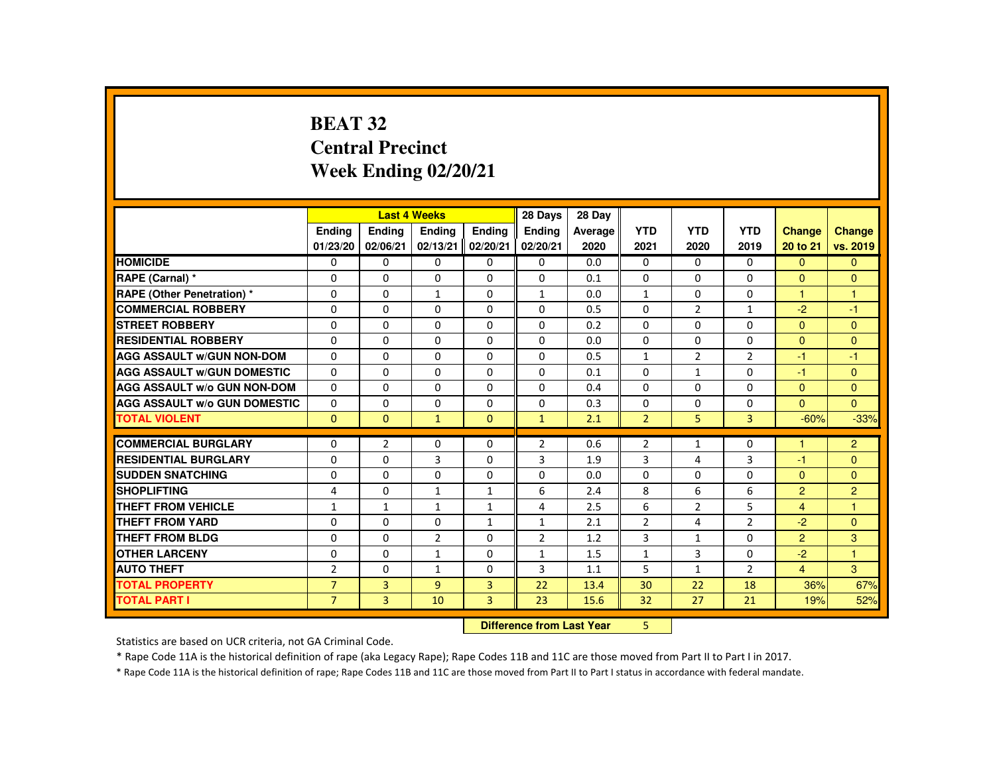# **BEAT 32 Central PrecinctWeek Ending 02/20/21**

|                                     |                |                | <b>Last 4 Weeks</b> |                | 28 Days        | 28 Day  |                |                |                |                |                |
|-------------------------------------|----------------|----------------|---------------------|----------------|----------------|---------|----------------|----------------|----------------|----------------|----------------|
|                                     | Ending         | Ending         | <b>Endina</b>       | <b>Endina</b>  | <b>Endina</b>  | Average | <b>YTD</b>     | <b>YTD</b>     | <b>YTD</b>     | Change         | <b>Change</b>  |
|                                     | 01/23/20       | 02/06/21       | 02/13/21            | 02/20/21       | 02/20/21       | 2020    | 2021           | 2020           | 2019           | 20 to 21       | vs. 2019       |
| <b>HOMICIDE</b>                     | 0              | $\mathbf{0}$   | 0                   | 0              | 0              | 0.0     | 0              | 0              | $\mathbf{0}$   | $\mathbf{0}$   | $\mathbf{0}$   |
| RAPE (Carnal) *                     | 0              | $\Omega$       | $\Omega$            | $\Omega$       | $\Omega$       | 0.1     | $\Omega$       | $\Omega$       | $\Omega$       | $\Omega$       | $\mathbf{0}$   |
| <b>RAPE (Other Penetration) *</b>   | $\Omega$       | $\Omega$       | $\mathbf{1}$        | $\Omega$       | $\mathbf{1}$   | 0.0     | $\mathbf{1}$   | $\Omega$       | $\Omega$       | $\mathbf{1}$   | $\mathbf{1}$   |
| <b>COMMERCIAL ROBBERY</b>           | 0              | $\mathbf{0}$   | $\Omega$            | $\Omega$       | $\Omega$       | 0.5     | $\Omega$       | 2              | $\mathbf{1}$   | $-2$           | $-1$           |
| <b>STREET ROBBERY</b>               | 0              | $\Omega$       | $\Omega$            | $\Omega$       | 0              | 0.2     | $\Omega$       | $\Omega$       | $\Omega$       | $\Omega$       | $\mathbf{0}$   |
| <b>RESIDENTIAL ROBBERY</b>          | $\Omega$       | $\Omega$       | $\Omega$            | $\Omega$       | $\Omega$       | 0.0     | $\Omega$       | $\Omega$       | $\Omega$       | $\Omega$       | $\Omega$       |
| <b>AGG ASSAULT W/GUN NON-DOM</b>    | $\Omega$       | $\Omega$       | $\Omega$            | $\Omega$       | $\Omega$       | 0.5     | $\mathbf{1}$   | $\overline{2}$ | $\overline{2}$ | $-1$           | $-1$           |
| <b>AGG ASSAULT W/GUN DOMESTIC</b>   | $\Omega$       | $\Omega$       | $\Omega$            | $\Omega$       | $\Omega$       | 0.1     | $\Omega$       | $\mathbf{1}$   | $\Omega$       | $-1$           | $\Omega$       |
| <b>AGG ASSAULT W/o GUN NON-DOM</b>  | $\Omega$       | $\Omega$       | $\Omega$            | $\Omega$       | $\Omega$       | 0.4     | $\Omega$       | $\Omega$       | $\Omega$       | $\Omega$       | $\Omega$       |
| <b>AGG ASSAULT W/o GUN DOMESTIC</b> | $\Omega$       | $\Omega$       | $\Omega$            | $\Omega$       | $\Omega$       | 0.3     | $\Omega$       | 0              | $\Omega$       | $\Omega$       | $\overline{0}$ |
| <b>TOTAL VIOLENT</b>                | $\Omega$       | $\Omega$       | $\mathbf{1}$        | $\Omega$       | $\mathbf{1}$   | 2.1     | $\overline{2}$ | 5              | 3              | $-60%$         | $-33%$         |
| <b>COMMERCIAL BURGLARY</b>          | $\Omega$       | $\overline{2}$ | $\Omega$            | $\Omega$       | $\overline{2}$ | 0.6     | $\overline{2}$ | 1              | $\Omega$       | 1              | $\overline{2}$ |
| <b>RESIDENTIAL BURGLARY</b>         | $\Omega$       | $\Omega$       | 3                   | 0              | 3              | 1.9     | 3              | 4              | 3              | $-1$           | $\mathbf{0}$   |
| <b>SUDDEN SNATCHING</b>             | $\Omega$       | $\Omega$       | $\Omega$            | $\Omega$       | $\Omega$       | 0.0     | $\Omega$       | $\Omega$       | $\Omega$       | $\Omega$       | $\Omega$       |
| <b>SHOPLIFTING</b>                  | 4              | 0              | 1                   | $\mathbf{1}$   | 6              | 2.4     | 8              | 6              | 6              | $\overline{2}$ | $\overline{2}$ |
| <b>THEFT FROM VEHICLE</b>           | $\mathbf{1}$   | $\mathbf{1}$   | $\mathbf{1}$        | $\mathbf{1}$   | $\overline{4}$ | 2.5     | 6              | 2              | 5              | $\overline{4}$ | $\mathbf{1}$   |
| <b>THEFT FROM YARD</b>              | $\Omega$       | $\Omega$       | $\Omega$            | $\mathbf{1}$   | 1              | 2.1     | $\overline{2}$ | 4              | $\overline{2}$ | $-2$           | $\overline{0}$ |
| <b>THEFT FROM BLDG</b>              | $\Omega$       | $\Omega$       | $\overline{2}$      | $\Omega$       | $\overline{2}$ | 1.2     | 3              | $\mathbf{1}$   | $\Omega$       | $\overline{2}$ | 3              |
| <b>OTHER LARCENY</b>                | 0              | $\mathbf{0}$   | $\mathbf{1}$        | $\Omega$       | 1              | 1.5     | $\mathbf{1}$   | 3              | 0              | $-2$           | 1              |
| <b>AUTO THEFT</b>                   | $\overline{2}$ | $\Omega$       | $\mathbf{1}$        | $\Omega$       | 3              | 1.1     | 5              | $\mathbf{1}$   | $\overline{2}$ | $\overline{4}$ | 3              |
| <b>TOTAL PROPERTY</b>               | $\overline{7}$ | $\overline{3}$ | $\overline{9}$      | $\overline{3}$ | 22             | 13.4    | 30             | 22             | 18             | 36%            | 67%            |
| <b>TOTAL PART I</b>                 | $\overline{7}$ | 3              | 10                  | $\overline{3}$ | 23             | 15.6    | 32             | 27             | 21             | 19%            | 52%            |
|                                     |                |                |                     |                |                |         | 5.             |                |                |                |                |

 **Difference from Last Year**

Statistics are based on UCR criteria, not GA Criminal Code.

\* Rape Code 11A is the historical definition of rape (aka Legacy Rape); Rape Codes 11B and 11C are those moved from Part II to Part I in 2017.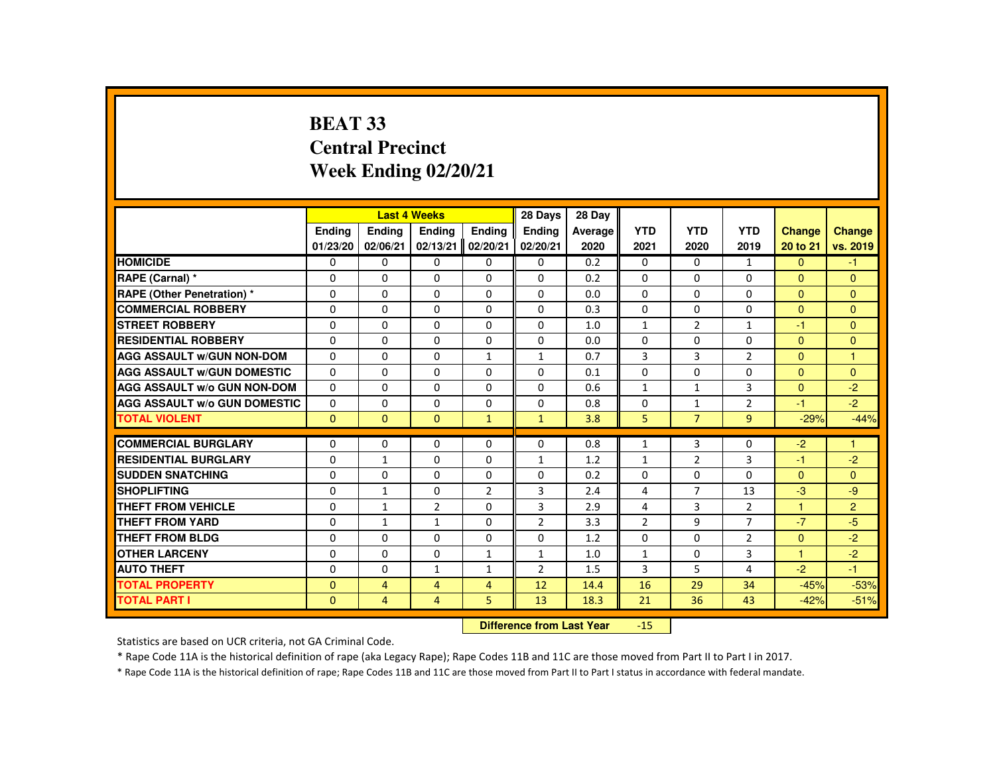# **BEAT 33 Central PrecinctWeek Ending 02/20/21**

|                                     |              | <b>Last 4 Weeks</b> |                                  |                | 28 Days        | 28 Day  |                |                |                |               |                |
|-------------------------------------|--------------|---------------------|----------------------------------|----------------|----------------|---------|----------------|----------------|----------------|---------------|----------------|
|                                     | Ending       | Ending              | Ending                           | Ending         | Ending         | Average | <b>YTD</b>     | <b>YTD</b>     | <b>YTD</b>     | <b>Change</b> | <b>Change</b>  |
|                                     | 01/23/20     | 02/06/21            | 02/13/21                         | 02/20/21       | 02/20/21       | 2020    | 2021           | 2020           | 2019           | 20 to 21      | vs. 2019       |
| <b>HOMICIDE</b>                     | 0            | 0                   | 0                                | 0              | 0              | 0.2     | $\mathbf{0}$   | 0              | $\mathbf{1}$   | $\mathbf{0}$  | $-1$           |
| RAPE (Carnal) *                     | $\Omega$     | $\Omega$            | $\Omega$                         | $\Omega$       | $\Omega$       | 0.2     | $\Omega$       | $\Omega$       | $\Omega$       | $\Omega$      | $\Omega$       |
| <b>RAPE (Other Penetration) *</b>   | $\Omega$     | $\Omega$            | $\Omega$                         | $\Omega$       | $\Omega$       | 0.0     | $\Omega$       | $\Omega$       | $\Omega$       | $\Omega$      | $\Omega$       |
| <b>COMMERCIAL ROBBERY</b>           | $\Omega$     | 0                   | $\Omega$                         | 0              | $\Omega$       | 0.3     | $\Omega$       | 0              | $\Omega$       | $\mathbf{0}$  | $\Omega$       |
| <b>STREET ROBBERY</b>               | $\Omega$     | $\Omega$            | $\Omega$                         | $\Omega$       | $\Omega$       | 1.0     | $\mathbf{1}$   | 2              | $\mathbf{1}$   | $-1$          | $\Omega$       |
| <b>RESIDENTIAL ROBBERY</b>          | $\Omega$     | $\Omega$            | $\Omega$                         | $\Omega$       | $\Omega$       | 0.0     | $\Omega$       | $\Omega$       | $\Omega$       | $\Omega$      | $\mathbf{0}$   |
| <b>AGG ASSAULT W/GUN NON-DOM</b>    | $\Omega$     | $\Omega$            | $\Omega$                         | $\mathbf{1}$   | $\mathbf{1}$   | 0.7     | 3              | 3              | $\overline{2}$ | $\Omega$      | $\overline{1}$ |
| <b>AGG ASSAULT W/GUN DOMESTIC</b>   | 0            | 0                   | 0                                | 0              | 0              | 0.1     | 0              | 0              | 0              | $\mathbf{0}$  | $\mathbf{0}$   |
| AGG ASSAULT W/o GUN NON-DOM         | $\Omega$     | $\Omega$            | $\Omega$                         | $\Omega$       | $\Omega$       | 0.6     | $\mathbf{1}$   | $\mathbf{1}$   | 3              | $\Omega$      | $-2$           |
| <b>AGG ASSAULT W/o GUN DOMESTIC</b> | $\Omega$     | $\Omega$            | $\Omega$                         | $\Omega$       | $\Omega$       | 0.8     | $\mathbf 0$    | $\mathbf{1}$   | $\overline{2}$ | $-1$          | $-2$           |
| <b>TOTAL VIOLENT</b>                | $\Omega$     | $\mathbf{0}$        | $\mathbf{0}$                     | $\mathbf{1}$   | $\mathbf{1}$   | 3.8     | 5              | $\overline{7}$ | 9              | $-29%$        | $-44%$         |
| <b>COMMERCIAL BURGLARY</b>          |              |                     |                                  |                |                |         |                |                |                |               |                |
|                                     | 0            | 0                   | 0                                | $\Omega$       | 0              | 0.8     | $\mathbf{1}$   | 3              | $\mathbf{0}$   | $-2$          | $\mathbf{1}$   |
| <b>RESIDENTIAL BURGLARY</b>         | 0            | $\mathbf{1}$        | $\Omega$                         | $\Omega$       | $\mathbf{1}$   | 1.2     | $\mathbf{1}$   | 2              | 3              | $-1$          | $-2$           |
| <b>SUDDEN SNATCHING</b>             | $\Omega$     | $\Omega$            | $\Omega$                         | $\Omega$       | $\Omega$       | 0.2     | 0              | $\Omega$       | $\Omega$       | $\Omega$      | $\mathbf{0}$   |
| <b>SHOPLIFTING</b>                  | 0            | $\mathbf{1}$        | $\Omega$                         | $\overline{2}$ | 3              | 2.4     | 4              | $\overline{7}$ | 13             | $-3$          | $-9$           |
| <b>THEFT FROM VEHICLE</b>           | $\Omega$     | $\mathbf{1}$        | 2                                | $\Omega$       | 3              | 2.9     | 4              | 3              | $\overline{2}$ | 1             | $\overline{2}$ |
| <b>THEFT FROM YARD</b>              | $\Omega$     | $\mathbf{1}$        | $\mathbf{1}$                     | $\Omega$       | $\overline{2}$ | 3.3     | $\overline{2}$ | 9              | $\overline{7}$ | $-7$          | $-5$           |
| <b>THEFT FROM BLDG</b>              | $\Omega$     | 0                   | $\Omega$                         | 0              | 0              | 1.2     | 0              | 0              | $\overline{2}$ | $\Omega$      | $-2$           |
| <b>OTHER LARCENY</b>                | 0            | 0                   | 0                                | $\mathbf{1}$   | $\mathbf{1}$   | 1.0     | $\mathbf{1}$   | 0              | 3              | $\mathbf{1}$  | $-2$           |
| <b>AUTO THEFT</b>                   | $\Omega$     | $\Omega$            | $\mathbf{1}$                     | $\mathbf{1}$   | $\overline{2}$ | 1.5     | 3              | 5              | $\overline{a}$ | $-2$          | $-1$           |
| <b>TOTAL PROPERTY</b>               | $\mathbf{0}$ | $\overline{4}$      | 4                                | 4              | 12             | 14.4    | 16             | 29             | 34             | $-45%$        | $-53%$         |
| <b>TOTAL PART I</b>                 | $\mathbf{0}$ | $\overline{4}$      | $\overline{4}$                   | 5              | 13             | 18.3    | 21             | 36             | 43             | $-42%$        | $-51%$         |
|                                     |              |                     | <b>Difference from Last Year</b> |                | $-15$          |         |                |                |                |               |                |

Statistics are based on UCR criteria, not GA Criminal Code.

\* Rape Code 11A is the historical definition of rape (aka Legacy Rape); Rape Codes 11B and 11C are those moved from Part II to Part I in 2017.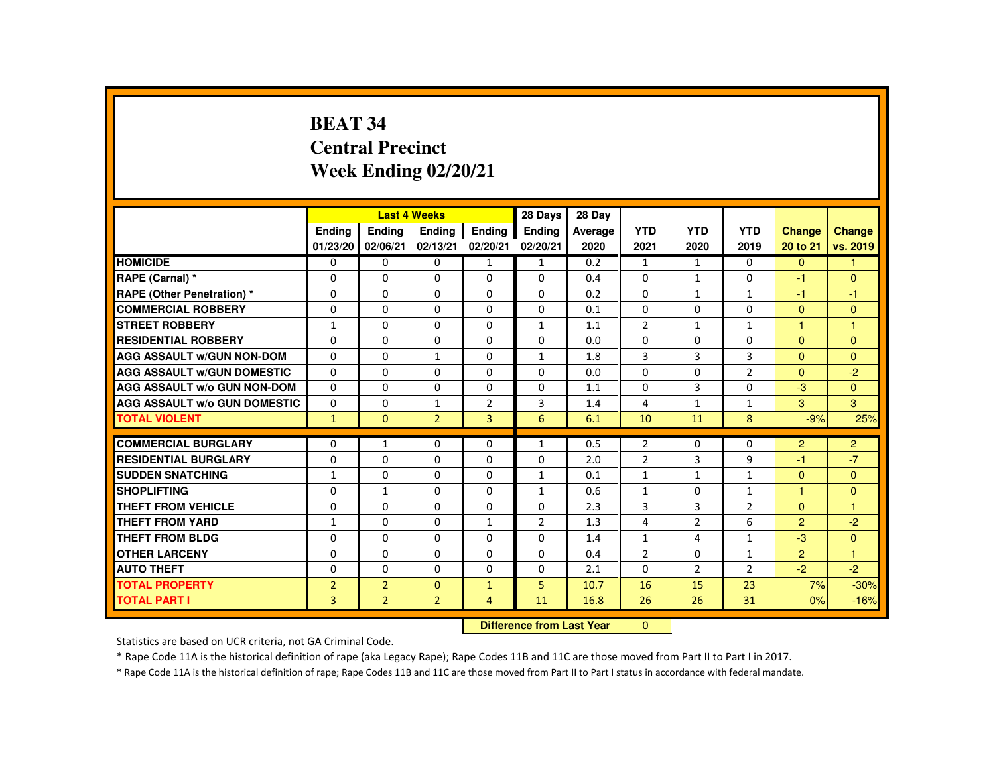# **BEAT 34 Central PrecinctWeek Ending 02/20/21**

|                                     |                |                | <b>Last 4 Weeks</b>       |                | 28 Days        | 28 Day  |                |                |                |                |                |
|-------------------------------------|----------------|----------------|---------------------------|----------------|----------------|---------|----------------|----------------|----------------|----------------|----------------|
|                                     | <b>Endina</b>  | <b>Ending</b>  | <b>Ending</b>             | Ending         | Ending         | Average | <b>YTD</b>     | <b>YTD</b>     | <b>YTD</b>     | <b>Change</b>  | <b>Change</b>  |
|                                     | 01/23/20       | 02/06/21       | 02/13/21                  | 02/20/21       | 02/20/21       | 2020    | 2021           | 2020           | 2019           | 20 to 21       | vs. 2019       |
| <b>HOMICIDE</b>                     | $\mathbf{0}$   | $\Omega$       | $\Omega$                  | $\mathbf{1}$   | $\mathbf{1}$   | 0.2     | $\mathbf{1}$   | $\mathbf{1}$   | $\Omega$       | $\overline{0}$ | $\mathbf{1}$   |
| RAPE (Carnal) *                     | $\Omega$       | $\Omega$       | $\Omega$                  | $\Omega$       | $\Omega$       | 0.4     | $\Omega$       | $\mathbf{1}$   | 0              | -1             | $\mathbf{0}$   |
| <b>RAPE (Other Penetration) *</b>   | $\Omega$       | $\Omega$       | $\Omega$                  | $\Omega$       | $\Omega$       | 0.2     | $\Omega$       | $\mathbf{1}$   | $\mathbf{1}$   | -1             | $-1$           |
| <b>COMMERCIAL ROBBERY</b>           | $\Omega$       | $\Omega$       | $\Omega$                  | $\Omega$       | $\Omega$       | 0.1     | $\Omega$       | $\Omega$       | $\Omega$       | $\Omega$       | $\Omega$       |
| <b>STREET ROBBERY</b>               | $\mathbf{1}$   | $\Omega$       | $\Omega$                  | $\Omega$       | $\mathbf{1}$   | 1.1     | $\overline{2}$ | $\mathbf{1}$   | $\mathbf{1}$   | $\mathbf{1}$   | $\mathbf{1}$   |
| <b>RESIDENTIAL ROBBERY</b>          | $\Omega$       | $\Omega$       | $\Omega$                  | $\Omega$       | $\Omega$       | 0.0     | $\Omega$       | $\Omega$       | $\Omega$       | $\Omega$       | $\Omega$       |
| <b>AGG ASSAULT W/GUN NON-DOM</b>    | $\Omega$       | $\Omega$       | $\mathbf{1}$              | $\Omega$       | $\mathbf{1}$   | 1.8     | 3              | 3              | 3              | $\Omega$       | $\Omega$       |
| <b>AGG ASSAULT W/GUN DOMESTIC</b>   | $\Omega$       | $\Omega$       | $\Omega$                  | $\Omega$       | $\Omega$       | 0.0     | $\Omega$       | $\Omega$       | $\overline{2}$ | $\Omega$       | $-2$           |
| AGG ASSAULT W/o GUN NON-DOM         | $\Omega$       | $\Omega$       | $\Omega$                  | 0              | $\Omega$       | 1.1     | $\Omega$       | 3              | 0              | $-3$           | $\Omega$       |
| <b>AGG ASSAULT W/o GUN DOMESTIC</b> | $\Omega$       | $\Omega$       | 1                         | $\overline{2}$ | 3              | 1.4     | 4              | 1              | $\mathbf{1}$   | 3              | 3              |
| <b>TOTAL VIOLENT</b>                | $\mathbf{1}$   | $\Omega$       | $\overline{2}$            | $\overline{3}$ | 6              | 6.1     | 10             | 11             | 8              | $-9%$          | 25%            |
| <b>COMMERCIAL BURGLARY</b>          | 0              | $\mathbf{1}$   | $\mathbf{0}$              | $\Omega$       | $\mathbf{1}$   | 0.5     | $\overline{2}$ | 0              | 0              | $\overline{2}$ | $\overline{2}$ |
| <b>RESIDENTIAL BURGLARY</b>         | $\Omega$       | $\Omega$       | $\Omega$                  | $\Omega$       | $\Omega$       | 2.0     | $\overline{2}$ | 3              | 9              | -1             | $-7$           |
| <b>SUDDEN SNATCHING</b>             | $\mathbf{1}$   | $\Omega$       | $\Omega$                  | $\Omega$       | $\mathbf{1}$   | 0.1     | $\mathbf{1}$   | $\mathbf{1}$   | $\mathbf{1}$   | $\Omega$       | $\mathbf{0}$   |
| <b>SHOPLIFTING</b>                  | 0              | $\mathbf{1}$   | $\mathbf{0}$              | 0              | $\mathbf{1}$   | 0.6     | $\mathbf{1}$   | $\mathbf{0}$   | $\mathbf{1}$   | 1.             | $\Omega$       |
| <b>THEFT FROM VEHICLE</b>           | $\Omega$       | $\Omega$       | $\Omega$                  | $\Omega$       | $\Omega$       | 2.3     | 3              | 3              | $\overline{2}$ | $\Omega$       | 1              |
| <b>THEFT FROM YARD</b>              | $\mathbf{1}$   | $\Omega$       | $\Omega$                  | $\mathbf{1}$   | $\overline{2}$ | 1.3     | 4              | $\overline{2}$ | 6              | $\overline{2}$ | $-2$           |
| <b>THEFT FROM BLDG</b>              | $\Omega$       | $\Omega$       | $\Omega$                  | $\Omega$       | $\Omega$       | 1.4     | $\mathbf{1}$   | 4              | $\mathbf{1}$   | $-3$           | $\Omega$       |
| <b>OTHER LARCENY</b>                | 0              | $\Omega$       | $\Omega$                  | $\Omega$       | $\Omega$       | 0.4     | $\overline{2}$ | $\Omega$       | 1              | $\overline{2}$ | $\mathbf{1}$   |
| <b>AUTO THEFT</b>                   | $\Omega$       | $\Omega$       | $\Omega$                  | $\Omega$       | $\Omega$       | 2.1     | $\Omega$       | $\overline{2}$ | $\overline{2}$ | $-2$           | $-2$           |
| <b>TOTAL PROPERTY</b>               | $\overline{2}$ | $\overline{2}$ | $\Omega$                  | $\mathbf{1}$   | 5              | 10.7    | 16             | 15             | 23             | 7%             | $-30%$         |
| <b>TOTAL PART I</b>                 | $\overline{3}$ | $\overline{2}$ | $\overline{2}$            | $\overline{4}$ | 11             | 16.8    | 26             | 26             | 31             | 0%             | $-16%$         |
|                                     |                |                | Difference from Last Year |                | $\mathbf{0}$   |         |                |                |                |                |                |

 **Difference from Last Year**

Statistics are based on UCR criteria, not GA Criminal Code.

\* Rape Code 11A is the historical definition of rape (aka Legacy Rape); Rape Codes 11B and 11C are those moved from Part II to Part I in 2017.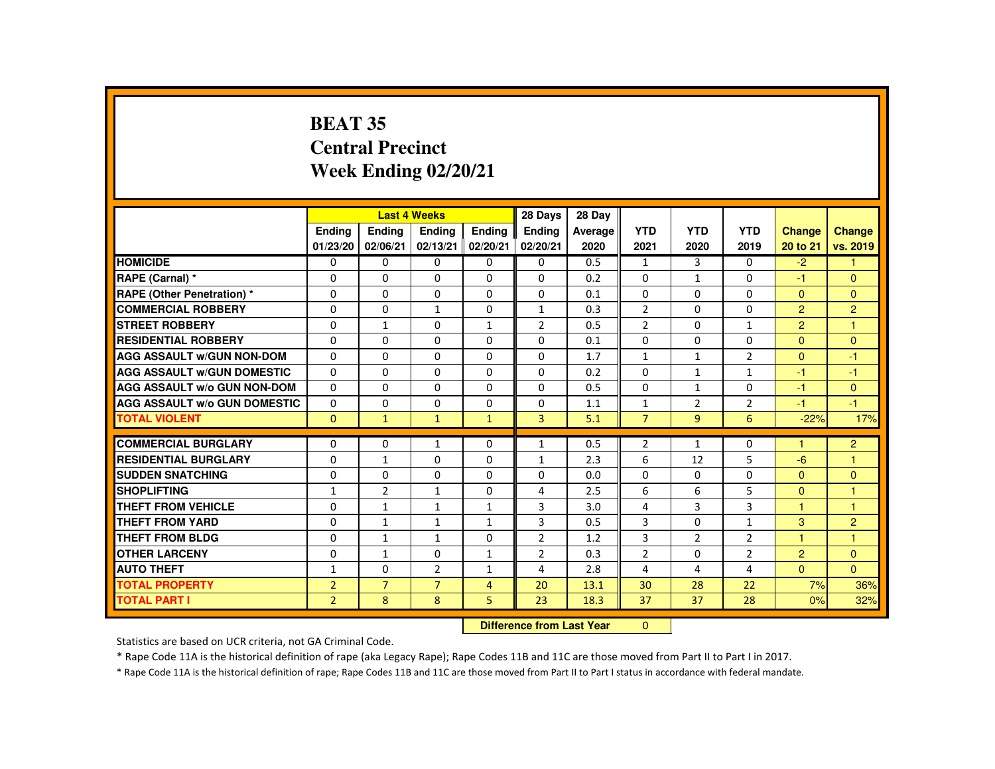# **BEAT 35 Central PrecinctWeek Ending 02/20/21**

|                                     |                |                | <b>Last 4 Weeks</b> |                | 28 Days                   | 28 Day  |                |                |                |                      |                |
|-------------------------------------|----------------|----------------|---------------------|----------------|---------------------------|---------|----------------|----------------|----------------|----------------------|----------------|
|                                     | <b>Endina</b>  | <b>Ending</b>  | <b>Ending</b>       | Ending         | Ending                    | Average | <b>YTD</b>     | <b>YTD</b>     | <b>YTD</b>     | <b>Change</b>        | <b>Change</b>  |
|                                     | 01/23/20       | 02/06/21       | 02/13/21            | 02/20/21       | 02/20/21                  | 2020    | 2021           | 2020           | 2019           | 20 to 21             | vs. 2019       |
| <b>HOMICIDE</b>                     | 0              | $\Omega$       | $\Omega$            | $\Omega$       | $\Omega$                  | 0.5     | $\mathbf{1}$   | $\overline{3}$ | $\Omega$       | $-2$                 | 1.             |
| RAPE (Carnal) *                     | 0              | $\Omega$       | $\Omega$            | 0              | $\Omega$                  | 0.2     | $\Omega$       | $\mathbf{1}$   | 0              | $-1$                 | $\Omega$       |
| RAPE (Other Penetration) *          | $\Omega$       | $\Omega$       | $\Omega$            | $\Omega$       | $\Omega$                  | 0.1     | $\Omega$       | $\Omega$       | 0              | $\mathbf{0}$         | $\Omega$       |
| <b>COMMERCIAL ROBBERY</b>           | $\Omega$       | $\Omega$       | $\mathbf{1}$        | $\Omega$       | $\mathbf{1}$              | 0.3     | $\overline{2}$ | $\Omega$       | 0              | $\overline{2}$       | $\overline{2}$ |
| <b>STREET ROBBERY</b>               | $\Omega$       | $\mathbf{1}$   | $\Omega$            | $\mathbf{1}$   | $\overline{2}$            | 0.5     | $\overline{2}$ | $\Omega$       | $\mathbf{1}$   | $\overline{2}$       | $\mathbf{1}$   |
| <b>RESIDENTIAL ROBBERY</b>          | $\Omega$       | $\Omega$       | $\Omega$            | $\Omega$       | 0                         | 0.1     | 0              | $\Omega$       | 0              | $\overline{0}$       | $\Omega$       |
| <b>AGG ASSAULT w/GUN NON-DOM</b>    | $\Omega$       | $\Omega$       | $\Omega$            | $\Omega$       | $\Omega$                  | 1.7     | $\mathbf{1}$   | $\mathbf{1}$   | $\overline{2}$ | $\Omega$             | $-1$           |
| <b>AGG ASSAULT W/GUN DOMESTIC</b>   | $\Omega$       | $\Omega$       | $\Omega$            | $\Omega$       | $\Omega$                  | 0.2     | $\Omega$       | $\mathbf{1}$   | $\mathbf{1}$   | -1                   | $-1$           |
| AGG ASSAULT w/o GUN NON-DOM         | $\Omega$       | $\Omega$       | $\Omega$            | $\Omega$       | $\Omega$                  | 0.5     | $\Omega$       | $\mathbf{1}$   | 0              | $-1$                 | $\Omega$       |
| <b>AGG ASSAULT W/o GUN DOMESTIC</b> | $\Omega$       | $\Omega$       | 0                   | $\Omega$       | 0                         | 1.1     | $\mathbf{1}$   | $\overline{2}$ | $\overline{2}$ | $-1$                 | $-1$           |
| <b>TOTAL VIOLENT</b>                | $\mathbf{0}$   | $\bullet$      | $\mathbf{1}$        | $\mathbf{1}$   | $\overline{3}$            | 5.1     | $\overline{7}$ | $\overline{9}$ | 6              | $-22%$               | 17%            |
| <b>COMMERCIAL BURGLARY</b>          | $\Omega$       | $\Omega$       | $\mathbf{1}$        | $\Omega$       | $\mathbf{1}$              | 0.5     | $\overline{2}$ | $\mathbf{1}$   | 0              | н                    | $\overline{2}$ |
|                                     |                |                |                     |                |                           |         |                |                |                |                      | 1              |
| <b>RESIDENTIAL BURGLARY</b>         | 0              | $\mathbf{1}$   | $\Omega$            | $\Omega$       | $\mathbf{1}$              | 2.3     | 6              | 12             | 5              | $-6$                 |                |
| <b>SUDDEN SNATCHING</b>             | $\Omega$       | $\Omega$       | $\mathbf{0}$        | $\mathbf{0}$   | $\Omega$                  | 0.0     | $\Omega$       | 0              | 0              | $\Omega$             | $\Omega$       |
| <b>SHOPLIFTING</b>                  | $\mathbf{1}$   | $\overline{2}$ | $\mathbf{1}$        | $\Omega$       | 4                         | 2.5     | 6              | 6              | 5              | $\mathbf{0}$         | $\mathbf{1}$   |
| <b>THEFT FROM VEHICLE</b>           | $\Omega$       | $\mathbf{1}$   | $\mathbf{1}$        | $\mathbf{1}$   | 3                         | 3.0     | 4              | $\overline{3}$ | $\overline{3}$ | $\blacktriangleleft$ | $\mathbf{1}$   |
| <b>THEFT FROM YARD</b>              | $\Omega$       | $\mathbf{1}$   | $\mathbf{1}$        | $\mathbf{1}$   | 3                         | 0.5     | 3              | $\Omega$       | $\mathbf{1}$   | 3                    | $\overline{2}$ |
| <b>THEFT FROM BLDG</b>              | $\Omega$       | $\mathbf{1}$   | $\mathbf{1}$        | $\Omega$       | $\overline{2}$            | 1.2     | 3              | $\overline{2}$ | $\overline{2}$ | 1.                   | $\mathbf{1}$   |
| <b>OTHER LARCENY</b>                | $\Omega$       | $\mathbf{1}$   | $\Omega$            | $\mathbf{1}$   | $\overline{2}$            | 0.3     | $\overline{2}$ | $\Omega$       | $\overline{2}$ | $\overline{2}$       | $\Omega$       |
| <b>AUTO THEFT</b>                   | $\mathbf{1}$   | $\Omega$       | $\overline{2}$      | $\mathbf{1}$   | 4                         | 2.8     | 4              | 4              | 4              | $\overline{0}$       | $\mathbf{0}$   |
| <b>TOTAL PROPERTY</b>               | $\overline{2}$ | $\overline{7}$ | $\overline{7}$      | $\overline{4}$ | 20                        | 13.1    | 30             | 28             | 22             | 7%                   | 36%            |
| <b>TOTAL PART I</b>                 | $\overline{2}$ | 8              | 8                   | 5              | 23                        | 18.3    | 37             | 37             | 28             | 0%                   | 32%            |
|                                     |                |                |                     |                | Difference from Loot Voor |         | $\sim$         |                |                |                      |                |

 **Difference from Last Year**r 0

Statistics are based on UCR criteria, not GA Criminal Code.

\* Rape Code 11A is the historical definition of rape (aka Legacy Rape); Rape Codes 11B and 11C are those moved from Part II to Part I in 2017.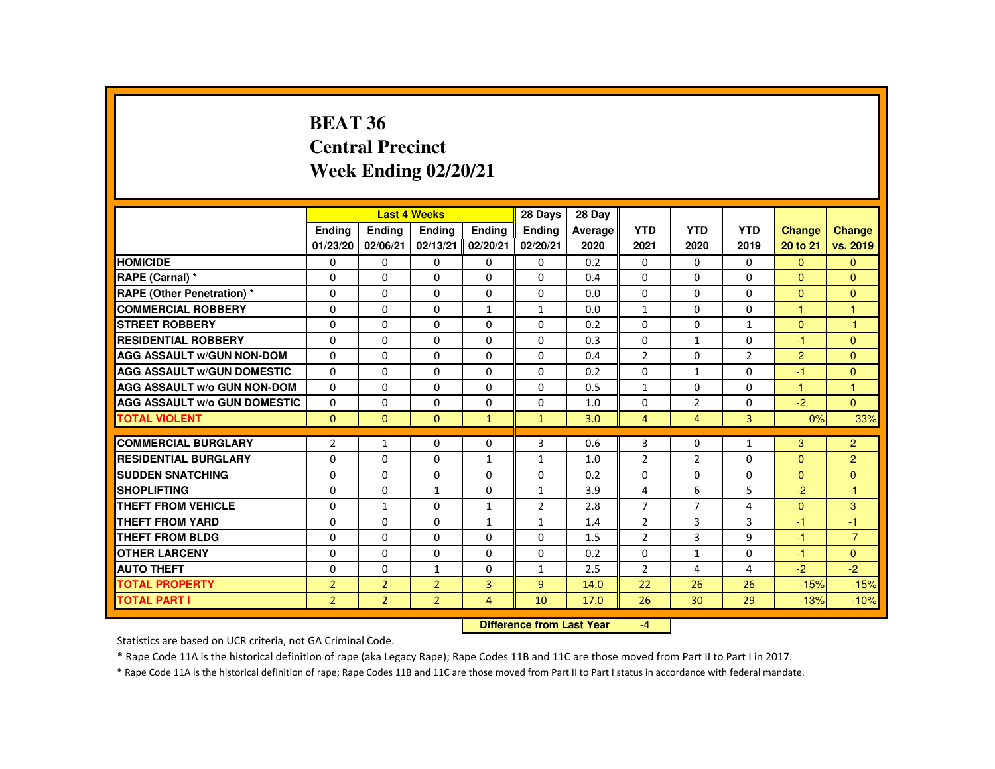#### **BEAT 36 Central PrecinctWeek Ending 02/20/21**

|                                     |                           |                | <b>Last 4 Weeks</b> |                | 28 Days        | 28 Day  |                |                |                |                |                |
|-------------------------------------|---------------------------|----------------|---------------------|----------------|----------------|---------|----------------|----------------|----------------|----------------|----------------|
|                                     | <b>Endina</b>             | <b>Endina</b>  | <b>Endina</b>       | <b>Endina</b>  | Ending         | Average | <b>YTD</b>     | <b>YTD</b>     | <b>YTD</b>     | <b>Change</b>  | <b>Change</b>  |
|                                     | 01/23/20                  | 02/06/21       | 02/13/21            | 02/20/21       | 02/20/21       | 2020    | 2021           | 2020           | 2019           | 20 to 21       | vs. 2019       |
| <b>HOMICIDE</b>                     | $\mathbf{0}$              | $\Omega$       | $\Omega$            | $\Omega$       | 0              | 0.2     | 0              | $\mathbf{0}$   | $\Omega$       | $\Omega$       | $\Omega$       |
| RAPE (Carnal) *                     | $\Omega$                  | $\Omega$       | $\Omega$            | $\Omega$       | $\Omega$       | 0.4     | $\Omega$       | $\Omega$       | $\Omega$       | $\Omega$       | $\Omega$       |
| <b>RAPE (Other Penetration) *</b>   | $\Omega$                  | $\mathbf{0}$   | $\mathbf{0}$        | 0              | 0              | 0.0     | $\Omega$       | 0              | $\Omega$       | $\Omega$       | $\Omega$       |
| <b>COMMERCIAL ROBBERY</b>           | 0                         | $\mathbf{0}$   | $\Omega$            | $\mathbf{1}$   | $\mathbf{1}$   | 0.0     | $\mathbf{1}$   | 0              | $\Omega$       | $\mathbf{1}$   | 1              |
| <b>STREET ROBBERY</b>               | $\Omega$                  | $\mathbf{0}$   | $\Omega$            | $\Omega$       | $\Omega$       | 0.2     | $\Omega$       | $\Omega$       | $\mathbf{1}$   | $\Omega$       | $-1$           |
| <b>RESIDENTIAL ROBBERY</b>          | $\Omega$                  | $\Omega$       | $\Omega$            | $\Omega$       | $\Omega$       | 0.3     | $\Omega$       | $\mathbf{1}$   | $\Omega$       | $-1$           | $\Omega$       |
| <b>AGG ASSAULT W/GUN NON-DOM</b>    | $\Omega$                  | $\Omega$       | $\Omega$            | $\Omega$       | $\Omega$       | 0.4     | $\overline{2}$ | 0              | $\overline{2}$ | $\overline{2}$ | $\mathbf{0}$   |
| <b>AGG ASSAULT W/GUN DOMESTIC</b>   | 0                         | $\mathbf{0}$   | 0                   | 0              | 0              | 0.2     | 0              | $\mathbf{1}$   | $\Omega$       | $-1$           | $\Omega$       |
| <b>AGG ASSAULT W/o GUN NON-DOM</b>  | 0                         | $\mathbf{0}$   | $\mathbf{0}$        | $\Omega$       | 0              | 0.5     | $\mathbf{1}$   | 0              | $\Omega$       | 1              | 1              |
| <b>AGG ASSAULT W/o GUN DOMESTIC</b> | $\Omega$                  | $\Omega$       | $\Omega$            | $\Omega$       | $\Omega$       | 1.0     | $\Omega$       | $\overline{2}$ | $\Omega$       | $-2$           | $\Omega$       |
| <b>TOTAL VIOLENT</b>                | $\mathbf{0}$              | $\mathbf{0}$   | $\mathbf{0}$        | $\mathbf{1}$   | $\mathbf{1}$   | 3.0     | $\overline{4}$ | 4              | 3              | 0%             | 33%            |
| <b>COMMERCIAL BURGLARY</b>          | $\overline{2}$            | $\mathbf{1}$   | $\Omega$            | 0              | 3              | 0.6     | 3              | 0              | $\mathbf{1}$   | 3              | $\overline{2}$ |
| <b>RESIDENTIAL BURGLARY</b>         | $\Omega$                  | $\Omega$       | $\Omega$            | $\mathbf{1}$   | $\mathbf{1}$   | 1.0     | $\overline{2}$ | $\overline{2}$ | $\Omega$       | $\Omega$       | $\overline{2}$ |
| <b>SUDDEN SNATCHING</b>             | 0                         | $\mathbf{0}$   | 0                   | 0              | 0              | 0.2     | 0              | 0              | 0              | $\Omega$       | $\mathbf{0}$   |
| <b>SHOPLIFTING</b>                  | 0                         | $\Omega$       | $\mathbf{1}$        | 0              | $\mathbf{1}$   | 3.9     | 4              | 6              | 5              | $-2$           | $-1$           |
| <b>THEFT FROM VEHICLE</b>           | $\Omega$                  | $\mathbf{1}$   | $\Omega$            | $\mathbf{1}$   | $\overline{2}$ | 2.8     | $\overline{7}$ | $\overline{7}$ | 4              | $\mathbf{0}$   | 3              |
| <b>THEFT FROM YARD</b>              | $\Omega$                  | $\Omega$       | $\Omega$            | $\mathbf{1}$   | $\mathbf{1}$   | 1.4     | $\overline{2}$ | 3              | 3              | $-1$           | $-1$           |
| <b>THEFT FROM BLDG</b>              | $\Omega$                  | 0              | $\Omega$            | 0              | 0              | 1.5     | 2              | 3              | 9              | $-1$           | $-7$           |
| <b>OTHER LARCENY</b>                | 0                         | $\mathbf{0}$   | $\Omega$            | 0              | 0              | 0.2     | $\Omega$       | $\mathbf{1}$   | $\Omega$       | $-1$           | $\Omega$       |
| <b>AUTO THEFT</b>                   | $\Omega$                  | $\Omega$       | $\mathbf{1}$        | $\Omega$       | $\mathbf{1}$   | 2.5     | $\overline{2}$ | 4              | 4              | $-2$           | $-2$           |
| <b>TOTAL PROPERTY</b>               | $\overline{2}$            | $\overline{2}$ | $\overline{2}$      | $\overline{3}$ | $\overline{9}$ | 14.0    | 22             | 26             | 26             | $-15%$         | $-15%$         |
| <b>TOTAL PART I</b>                 | $\overline{2}$            | $\overline{2}$ | $\overline{2}$      | $\overline{4}$ | 10             | 17.0    | 26             | 30             | 29             | $-13%$         | $-10%$         |
|                                     | Difference from Leat Vacu |                |                     |                |                |         | $\overline{a}$ |                |                |                |                |

 **Difference from Last Year**-4

Statistics are based on UCR criteria, not GA Criminal Code.

\* Rape Code 11A is the historical definition of rape (aka Legacy Rape); Rape Codes 11B and 11C are those moved from Part II to Part I in 2017.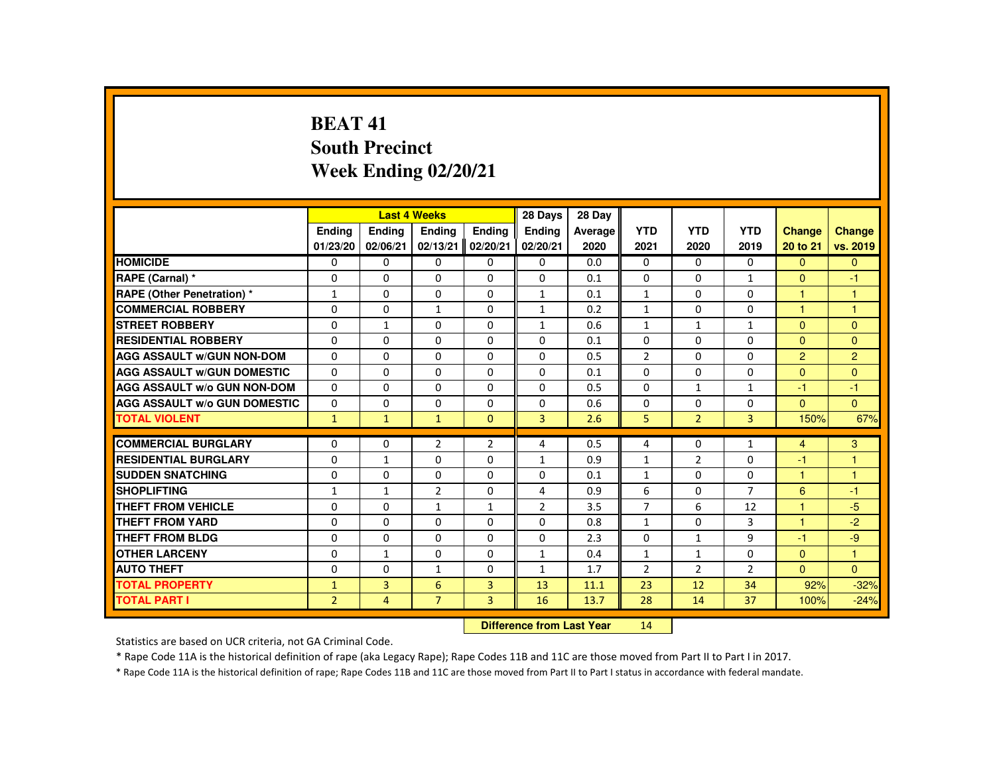### **BEAT 41 South PrecinctWeek Ending 02/20/21**

|                                     |                |                | <b>Last 4 Weeks</b> |                   | 28 Days        | 28 Day        |                |                |                |                |                |
|-------------------------------------|----------------|----------------|---------------------|-------------------|----------------|---------------|----------------|----------------|----------------|----------------|----------------|
|                                     | <b>Endina</b>  | <b>Endina</b>  | Ending              | <b>Endina</b>     | <b>Ending</b>  | Average       | <b>YTD</b>     | <b>YTD</b>     | <b>YTD</b>     | <b>Change</b>  | Change         |
|                                     | 01/23/20       | 02/06/21       | 02/13/21            | 02/20/21          | 02/20/21       | 2020          | 2021           | 2020           | 2019           | 20 to 21       | vs. 2019       |
| <b>HOMICIDE</b>                     | $\mathbf{0}$   | 0              | $\Omega$            | 0                 | 0              | 0.0           | 0              | $\Omega$       | $\Omega$       | $\Omega$       | $\Omega$       |
| RAPE (Carnal) *                     | 0              | $\Omega$       | $\Omega$            | $\Omega$          | $\Omega$       | 0.1           | $\Omega$       | $\Omega$       | $\mathbf{1}$   | $\Omega$       | $-1$           |
| <b>RAPE (Other Penetration) *</b>   | $\mathbf{1}$   | $\Omega$       | $\Omega$            | $\Omega$          | $\mathbf{1}$   | 0.1           | $\mathbf{1}$   | $\Omega$       | $\Omega$       | $\overline{1}$ | $\mathbf{1}$   |
| <b>COMMERCIAL ROBBERY</b>           | $\Omega$       | $\Omega$       | $\mathbf{1}$        | $\Omega$          | $\mathbf{1}$   | 0.2           | $\mathbf{1}$   | $\Omega$       | $\Omega$       | $\overline{1}$ | $\overline{1}$ |
| <b>STREET ROBBERY</b>               | $\Omega$       | $\mathbf{1}$   | $\Omega$            | $\Omega$          | $\mathbf{1}$   | 0.6           | $\mathbf{1}$   | $\mathbf{1}$   | $\mathbf{1}$   | $\Omega$       | $\Omega$       |
| <b>RESIDENTIAL ROBBERY</b>          | 0              | 0              | $\Omega$            | 0                 | 0              | 0.1           | 0              | 0              | 0              | $\mathbf{0}$   | $\mathbf{0}$   |
| <b>AGG ASSAULT W/GUN NON-DOM</b>    | $\Omega$       | $\Omega$       | $\Omega$            | $\Omega$          | $\Omega$       | 0.5           | $\overline{2}$ | $\Omega$       | $\Omega$       | $\overline{2}$ | $\overline{2}$ |
| <b>AGG ASSAULT W/GUN DOMESTIC</b>   | $\Omega$       | $\Omega$       | $\Omega$            | $\Omega$          | $\Omega$       | 0.1           | $\Omega$       | $\Omega$       | $\Omega$       | $\Omega$       | $\Omega$       |
| <b>AGG ASSAULT W/o GUN NON-DOM</b>  | $\Omega$       | $\Omega$       | $\Omega$            | $\Omega$          | $\Omega$       | 0.5           | $\Omega$       | $\mathbf{1}$   | $\mathbf{1}$   | $-1$           | $-1$           |
| <b>AGG ASSAULT W/o GUN DOMESTIC</b> | $\Omega$       | $\Omega$       | $\Omega$            | $\Omega$          | $\Omega$       | 0.6           | $\Omega$       | $\Omega$       | $\Omega$       | $\Omega$       | $\Omega$       |
| <b>TOTAL VIOLENT</b>                | $\mathbf{1}$   | $\mathbf{1}$   | $\mathbf{1}$        | $\mathbf{0}$      | $\overline{3}$ | 2.6           | 5              | $\overline{2}$ | $\overline{3}$ | 150%           | 67%            |
|                                     |                |                |                     |                   |                |               |                |                |                |                |                |
| <b>COMMERCIAL BURGLARY</b>          | 0              | 0              | $\overline{2}$      | $\overline{2}$    | 4              | 0.5           | 4              | 0              | $\mathbf{1}$   | $\overline{4}$ | 3              |
| <b>RESIDENTIAL BURGLARY</b>         | $\Omega$       | $\mathbf{1}$   | $\Omega$            | $\Omega$          | $\mathbf{1}$   | 0.9           | $\mathbf{1}$   | $\overline{2}$ | $\Omega$       | $-1$           | $\mathbf{1}$   |
| <b>SUDDEN SNATCHING</b>             | $\Omega$       | 0              | $\Omega$            | $\Omega$          | $\Omega$       | 0.1           | $\mathbf{1}$   | 0              | $\Omega$       | $\overline{1}$ | $\overline{1}$ |
| <b>SHOPLIFTING</b>                  | $\mathbf{1}$   | $\mathbf{1}$   | $\overline{2}$      | $\Omega$          | 4              | 0.9           | 6              | $\Omega$       | $\overline{7}$ | 6              | $-1$           |
| <b>THEFT FROM VEHICLE</b>           | $\Omega$       | $\Omega$       | $\mathbf{1}$        | $\mathbf{1}$      | $\overline{2}$ | 3.5           | $\overline{7}$ | 6              | 12             | $\overline{1}$ | $-5$           |
| <b>THEFT FROM YARD</b>              | $\Omega$       | $\Omega$       | $\Omega$            | $\Omega$          | $\Omega$       | 0.8           | $\mathbf{1}$   | $\Omega$       | 3              | $\overline{1}$ | $-2$           |
| <b>THEFT FROM BLDG</b>              | $\Omega$       | 0              | 0                   | 0                 | $\Omega$       | 2.3           | $\Omega$       | $\mathbf{1}$   | 9              | -1             | $-9$           |
| <b>OTHER LARCENY</b>                | $\Omega$       | $\mathbf{1}$   | $\Omega$            | $\Omega$          | $\mathbf{1}$   | 0.4           | $\mathbf{1}$   | $\mathbf{1}$   | 0              | $\overline{0}$ | $\overline{1}$ |
| <b>AUTO THEFT</b>                   | $\Omega$       | $\Omega$       | $\mathbf{1}$        | $\Omega$          | $\mathbf{1}$   | 1.7           | $\overline{2}$ | $\overline{2}$ | $\overline{2}$ | $\Omega$       | $\Omega$       |
| <b>TOTAL PROPERTY</b>               | $\mathbf{1}$   | 3              | 6                   | 3                 | 13             | 11.1          | 23             | 12             | 34             | 92%            | $-32%$         |
| <b>TOTAL PART I</b>                 | $\overline{2}$ | $\overline{4}$ | $\overline{7}$      | 3                 | 16             | 13.7          | 28             | 14             | 37             | 100%           | $-24%$         |
|                                     |                |                |                     | <b>COLLECTION</b> | .              | $-1 - -1$ M/s | $\overline{a}$ |                |                |                |                |

 **Difference from Last Year**<sup>14</sup>

Statistics are based on UCR criteria, not GA Criminal Code.

\* Rape Code 11A is the historical definition of rape (aka Legacy Rape); Rape Codes 11B and 11C are those moved from Part II to Part I in 2017.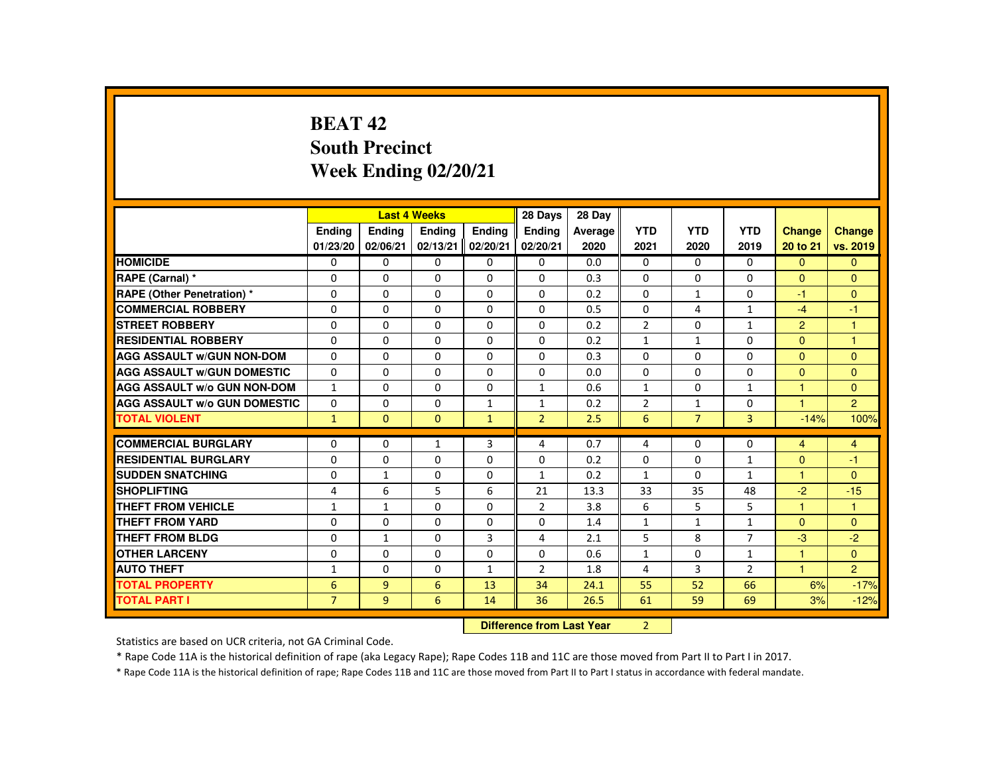# **BEAT 42 South PrecinctWeek Ending 02/20/21**

|                                     |                |               | <b>Last 4 Weeks</b>              |                | 28 Days        | 28 Day  |                |                |                |                      |                |
|-------------------------------------|----------------|---------------|----------------------------------|----------------|----------------|---------|----------------|----------------|----------------|----------------------|----------------|
|                                     | <b>Endina</b>  | <b>Endina</b> | <b>Endina</b>                    | <b>Endina</b>  | <b>Endina</b>  | Average | <b>YTD</b>     | <b>YTD</b>     | <b>YTD</b>     | <b>Change</b>        | <b>Change</b>  |
|                                     | 01/23/20       | 02/06/21      | 02/13/21                         | 02/20/21       | 02/20/21       | 2020    | 2021           | 2020           | 2019           | 20 to 21             | vs. 2019       |
| <b>HOMICIDE</b>                     | $\Omega$       | $\mathbf{0}$  | $\mathbf{0}$                     | $\mathbf{0}$   | 0              | 0.0     | 0              | $\Omega$       | $\Omega$       | $\Omega$             | $\mathbf{0}$   |
| RAPE (Carnal) *                     | $\Omega$       | $\Omega$      | $\Omega$                         | $\Omega$       | $\Omega$       | 0.3     | $\Omega$       | $\Omega$       | $\Omega$       | $\Omega$             | $\Omega$       |
| <b>RAPE (Other Penetration) *</b>   | $\Omega$       | $\Omega$      | $\Omega$                         | $\Omega$       | $\Omega$       | 0.2     | $\Omega$       | $\mathbf{1}$   | $\Omega$       | $-1$                 | $\Omega$       |
| <b>COMMERCIAL ROBBERY</b>           | $\Omega$       | $\Omega$      | $\Omega$                         | $\Omega$       | $\Omega$       | 0.5     | $\Omega$       | 4              | $\mathbf{1}$   | $-4$                 | $-1$           |
| <b>STREET ROBBERY</b>               | $\mathbf{0}$   | $\Omega$      | $\Omega$                         | $\Omega$       | $\Omega$       | 0.2     | $\overline{2}$ | $\Omega$       | $\mathbf{1}$   | $\overline{2}$       | 1              |
| <b>RESIDENTIAL ROBBERY</b>          | $\Omega$       | $\Omega$      | $\Omega$                         | $\Omega$       | $\Omega$       | 0.2     | $\mathbf{1}$   | $\mathbf{1}$   | $\Omega$       | $\Omega$             | $\mathbf{1}$   |
| <b>AGG ASSAULT W/GUN NON-DOM</b>    | $\Omega$       | $\Omega$      | $\Omega$                         | $\Omega$       | $\Omega$       | 0.3     | $\Omega$       | $\Omega$       | $\Omega$       | $\mathbf{0}$         | $\Omega$       |
| <b>AGG ASSAULT W/GUN DOMESTIC</b>   | $\Omega$       | $\Omega$      | $\Omega$                         | $\Omega$       | $\Omega$       | 0.0     | $\Omega$       | $\Omega$       | $\Omega$       | $\Omega$             | $\Omega$       |
| <b>AGG ASSAULT W/o GUN NON-DOM</b>  | $\mathbf{1}$   | $\Omega$      | $\Omega$                         | $\mathbf{0}$   | $\mathbf{1}$   | 0.6     | $\mathbf{1}$   | 0              | $\mathbf{1}$   | 1                    | $\Omega$       |
| <b>AGG ASSAULT W/o GUN DOMESTIC</b> | $\Omega$       | $\mathbf 0$   | $\Omega$                         | $\mathbf{1}$   | $\mathbf{1}$   | 0.2     | $\overline{2}$ | 1              | 0              | $\blacktriangleleft$ | $\overline{2}$ |
| <b>TOTAL VIOLENT</b>                | $\mathbf{1}$   | $\Omega$      | $\Omega$                         | $\mathbf{1}$   | $\overline{2}$ | 2.5     | 6              | $\overline{7}$ | $\overline{3}$ | $-14%$               | 100%           |
| <b>COMMERCIAL BURGLARY</b>          | $\Omega$       | $\Omega$      |                                  | 3              | 4              | 0.7     | 4              | $\Omega$       | $\Omega$       |                      |                |
|                                     |                |               | 1                                |                |                |         |                |                |                | 4                    | $\overline{4}$ |
| <b>RESIDENTIAL BURGLARY</b>         | $\Omega$       | $\Omega$      | $\Omega$                         | $\Omega$       | $\Omega$       | 0.2     | $\Omega$       | $\Omega$       | $\mathbf{1}$   | $\Omega$             | $-1$           |
| <b>SUDDEN SNATCHING</b>             | $\Omega$       | $\mathbf{1}$  | $\Omega$                         | $\Omega$       | $\mathbf{1}$   | 0.2     | $\mathbf{1}$   | $\Omega$       | $\mathbf{1}$   | $\mathbf{1}$         | $\Omega$       |
| <b>SHOPLIFTING</b>                  | 4              | 6             | 5                                | 6              | 21             | 13.3    | 33             | 35             | 48             | $-2$                 | $-15$          |
| <b>THEFT FROM VEHICLE</b>           | $\mathbf{1}$   | $\mathbf{1}$  | $\Omega$                         | $\Omega$       | 2              | 3.8     | 6              | 5              | 5              | 1                    | $\mathbf{1}$   |
| <b>THEFT FROM YARD</b>              | $\mathbf{0}$   | $\Omega$      | $\Omega$                         | $\Omega$       | $\Omega$       | 1.4     | $\mathbf{1}$   | $\mathbf{1}$   | $\mathbf{1}$   | $\Omega$             | $\overline{0}$ |
| <b>THEFT FROM BLDG</b>              | $\Omega$       | $\mathbf{1}$  | $\Omega$                         | $\overline{3}$ | 4              | 2.1     | 5              | 8              | $\overline{7}$ | $-3$                 | $-2$           |
| <b>OTHER LARCENY</b>                | $\Omega$       | $\Omega$      | $\Omega$                         | $\Omega$       | $\Omega$       | 0.6     | $\mathbf{1}$   | $\Omega$       | $\mathbf{1}$   | 1                    | $\Omega$       |
| <b>AUTO THEFT</b>                   | 1              | $\Omega$      | $\Omega$                         | $\mathbf{1}$   | $\overline{2}$ | 1.8     | 4              | $\overline{3}$ | $\overline{2}$ | 1                    | 2 <sup>1</sup> |
| <b>TOTAL PROPERTY</b>               | 6              | 9             | 6                                | 13             | 34             | 24.1    | 55             | 52             | 66             | 6%                   | $-17%$         |
| <b>TOTAL PART I</b>                 | $\overline{7}$ | 9             | 6                                | 14             | 36             | 26.5    | 61             | 59             | 69             | 3%                   | $-12%$         |
|                                     |                |               | <b>Difference from Last Year</b> |                | $\overline{2}$ |         |                |                |                |                      |                |

 **Difference from Last Year**

Statistics are based on UCR criteria, not GA Criminal Code.

\* Rape Code 11A is the historical definition of rape (aka Legacy Rape); Rape Codes 11B and 11C are those moved from Part II to Part I in 2017.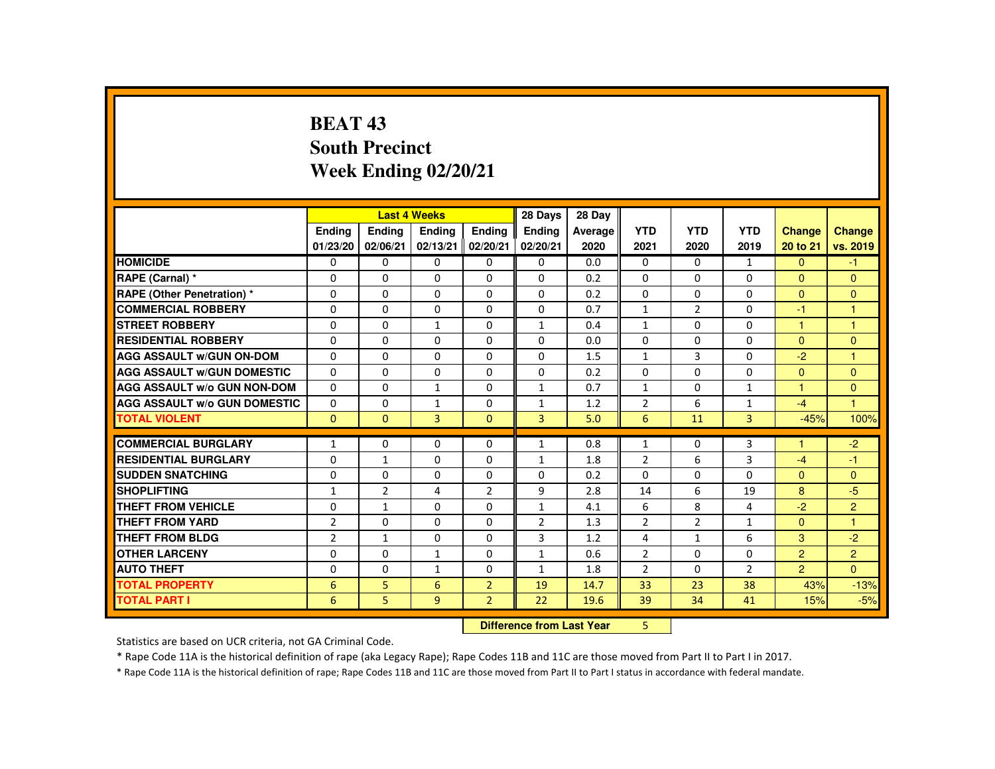# **BEAT 43 South PrecinctWeek Ending 02/20/21**

|                                     |                |                | <b>Last 4 Weeks</b> |                | 28 Days        | 28 Day  |                |                |                |                      |                      |
|-------------------------------------|----------------|----------------|---------------------|----------------|----------------|---------|----------------|----------------|----------------|----------------------|----------------------|
|                                     | <b>Ending</b>  | Ending         | <b>Ending</b>       | Ending         | <b>Ending</b>  | Average | <b>YTD</b>     | <b>YTD</b>     | <b>YTD</b>     | Change               | <b>Change</b>        |
|                                     | 01/23/20       | 02/06/21       | 02/13/21            | 02/20/21       | 02/20/21       | 2020    | 2021           | 2020           | 2019           | 20 to 21             | vs. 2019             |
| <b>HOMICIDE</b>                     | $\Omega$       | $\Omega$       | $\Omega$            | $\Omega$       | $\Omega$       | 0.0     | $\Omega$       | $\Omega$       | $\mathbf{1}$   | $\mathbf{0}$         | $-1$                 |
| RAPE (Carnal) *                     | $\Omega$       | $\Omega$       | $\Omega$            | $\Omega$       | $\Omega$       | 0.2     | $\Omega$       | $\Omega$       | $\Omega$       | $\overline{0}$       | $\mathbf{0}$         |
| <b>RAPE (Other Penetration) *</b>   | $\Omega$       | $\Omega$       | $\Omega$            | $\Omega$       | $\Omega$       | 0.2     | $\Omega$       | $\Omega$       | $\Omega$       | $\Omega$             | $\mathbf{0}$         |
| <b>COMMERCIAL ROBBERY</b>           | $\Omega$       | $\Omega$       | $\Omega$            | $\Omega$       | $\Omega$       | 0.7     | $\mathbf{1}$   | $\overline{2}$ | $\Omega$       | -1                   | 1                    |
| <b>STREET ROBBERY</b>               | $\Omega$       | $\Omega$       | $\mathbf{1}$        | $\Omega$       | $\mathbf{1}$   | 0.4     | $\mathbf{1}$   | $\Omega$       | $\Omega$       | $\blacktriangleleft$ | $\mathbf{1}$         |
| <b>RESIDENTIAL ROBBERY</b>          | $\Omega$       | $\Omega$       | $\Omega$            | $\Omega$       | $\Omega$       | 0.0     | $\Omega$       | $\Omega$       | $\Omega$       | $\mathbf{0}$         | $\mathbf{0}$         |
| <b>AGG ASSAULT W/GUN ON-DOM</b>     | $\Omega$       | $\Omega$       | $\Omega$            | $\Omega$       | $\Omega$       | 1.5     | $\mathbf{1}$   | 3              | 0              | $-2$                 | $\blacktriangleleft$ |
| <b>AGG ASSAULT W/GUN DOMESTIC</b>   | $\Omega$       | $\Omega$       | $\Omega$            | $\Omega$       | $\Omega$       | 0.2     | $\Omega$       | $\Omega$       | $\Omega$       | $\Omega$             | $\Omega$             |
| <b>AGG ASSAULT W/o GUN NON-DOM</b>  | $\Omega$       | $\Omega$       | $\mathbf{1}$        | $\Omega$       | $\mathbf{1}$   | 0.7     | $\mathbf{1}$   | $\Omega$       | $\mathbf{1}$   | 1                    | $\mathbf{0}$         |
| <b>AGG ASSAULT W/o GUN DOMESTIC</b> | $\Omega$       | $\Omega$       | $\mathbf{1}$        | $\Omega$       | $\mathbf{1}$   | 1.2     | $\overline{2}$ | 6              | $\mathbf{1}$   | $-4$                 | $\blacksquare$       |
| <b>TOTAL VIOLENT</b>                | $\Omega$       | $\mathbf{0}$   | 3                   | $\mathbf{0}$   | 3              | 5.0     | 6              | 11             | 3              | $-45%$               | 100%                 |
|                                     |                |                |                     |                |                |         |                |                |                | и                    |                      |
| <b>COMMERCIAL BURGLARY</b>          | $\mathbf{1}$   | $\Omega$       | $\Omega$            | $\Omega$       | $\mathbf{1}$   | 0.8     | $\mathbf{1}$   | $\Omega$       | 3              |                      | $-2$                 |
| <b>RESIDENTIAL BURGLARY</b>         | $\Omega$       | $\mathbf{1}$   | $\Omega$            | $\Omega$       | $\mathbf{1}$   | 1.8     | $\overline{2}$ | 6              | 3              | $-4$                 | $-1$                 |
| <b>SUDDEN SNATCHING</b>             | 0              | $\Omega$       | 0                   | $\mathbf{0}$   | 0              | 0.2     | $\Omega$       | 0              | 0              | $\mathbf{0}$         | $\Omega$             |
| <b>SHOPLIFTING</b>                  | $\mathbf{1}$   | $\overline{2}$ | 4                   | $\overline{2}$ | 9              | 2.8     | 14             | 6              | 19             | 8                    | $-5$                 |
| <b>THEFT FROM VEHICLE</b>           | $\Omega$       | $\mathbf{1}$   | $\Omega$            | $\Omega$       | $\mathbf{1}$   | 4.1     | 6              | 8              | 4              | $-2$                 | $\overline{2}$       |
| <b>THEFT FROM YARD</b>              | $\overline{2}$ | $\Omega$       | $\Omega$            | $\Omega$       | $\overline{2}$ | 1.3     | $\overline{2}$ | $\overline{2}$ | $\mathbf{1}$   | $\Omega$             | $\blacksquare$       |
| <b>THEFT FROM BLDG</b>              | $\overline{2}$ | $\mathbf{1}$   | $\Omega$            | $\Omega$       | 3              | 1.2     | 4              | $\mathbf{1}$   | 6              | 3                    | $-2$                 |
| <b>OTHER LARCENY</b>                | $\Omega$       | $\mathbf{0}$   | $\mathbf{1}$        | $\Omega$       | $\mathbf{1}$   | 0.6     | $\overline{2}$ | 0              | 0              | $\overline{2}$       | $\overline{2}$       |
| <b>AUTO THEFT</b>                   | $\Omega$       | $\Omega$       | $\mathbf{1}$        | $\Omega$       | $\mathbf{1}$   | 1.8     | $\overline{2}$ | $\Omega$       | $\overline{2}$ | $\overline{2}$       | $\Omega$             |
| <b>TOTAL PROPERTY</b>               | 6              | 5              | 6                   | $\overline{2}$ | 19             | 14.7    | 33             | 23             | 38             | 43%                  | $-13%$               |
| <b>TOTAL PART I</b>                 | 6              | 5              | 9                   | $\overline{2}$ | 22             | 19.6    | 39             | 34             | 41             | 15%                  | $-5%$                |
|                                     |                |                |                     |                |                |         |                |                |                |                      |                      |

 **Difference from Last Year**<sup>5</sup>

Statistics are based on UCR criteria, not GA Criminal Code.

\* Rape Code 11A is the historical definition of rape (aka Legacy Rape); Rape Codes 11B and 11C are those moved from Part II to Part I in 2017.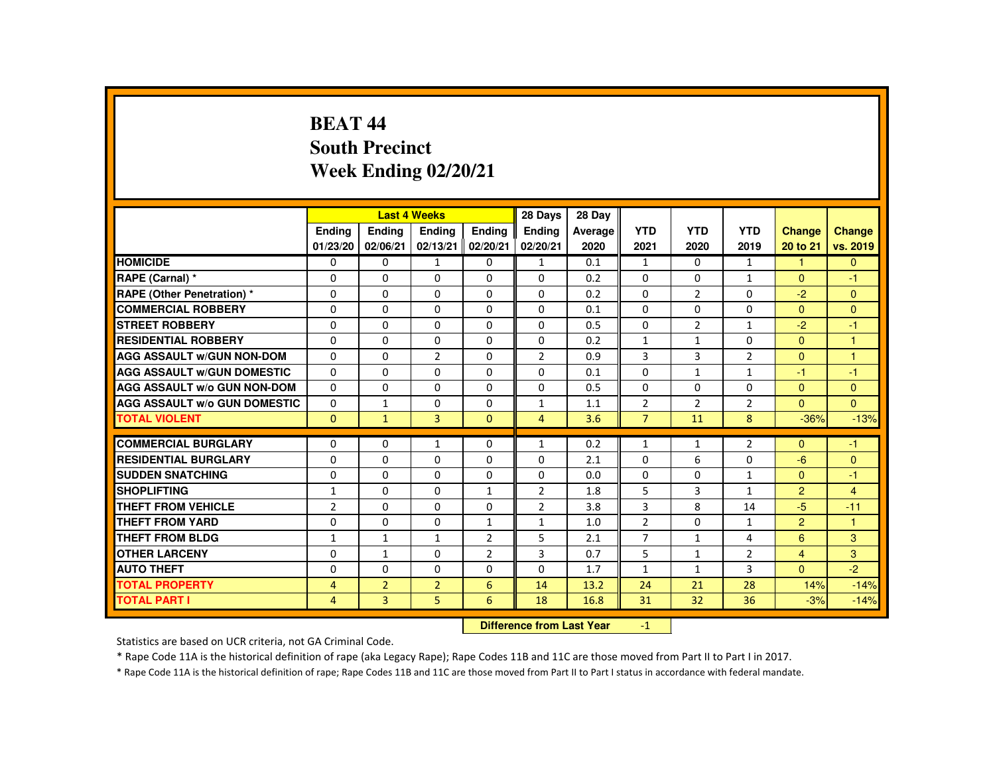# **BEAT 44 South PrecinctWeek Ending 02/20/21**

|                                     |                |                | <b>Last 4 Weeks</b> |                | 28 Days        | 28 Day  |                |                |                |                |                |
|-------------------------------------|----------------|----------------|---------------------|----------------|----------------|---------|----------------|----------------|----------------|----------------|----------------|
|                                     | <b>Endina</b>  | <b>Ending</b>  | <b>Ending</b>       | Ending         | Ending         | Average | <b>YTD</b>     | <b>YTD</b>     | <b>YTD</b>     | <b>Change</b>  | <b>Change</b>  |
|                                     | 01/23/20       | 02/06/21       | 02/13/21            | 02/20/21       | 02/20/21       | 2020    | 2021           | 2020           | 2019           | 20 to 21       | vs. 2019       |
| <b>HOMICIDE</b>                     | $\mathbf{0}$   | $\mathbf{0}$   | $\mathbf{1}$        | 0              | $\mathbf{1}$   | 0.1     | $\mathbf{1}$   | $\Omega$       | $\mathbf{1}$   | $\mathbf{1}$   | $\Omega$       |
| RAPE (Carnal) *                     | $\Omega$       | $\Omega$       | $\Omega$            | $\Omega$       | $\Omega$       | 0.2     | $\Omega$       | $\Omega$       | $\mathbf{1}$   | $\mathbf{0}$   | $-1$           |
| <b>RAPE (Other Penetration) *</b>   | $\Omega$       | $\Omega$       | $\Omega$            | $\Omega$       | $\Omega$       | 0.2     | $\Omega$       | $\overline{2}$ | $\Omega$       | $-2$           | $\Omega$       |
| <b>COMMERCIAL ROBBERY</b>           | $\Omega$       | $\Omega$       | $\Omega$            | $\Omega$       | $\Omega$       | 0.1     | $\Omega$       | $\Omega$       | $\Omega$       | $\mathbf{0}$   | $\Omega$       |
| <b>STREET ROBBERY</b>               | $\Omega$       | $\Omega$       | $\Omega$            | $\Omega$       | $\Omega$       | 0.5     | $\Omega$       | $\overline{2}$ | $\mathbf{1}$   | $-2$           | $-1$           |
| <b>RESIDENTIAL ROBBERY</b>          | $\Omega$       | $\mathbf{0}$   | $\Omega$            | 0              | $\mathbf{0}$   | 0.2     | $\mathbf{1}$   | $\mathbf{1}$   | $\Omega$       | $\Omega$       | $\overline{1}$ |
| <b>AGG ASSAULT w/GUN NON-DOM</b>    | $\Omega$       | $\Omega$       | $\overline{2}$      | $\Omega$       | $\overline{2}$ | 0.9     | 3              | 3              | $\overline{2}$ | $\Omega$       | 1              |
| <b>AGG ASSAULT W/GUN DOMESTIC</b>   | $\Omega$       | $\Omega$       | $\Omega$            | $\Omega$       | $\Omega$       | 0.1     | $\Omega$       | $\mathbf{1}$   | $\mathbf{1}$   | $-1$           | $-1$           |
| <b>AGG ASSAULT W/o GUN NON-DOM</b>  | $\Omega$       | $\Omega$       | $\Omega$            | $\Omega$       | $\Omega$       | 0.5     | $\Omega$       | $\Omega$       | $\Omega$       | $\mathbf{0}$   | $\Omega$       |
| <b>AGG ASSAULT W/o GUN DOMESTIC</b> | $\Omega$       | $\mathbf{1}$   | $\Omega$            | $\Omega$       | $\mathbf{1}$   | 1.1     | $\overline{2}$ | $\overline{2}$ | $\overline{2}$ | $\Omega$       | $\Omega$       |
| <b>TOTAL VIOLENT</b>                | $\mathbf{0}$   | $\mathbf{1}$   | 3                   | $\mathbf{0}$   | $\overline{4}$ | 3.6     | $\overline{7}$ | 11             | 8              | $-36%$         | $-13%$         |
|                                     |                |                |                     |                |                |         |                |                |                |                |                |
| <b>COMMERCIAL BURGLARY</b>          | $\Omega$       | $\Omega$       | $\mathbf{1}$        | $\Omega$       | $\mathbf{1}$   | 0.2     | $\mathbf{1}$   | $\mathbf{1}$   | $\overline{2}$ | $\Omega$       | $-1$           |
| <b>RESIDENTIAL BURGLARY</b>         | $\Omega$       | $\Omega$       | $\Omega$            | $\Omega$       | $\Omega$       | 2.1     | $\Omega$       | 6              | $\Omega$       | $-6$           | $\Omega$       |
| <b>SUDDEN SNATCHING</b>             | 0              | $\mathbf{0}$   | $\Omega$            | 0              | 0              | 0.0     | 0              | 0              | $\mathbf{1}$   | $\Omega$       | $-1$           |
| <b>SHOPLIFTING</b>                  | $\mathbf{1}$   | $\Omega$       | $\Omega$            | $\mathbf{1}$   | $\overline{2}$ | 1.8     | 5              | 3              | $\mathbf{1}$   | $\overline{2}$ | $\overline{4}$ |
| <b>THEFT FROM VEHICLE</b>           | $\overline{2}$ | $\Omega$       | $\Omega$            | $\Omega$       | $\overline{2}$ | 3.8     | 3              | 8              | 14             | $-5$           | $-11$          |
| <b>THEFT FROM YARD</b>              | $\Omega$       | $\Omega$       | $\Omega$            | $\mathbf{1}$   | 1              | 1.0     | $\overline{2}$ | $\Omega$       | $\mathbf{1}$   | $\overline{2}$ | $\overline{1}$ |
| <b>THEFT FROM BLDG</b>              | $\mathbf{1}$   | $\mathbf{1}$   | $\mathbf{1}$        | $\overline{2}$ | 5              | 2.1     | $\overline{7}$ | $\mathbf{1}$   | 4              | 6              | 3              |
| <b>OTHER LARCENY</b>                | $\Omega$       | $\mathbf{1}$   | $\Omega$            | $\overline{2}$ | 3              | 0.7     | 5              | $\mathbf{1}$   | $\overline{2}$ | $\overline{4}$ | 3              |
| <b>AUTO THEFT</b>                   | $\Omega$       | $\Omega$       | $\Omega$            | $\Omega$       | $\Omega$       | 1.7     | $\mathbf{1}$   | $\mathbf{1}$   | $\overline{3}$ | $\mathbf{0}$   | $-2$           |
| <b>TOTAL PROPERTY</b>               | $\overline{4}$ | $\overline{2}$ | $\overline{2}$      | 6              | 14             | 13.2    | 24             | 21             | 28             | 14%            | $-14%$         |
| <b>TOTAL PART I</b>                 | $\overline{4}$ | 3              | 5                   | 6              | 18             | 16.8    | 31             | 32             | 36             | $-3%$          | $-14%$         |
|                                     | <b>CARLES</b>  |                |                     |                |                |         |                |                |                |                |                |

 **Difference from Last Year**-1

Statistics are based on UCR criteria, not GA Criminal Code.

\* Rape Code 11A is the historical definition of rape (aka Legacy Rape); Rape Codes 11B and 11C are those moved from Part II to Part I in 2017.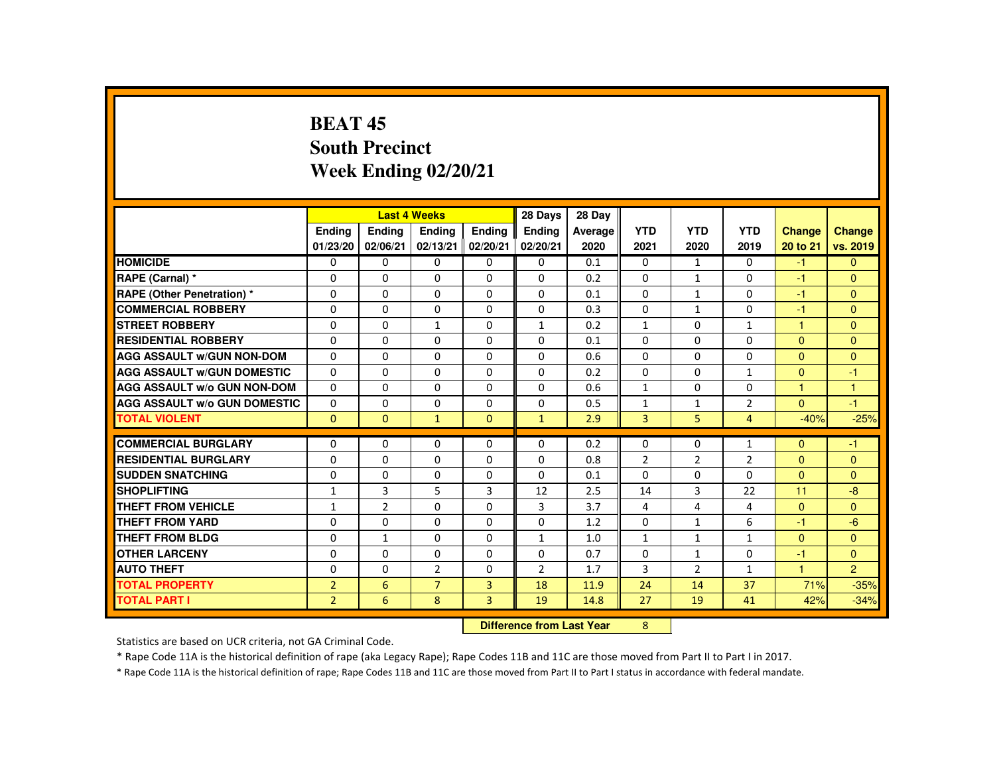### **BEAT 45 South PrecinctWeek Ending 02/20/21**

|                                     |                |                | <b>Last 4 Weeks</b>              |                | 28 Days      | 28 Day  |                |                |                |                      |                |
|-------------------------------------|----------------|----------------|----------------------------------|----------------|--------------|---------|----------------|----------------|----------------|----------------------|----------------|
|                                     | <b>Ending</b>  | <b>Ending</b>  | <b>Ending</b>                    | Ending         | Ending       | Average | <b>YTD</b>     | <b>YTD</b>     | <b>YTD</b>     | <b>Change</b>        | Change         |
|                                     | 01/23/20       | 02/06/21       | 02/13/21                         | 02/20/21       | 02/20/21     | 2020    | 2021           | 2020           | 2019           | 20 to 21             | vs. 2019       |
| <b>HOMICIDE</b>                     | 0              | $\Omega$       | $\mathbf{0}$                     | $\mathbf{0}$   | 0            | 0.1     | 0              | 1              | 0              | $-1$                 | $\mathbf{0}$   |
| RAPE (Carnal) *                     | $\Omega$       | $\Omega$       | $\Omega$                         | $\Omega$       | $\Omega$     | 0.2     | $\Omega$       | $\mathbf{1}$   | $\Omega$       | -1                   | $\Omega$       |
| <b>RAPE (Other Penetration) *</b>   | $\mathbf{0}$   | $\Omega$       | $\Omega$                         | $\Omega$       | $\Omega$     | 0.1     | $\Omega$       | $\mathbf{1}$   | $\Omega$       | $-1$                 | $\overline{0}$ |
| <b>COMMERCIAL ROBBERY</b>           | $\Omega$       | $\Omega$       | $\Omega$                         | $\Omega$       | 0            | 0.3     | $\Omega$       | $\mathbf{1}$   | $\Omega$       | $-1$                 | $\Omega$       |
| <b>STREET ROBBERY</b>               | 0              | $\Omega$       | 1                                | $\mathbf{0}$   | 1            | 0.2     | $\mathbf{1}$   | $\Omega$       | $\mathbf{1}$   | 1                    | $\mathbf{0}$   |
| <b>RESIDENTIAL ROBBERY</b>          | $\mathbf{0}$   | $\Omega$       | $\Omega$                         | $\Omega$       | $\Omega$     | 0.1     | $\Omega$       | $\Omega$       | $\Omega$       | $\Omega$             | $\Omega$       |
| <b>AGG ASSAULT W/GUN NON-DOM</b>    | $\mathbf{0}$   | $\Omega$       | $\Omega$                         | $\Omega$       | $\Omega$     | 0.6     | $\Omega$       | $\Omega$       | $\Omega$       | $\Omega$             | $\Omega$       |
| <b>AGG ASSAULT W/GUN DOMESTIC</b>   | $\Omega$       | $\Omega$       | $\Omega$                         | $\Omega$       | $\Omega$     | 0.2     | $\Omega$       | $\Omega$       | $\mathbf{1}$   | $\Omega$             | $-1$           |
| <b>AGG ASSAULT W/o GUN NON-DOM</b>  | $\Omega$       | $\Omega$       | $\mathbf{0}$                     | 0              | 0            | 0.6     | $\mathbf{1}$   | 0              | $\Omega$       | $\blacktriangleleft$ | $\mathbf{1}$   |
| <b>AGG ASSAULT W/o GUN DOMESTIC</b> | $\mathbf{0}$   | $\Omega$       | $\Omega$                         | $\Omega$       | $\Omega$     | 0.5     | $\mathbf{1}$   | $\mathbf{1}$   | $\overline{2}$ | $\Omega$             | $-1$           |
| <b>TOTAL VIOLENT</b>                | $\Omega$       | $\mathbf{0}$   | $\mathbf{1}$                     | $\mathbf{0}$   | $\mathbf{1}$ | 2.9     | 3              | 5              | $\overline{4}$ | $-40%$               | $-25%$         |
| <b>COMMERCIAL BURGLARY</b>          | $\mathbf{0}$   | $\Omega$       | $\Omega$                         | $\Omega$       | $\Omega$     | 0.2     | $\Omega$       | 0              | $\mathbf{1}$   | $\Omega$             | $-1$           |
| <b>RESIDENTIAL BURGLARY</b>         | $\Omega$       | $\Omega$       | $\Omega$                         | $\Omega$       | $\Omega$     | 0.8     | $\overline{2}$ | $\overline{2}$ | $\overline{2}$ | $\Omega$             | $\mathbf{0}$   |
| <b>SUDDEN SNATCHING</b>             | $\Omega$       | $\Omega$       | $\Omega$                         | $\Omega$       | $\Omega$     | 0.1     | $\Omega$       | $\Omega$       | $\Omega$       | $\Omega$             | $\Omega$       |
| <b>SHOPLIFTING</b>                  | $\mathbf{1}$   | 3              | 5                                | 3              | 12           | 2.5     | 14             | 3              | 22             | 11                   | $-8$           |
| <b>THEFT FROM VEHICLE</b>           | 1              | $\overline{2}$ | $\Omega$                         | $\Omega$       | 3            | 3.7     | 4              | 4              | 4              | $\Omega$             | $\Omega$       |
| <b>THEFT FROM YARD</b>              | $\mathbf{0}$   | $\Omega$       | $\Omega$                         | $\Omega$       | $\Omega$     | 1.2     | $\Omega$       | $\mathbf{1}$   | 6              | $-1$                 | $-6$           |
| <b>THEFT FROM BLDG</b>              | $\mathbf{0}$   | $\mathbf{1}$   | $\Omega$                         | $\Omega$       | $\mathbf{1}$ | 1.0     | $\mathbf{1}$   | $\mathbf{1}$   | $\mathbf{1}$   | $\Omega$             | $\Omega$       |
| <b>OTHER LARCENY</b>                | $\mathbf{0}$   | $\Omega$       | $\Omega$                         | $\Omega$       | $\Omega$     | 0.7     | $\Omega$       | 1              | $\Omega$       | -1                   | $\mathbf{0}$   |
| <b>AUTO THEFT</b>                   | $\Omega$       | $\Omega$       | $\overline{2}$                   | $\Omega$       | 2            | 1.7     | 3              | $\overline{2}$ | $\mathbf{1}$   | $\overline{1}$       | $\overline{2}$ |
| <b>TOTAL PROPERTY</b>               | $\overline{2}$ | 6              | $\overline{7}$                   | $\overline{3}$ | 18           | 11.9    | 24             | 14             | 37             | 71%                  | $-35%$         |
| <b>TOTAL PART I</b>                 | $\overline{2}$ | 6              | 8                                | $\overline{3}$ | 19           | 14.8    | 27             | 19             | 41             | 42%                  | $-34%$         |
|                                     |                |                | <b>Difference from Last Year</b> |                | 8            |         |                |                |                |                      |                |

 **Difference from Last Year**

Statistics are based on UCR criteria, not GA Criminal Code.

\* Rape Code 11A is the historical definition of rape (aka Legacy Rape); Rape Codes 11B and 11C are those moved from Part II to Part I in 2017.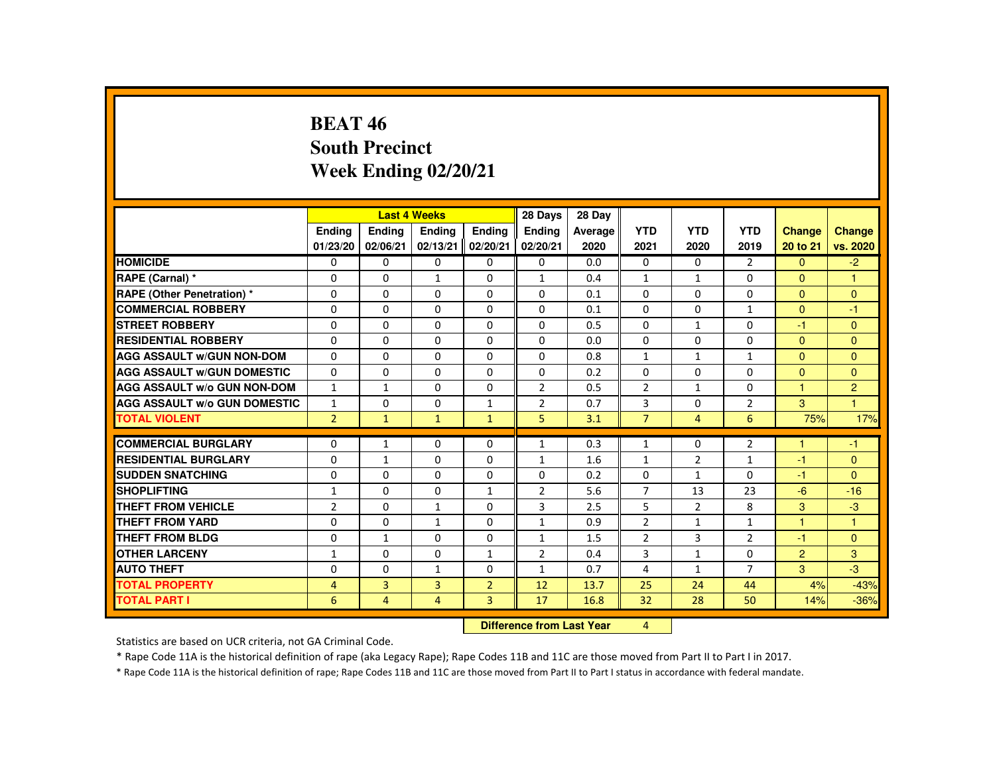### **BEAT 46 South PrecinctWeek Ending 02/20/21**

|                                     |                |                | <b>Last 4 Weeks</b> |                   | 28 Days        | 28 Day    |                |                |                |                |                |
|-------------------------------------|----------------|----------------|---------------------|-------------------|----------------|-----------|----------------|----------------|----------------|----------------|----------------|
|                                     | <b>Endina</b>  | Ending         | Ending              | <b>Endina</b>     | <b>Ending</b>  | Average   | <b>YTD</b>     | <b>YTD</b>     | <b>YTD</b>     | Change         | <b>Change</b>  |
|                                     | 01/23/20       | 02/06/21       | 02/13/21            | 02/20/21          | 02/20/21       | 2020      | 2021           | 2020           | 2019           | 20 to 21       | vs. 2020       |
| <b>HOMICIDE</b>                     | 0              | $\mathbf{0}$   | 0                   | $\mathbf{0}$      | 0              | 0.0       | $\mathbf{0}$   | 0              | 2              | $\mathbf{0}$   | $-2$           |
| RAPE (Carnal) *                     | 0              | $\Omega$       | $\mathbf{1}$        | $\Omega$          | $\mathbf{1}$   | 0.4       | $\mathbf{1}$   | $\mathbf{1}$   | 0              | $\mathbf{0}$   | 1              |
| <b>RAPE (Other Penetration) *</b>   | $\Omega$       | $\Omega$       | $\Omega$            | $\Omega$          | $\Omega$       | 0.1       | $\Omega$       | $\Omega$       | $\Omega$       | $\Omega$       | $\Omega$       |
| <b>COMMERCIAL ROBBERY</b>           | $\Omega$       | $\Omega$       | $\Omega$            | $\Omega$          | $\Omega$       | 0.1       | $\Omega$       | $\Omega$       | $\mathbf{1}$   | $\Omega$       | $-1$           |
| <b>STREET ROBBERY</b>               | $\Omega$       | $\Omega$       | $\Omega$            | $\Omega$          | $\Omega$       | 0.5       | $\Omega$       | $\mathbf{1}$   | $\Omega$       | $-1$           | $\Omega$       |
| <b>RESIDENTIAL ROBBERY</b>          | $\Omega$       | $\mathbf{0}$   | $\Omega$            | 0                 | 0              | 0.0       | 0              | 0              | 0              | $\mathbf{0}$   | $\mathbf{0}$   |
| <b>AGG ASSAULT W/GUN NON-DOM</b>    | $\Omega$       | $\Omega$       | 0                   | $\Omega$          | $\Omega$       | 0.8       | $\mathbf{1}$   | $\mathbf{1}$   | $\mathbf{1}$   | $\Omega$       | $\mathbf{0}$   |
| <b>AGG ASSAULT W/GUN DOMESTIC</b>   | $\Omega$       | $\Omega$       | $\Omega$            | $\Omega$          | $\Omega$       | 0.2       | $\Omega$       | $\Omega$       | $\Omega$       | $\Omega$       | $\Omega$       |
| <b>AGG ASSAULT W/o GUN NON-DOM</b>  | $\mathbf{1}$   | $\mathbf{1}$   | $\Omega$            | $\Omega$          | $\overline{2}$ | 0.5       | $\overline{2}$ | $\mathbf{1}$   | $\Omega$       | $\mathbf{1}$   | $\overline{2}$ |
| <b>AGG ASSAULT W/o GUN DOMESTIC</b> | $\mathbf{1}$   | $\Omega$       | $\Omega$            | $\mathbf{1}$      | $\overline{2}$ | 0.7       | 3              | $\Omega$       | $\overline{2}$ | 3              | $\mathbf{1}$   |
| <b>TOTAL VIOLENT</b>                | 2 <sup>1</sup> | $\mathbf{1}$   | $\mathbf{1}$        | $\mathbf{1}$      | 5              | 3.1       | $\overline{7}$ | $\overline{4}$ | 6              | 75%            | 17%            |
|                                     |                |                |                     |                   |                |           |                |                |                |                |                |
| <b>COMMERCIAL BURGLARY</b>          | $\Omega$       | $\mathbf{1}$   | $\Omega$            | 0                 | $\mathbf{1}$   | 0.3       | $\mathbf{1}$   | 0              | $\overline{2}$ | $\overline{1}$ | $-1$           |
| <b>RESIDENTIAL BURGLARY</b>         | $\Omega$       | $\mathbf{1}$   | $\Omega$            | $\Omega$          | $\mathbf{1}$   | 1.6       | $\mathbf{1}$   | $\overline{2}$ | $\mathbf{1}$   | $-1$           | $\Omega$       |
| <b>SUDDEN SNATCHING</b>             | 0              | $\mathbf{0}$   | $\Omega$            | 0                 | 0              | 0.2       | 0              | $\mathbf{1}$   | 0              | $-1$           | $\mathbf{0}$   |
| <b>SHOPLIFTING</b>                  | $\mathbf{1}$   | $\Omega$       | $\Omega$            | $\mathbf{1}$      | $\overline{2}$ | 5.6       | $\overline{7}$ | 13             | 23             | $-6$           | $-16$          |
| <b>THEFT FROM VEHICLE</b>           | $\overline{2}$ | $\Omega$       | $\mathbf{1}$        | $\Omega$          | 3              | 2.5       | 5              | $\overline{2}$ | 8              | 3              | $-3$           |
| <b>THEFT FROM YARD</b>              | $\Omega$       | $\Omega$       | $\mathbf{1}$        | $\Omega$          | $\mathbf{1}$   | 0.9       | $\overline{2}$ | $\mathbf{1}$   | $\mathbf{1}$   | $\mathbf{1}$   | $\mathbf{1}$   |
| <b>THEFT FROM BLDG</b>              | $\Omega$       | $\mathbf{1}$   | $\Omega$            | 0                 | $\mathbf{1}$   | 1.5       | $\overline{2}$ | 3              | $\overline{2}$ | $-1$           | $\mathbf{0}$   |
| <b>OTHER LARCENY</b>                | $\mathbf{1}$   | $\Omega$       | $\Omega$            | $\mathbf{1}$      | $\overline{2}$ | 0.4       | 3              | $\mathbf{1}$   | 0              | $\overline{2}$ | 3              |
| <b>AUTO THEFT</b>                   | $\Omega$       | $\Omega$       | $\mathbf{1}$        | $\Omega$          | $\mathbf{1}$   | 0.7       | 4              | $\mathbf{1}$   | $\overline{7}$ | 3              | $-3$           |
| <b>TOTAL PROPERTY</b>               | $\overline{4}$ | $\overline{3}$ | 3                   | $\overline{2}$    | 12             | 13.7      | 25             | 24             | 44             | 4%             | $-43%$         |
| <b>TOTAL PART I</b>                 | 6              | 4              | $\overline{4}$      | 3                 | 17             | 16.8      | 32             | 28             | 50             | 14%            | $-36%$         |
|                                     |                |                |                     | <b>CONTRACTOR</b> |                | $-1 - -1$ |                |                |                |                |                |

 **Difference from Last Year**r 4

Statistics are based on UCR criteria, not GA Criminal Code.

\* Rape Code 11A is the historical definition of rape (aka Legacy Rape); Rape Codes 11B and 11C are those moved from Part II to Part I in 2017.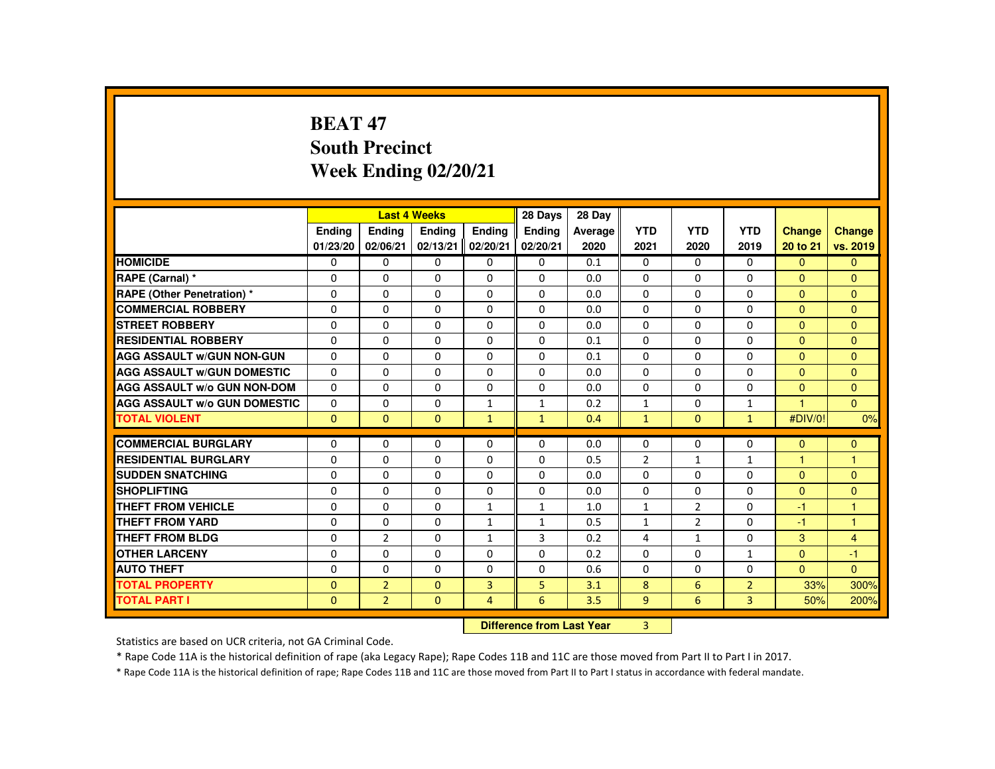# **BEAT 47 South PrecinctWeek Ending 02/20/21**

|                                     |              |                | <b>Last 4 Weeks</b>       |                | 28 Days       | 28 Day  |                |                |                |                |                |
|-------------------------------------|--------------|----------------|---------------------------|----------------|---------------|---------|----------------|----------------|----------------|----------------|----------------|
|                                     | Ending       | Ending         | <b>Endina</b>             | <b>Endina</b>  | <b>Endina</b> | Average | <b>YTD</b>     | <b>YTD</b>     | <b>YTD</b>     | Change         | <b>Change</b>  |
|                                     | 01/23/20     | 02/06/21       | 02/13/21                  | 02/20/21       | 02/20/21      | 2020    | 2021           | 2020           | 2019           | 20 to 21       | vs. 2019       |
| <b>HOMICIDE</b>                     | 0            | $\mathbf{0}$   | 0                         | 0              | 0             | 0.1     | 0              | 0              | $\Omega$       | $\mathbf{0}$   | $\mathbf{0}$   |
| RAPE (Carnal) *                     | 0            | $\Omega$       | $\Omega$                  | $\Omega$       | $\Omega$      | 0.0     | $\Omega$       | $\Omega$       | $\Omega$       | $\Omega$       | $\mathbf{0}$   |
| <b>RAPE (Other Penetration) *</b>   | $\Omega$     | $\Omega$       | $\Omega$                  | $\Omega$       | $\Omega$      | 0.0     | $\Omega$       | $\Omega$       | $\Omega$       | $\Omega$       | $\Omega$       |
| <b>COMMERCIAL ROBBERY</b>           | 0            | $\Omega$       | $\Omega$                  | $\Omega$       | $\Omega$      | 0.0     | $\Omega$       | $\Omega$       | $\Omega$       | $\mathbf{0}$   | $\Omega$       |
| <b>STREET ROBBERY</b>               | 0            | $\Omega$       | $\Omega$                  | $\Omega$       | 0             | 0.0     | $\Omega$       | $\Omega$       | $\Omega$       | $\Omega$       | $\Omega$       |
| <b>RESIDENTIAL ROBBERY</b>          | $\Omega$     | $\Omega$       | $\Omega$                  | $\Omega$       | $\Omega$      | 0.1     | $\Omega$       | $\Omega$       | $\Omega$       | $\Omega$       | $\Omega$       |
| <b>AGG ASSAULT W/GUN NON-GUN</b>    | $\Omega$     | $\Omega$       | $\Omega$                  | $\Omega$       | $\Omega$      | 0.1     | $\Omega$       | $\Omega$       | $\Omega$       | $\Omega$       | $\mathbf{0}$   |
| <b>AGG ASSAULT W/GUN DOMESTIC</b>   | $\Omega$     | $\Omega$       | $\Omega$                  | $\Omega$       | $\Omega$      | 0.0     | $\Omega$       | $\Omega$       | $\Omega$       | $\Omega$       | $\Omega$       |
| <b>AGG ASSAULT W/o GUN NON-DOM</b>  | $\Omega$     | $\Omega$       | $\Omega$                  | $\Omega$       | $\Omega$      | 0.0     | $\Omega$       | 0              | $\Omega$       | $\Omega$       | $\Omega$       |
| <b>AGG ASSAULT W/o GUN DOMESTIC</b> | $\Omega$     | $\Omega$       | $\Omega$                  | $\mathbf{1}$   | $\mathbf{1}$  | 0.2     | $\mathbf{1}$   | $\Omega$       | $\mathbf{1}$   | $\overline{1}$ | $\Omega$       |
| <b>TOTAL VIOLENT</b>                | $\Omega$     | $\Omega$       | $\Omega$                  | $\mathbf{1}$   | $\mathbf{1}$  | 0.4     | $\mathbf{1}$   | $\mathbf{0}$   | $\mathbf{1}$   | #DIV/0!        | 0%             |
| <b>COMMERCIAL BURGLARY</b>          | $\Omega$     | $\Omega$       | $\Omega$                  | $\Omega$       | $\Omega$      | 0.0     | $\Omega$       | 0              | $\Omega$       | $\Omega$       | $\mathbf{0}$   |
| <b>RESIDENTIAL BURGLARY</b>         | $\Omega$     | $\Omega$       | $\Omega$                  | 0              | $\mathbf 0$   | 0.5     | $\overline{2}$ | $\mathbf{1}$   | $\mathbf{1}$   | $\overline{1}$ | $\mathbf{1}$   |
| <b>SUDDEN SNATCHING</b>             | $\Omega$     | $\Omega$       | $\Omega$                  | $\Omega$       | $\Omega$      | 0.0     | $\Omega$       | $\Omega$       | $\Omega$       | $\Omega$       | $\mathbf{0}$   |
| <b>SHOPLIFTING</b>                  | 0            | 0              | 0                         | 0              | 0             | 0.0     | 0              | 0              | 0              | $\overline{0}$ | $\mathbf{0}$   |
| <b>THEFT FROM VEHICLE</b>           | $\Omega$     | $\Omega$       | $\Omega$                  | $\mathbf{1}$   | $\mathbf{1}$  | 1.0     | $\mathbf{1}$   | 2              | $\Omega$       | $-1$           | 1              |
| <b>THEFT FROM YARD</b>              | $\Omega$     | $\Omega$       | $\Omega$                  | $\mathbf{1}$   | 1             | 0.5     | $\mathbf{1}$   | $\overline{2}$ | $\Omega$       | $-1$           | $\mathbf{1}$   |
| <b>THEFT FROM BLDG</b>              | $\Omega$     | $\overline{2}$ | $\Omega$                  | $\mathbf{1}$   | 3             | 0.2     | 4              | $\mathbf{1}$   | $\Omega$       | 3              | $\overline{4}$ |
| <b>OTHER LARCENY</b>                | 0            | $\Omega$       | 0                         | $\Omega$       | $\Omega$      | 0.2     | $\Omega$       | 0              | $\mathbf{1}$   | $\mathbf{0}$   | $-1$           |
| <b>AUTO THEFT</b>                   | $\Omega$     | $\Omega$       | $\Omega$                  | $\Omega$       | $\Omega$      | 0.6     | $\Omega$       | $\Omega$       | $\Omega$       | $\Omega$       | $\Omega$       |
| <b>TOTAL PROPERTY</b>               | $\Omega$     | $\overline{2}$ | $\Omega$                  | $\overline{3}$ | 5             | 3.1     | 8              | 6              | $\overline{2}$ | 33%            | 300%           |
| <b>TOTAL PART I</b>                 | $\mathbf{0}$ | $\overline{2}$ | $\mathbf{0}$              | $\overline{4}$ | 6             | 3.5     | 9              | 6              | $\overline{3}$ | 50%            | 200%           |
|                                     |              |                |                           |                |               |         |                |                |                |                |                |
|                                     |              |                | Difference from Last Year |                | 3             |         |                |                |                |                |                |

 **Difference from Last Year**

Statistics are based on UCR criteria, not GA Criminal Code.

\* Rape Code 11A is the historical definition of rape (aka Legacy Rape); Rape Codes 11B and 11C are those moved from Part II to Part I in 2017.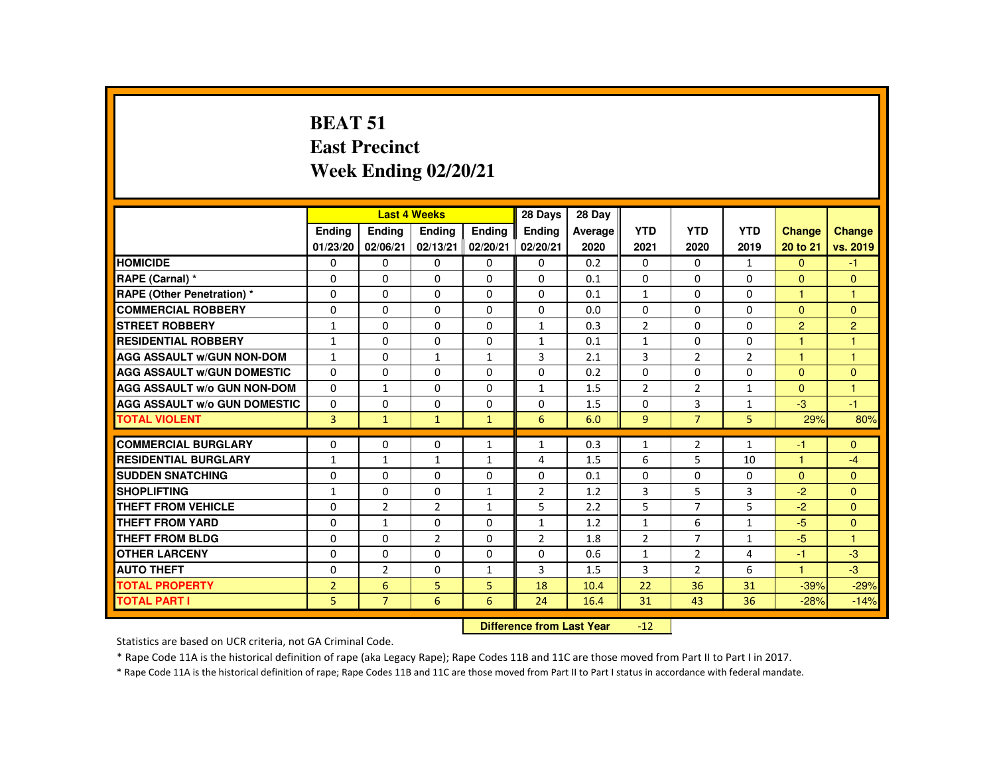# **BEAT 51 East PrecinctWeek Ending 02/20/21**

|                                     |                    |                                  | <b>Last 4 Weeks</b> |                           | 28 Days            | 28 Day          |                    |                    |                    |                           |                           |
|-------------------------------------|--------------------|----------------------------------|---------------------|---------------------------|--------------------|-----------------|--------------------|--------------------|--------------------|---------------------------|---------------------------|
|                                     | Ending<br>01/23/20 | Ending<br>02/06/21               | Ending<br>02/13/21  | <b>Endina</b><br>02/20/21 | Ending<br>02/20/21 | Average<br>2020 | <b>YTD</b><br>2021 | <b>YTD</b><br>2020 | <b>YTD</b><br>2019 | <b>Change</b><br>20 to 21 | <b>Change</b><br>vs. 2019 |
| <b>HOMICIDE</b>                     | 0                  | 0                                | 0                   | 0                         | 0                  | 0.2             | 0                  | $\Omega$           | $\mathbf{1}$       | $\Omega$                  | $-1$                      |
| RAPE (Carnal) *                     | 0                  | $\Omega$                         | 0                   | $\Omega$                  | $\Omega$           | 0.1             | $\Omega$           | $\Omega$           | $\Omega$           | $\Omega$                  | $\mathbf{0}$              |
| <b>RAPE (Other Penetration) *</b>   | $\Omega$           | $\Omega$                         | $\Omega$            | $\Omega$                  | $\Omega$           | 0.1             | $\mathbf{1}$       | $\Omega$           | $\Omega$           | $\mathbf{1}$              | $\overline{1}$            |
| <b>COMMERCIAL ROBBERY</b>           | $\Omega$           | $\Omega$                         | $\Omega$            | $\Omega$                  | $\Omega$           | 0.0             | $\Omega$           | $\Omega$           | $\Omega$           | $\Omega$                  | $\mathbf{0}$              |
| <b>STREET ROBBERY</b>               | $\mathbf{1}$       | $\Omega$                         | $\Omega$            | $\Omega$                  | $\mathbf{1}$       | 0.3             | $\overline{2}$     | $\Omega$           | $\Omega$           | $\overline{2}$            | 2                         |
| <b>RESIDENTIAL ROBBERY</b>          | $\mathbf{1}$       | 0                                | $\Omega$            | 0                         | $\mathbf{1}$       | 0.1             | $\mathbf{1}$       | 0                  | 0                  | 1                         | $\overline{1}$            |
| <b>AGG ASSAULT W/GUN NON-DOM</b>    | $\mathbf{1}$       | $\Omega$                         | $\mathbf{1}$        | $\mathbf{1}$              | 3                  | 2.1             | 3                  | 2                  | $\overline{2}$     | $\mathbf{1}$              | $\mathbf{1}$              |
| <b>AGG ASSAULT W/GUN DOMESTIC</b>   | $\Omega$           | $\Omega$                         | $\Omega$            | $\Omega$                  | $\Omega$           | 0.2             | $\Omega$           | $\Omega$           | $\Omega$           | $\Omega$                  | $\Omega$                  |
| <b>AGG ASSAULT W/o GUN NON-DOM</b>  | 0                  | $\mathbf{1}$                     | 0                   | 0                         | $\mathbf{1}$       | 1.5             | $\overline{2}$     | $\overline{2}$     | $\mathbf{1}$       | $\Omega$                  | $\overline{1}$            |
| <b>AGG ASSAULT W/o GUN DOMESTIC</b> | $\Omega$           | 0                                | $\Omega$            | $\Omega$                  | $\Omega$           | 1.5             | 0                  | 3                  | $\mathbf{1}$       | $-3$                      | $-1$                      |
| <b>TOTAL VIOLENT</b>                | $\overline{3}$     | $\mathbf{1}$                     | $\mathbf{1}$        | $\mathbf{1}$              | 6                  | 6.0             | 9                  | $\overline{7}$     | 5                  | 29%                       | 80%                       |
| <b>COMMERCIAL BURGLARY</b>          | 0                  | 0                                | $\Omega$            | $\mathbf{1}$              | $\mathbf{1}$       | 0.3             | $\mathbf{1}$       | 2                  | $\mathbf{1}$       | -1                        | $\mathbf{0}$              |
| <b>RESIDENTIAL BURGLARY</b>         | $\mathbf{1}$       | $\mathbf{1}$                     | $\mathbf{1}$        | $\mathbf{1}$              | $\overline{4}$     | 1.5             | 6                  | 5                  | 10                 | $\overline{1}$            | $-4$                      |
| <b>SUDDEN SNATCHING</b>             | 0                  | 0                                | 0                   | 0                         | 0                  | 0.1             | $\Omega$           | 0                  | 0                  | $\Omega$                  | $\Omega$                  |
| <b>SHOPLIFTING</b>                  | $\mathbf{1}$       | 0                                | $\Omega$            | $\mathbf{1}$              | 2                  | 1.2             | 3                  | 5                  | 3                  | $-2$                      | $\Omega$                  |
| <b>THEFT FROM VEHICLE</b>           | $\Omega$           | $\overline{2}$                   | $\overline{2}$      | $\mathbf{1}$              | 5                  | 2.2             | 5                  | $\overline{7}$     | 5                  | $-2$                      | $\Omega$                  |
| <b>THEFT FROM YARD</b>              | $\Omega$           | $\mathbf{1}$                     | $\Omega$            | $\Omega$                  | $\mathbf{1}$       | 1.2             | $\mathbf{1}$       | 6                  | $\mathbf{1}$       | $-5$                      | $\Omega$                  |
| <b>THEFT FROM BLDG</b>              | $\Omega$           | $\Omega$                         | $\overline{2}$      | $\Omega$                  | $\overline{2}$     | 1.8             | $\overline{2}$     | $\overline{7}$     | $\mathbf{1}$       | $-5$                      | $\overline{1}$            |
| <b>OTHER LARCENY</b>                | $\Omega$           | $\Omega$                         | $\Omega$            | $\Omega$                  | $\Omega$           | 0.6             | $\mathbf{1}$       | 2                  | 4                  | $-1$                      | -3                        |
| <b>AUTO THEFT</b>                   | $\Omega$           | $\overline{2}$                   | $\Omega$            | $\mathbf{1}$              | 3                  | 1.5             | 3                  | $\overline{2}$     | 6                  | $\overline{1}$            | $-3$                      |
| <b>TOTAL PROPERTY</b>               | $\overline{2}$     | 6                                | 5                   | 5                         | 18                 | 10.4            | 22                 | 36                 | 31                 | $-39%$                    | $-29%$                    |
| <b>TOTAL PART I</b>                 | 5                  | $\overline{7}$                   | 6                   | 6                         | 24                 | 16.4            | 31                 | 43                 | 36                 | $-28%$                    | $-14%$                    |
|                                     |                    | <b>Difference from Last Year</b> |                     | $-12$                     |                    |                 |                    |                    |                    |                           |                           |

Statistics are based on UCR criteria, not GA Criminal Code.

\* Rape Code 11A is the historical definition of rape (aka Legacy Rape); Rape Codes 11B and 11C are those moved from Part II to Part I in 2017.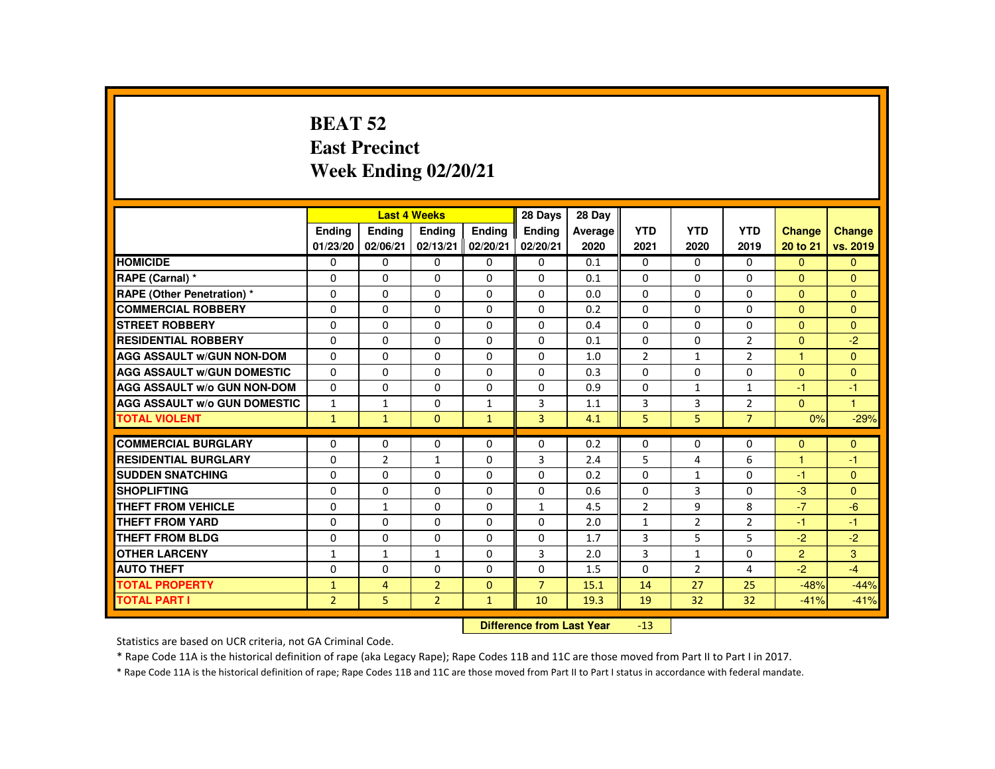#### **BEAT 52 East PrecinctWeek Ending 02/20/21**

|                                     |                |                | <b>Last 4 Weeks</b>              |               | 28 Days        | 28 Day  |                |                |                |                |              |
|-------------------------------------|----------------|----------------|----------------------------------|---------------|----------------|---------|----------------|----------------|----------------|----------------|--------------|
|                                     | <b>Endina</b>  | <b>Endina</b>  | <b>Endina</b>                    | <b>Endina</b> | <b>Endina</b>  | Average | <b>YTD</b>     | <b>YTD</b>     | <b>YTD</b>     | <b>Change</b>  | Change       |
|                                     | 01/23/20       | 02/06/21       | 02/13/21                         | 02/20/21      | 02/20/21       | 2020    | 2021           | 2020           | 2019           | 20 to 21       | vs. 2019     |
| <b>HOMICIDE</b>                     | 0              | 0              | 0                                | 0             | 0              | 0.1     | 0              | $\Omega$       | $\mathbf{0}$   | $\Omega$       | $\mathbf{0}$ |
| <b>RAPE (Carnal) *</b>              | $\Omega$       | $\Omega$       | $\Omega$                         | $\Omega$      | $\Omega$       | 0.1     | $\Omega$       | $\Omega$       | $\Omega$       | $\Omega$       | $\Omega$     |
| <b>RAPE (Other Penetration)*</b>    | $\Omega$       | $\Omega$       | $\Omega$                         | $\Omega$      | $\Omega$       | 0.0     | $\Omega$       | $\Omega$       | $\Omega$       | $\Omega$       | $\mathbf{0}$ |
| <b>COMMERCIAL ROBBERY</b>           | 0              | 0              | $\Omega$                         | $\Omega$      | $\Omega$       | 0.2     | $\Omega$       | $\Omega$       | $\Omega$       | $\Omega$       | $\Omega$     |
| <b>STREET ROBBERY</b>               | $\Omega$       | $\Omega$       | $\Omega$                         | $\Omega$      | $\Omega$       | 0.4     | $\Omega$       | $\Omega$       | $\Omega$       | $\Omega$       | $\Omega$     |
| <b>RESIDENTIAL ROBBERY</b>          | $\Omega$       | $\Omega$       | $\Omega$                         | $\Omega$      | $\Omega$       | 0.1     | $\Omega$       | $\Omega$       | $\overline{2}$ | $\Omega$       | $-2$         |
| <b>AGG ASSAULT W/GUN NON-DOM</b>    | $\Omega$       | $\Omega$       | $\Omega$                         | $\Omega$      | $\Omega$       | 1.0     | $\overline{2}$ | $\mathbf{1}$   | $\overline{2}$ | $\overline{1}$ | $\Omega$     |
| <b>AGG ASSAULT W/GUN DOMESTIC</b>   | 0              | 0              | 0                                | 0             | 0              | 0.3     | $\Omega$       | 0              | 0              | $\Omega$       | $\mathbf{0}$ |
| <b>AGG ASSAULT W/o GUN NON-DOM</b>  | $\Omega$       | $\Omega$       | $\Omega$                         | $\Omega$      | $\Omega$       | 0.9     | $\Omega$       | $\mathbf{1}$   | $\mathbf{1}$   | -1             | $-1$         |
| <b>AGG ASSAULT W/o GUN DOMESTIC</b> | $\mathbf{1}$   | $\mathbf{1}$   | $\Omega$                         | $\mathbf{1}$  | 3              | 1.1     | 3              | 3              | $\overline{2}$ | $\Omega$       | $\mathbf{1}$ |
| <b>TOTAL VIOLENT</b>                | $\mathbf{1}$   | $\mathbf{1}$   | $\Omega$                         | $\mathbf{1}$  | $\overline{3}$ | 4.1     | 5              | 5              | $\overline{7}$ | 0%             | $-29%$       |
| <b>COMMERCIAL BURGLARY</b>          | 0              | 0              | $\Omega$                         | $\Omega$      | $\Omega$       | 0.2     | 0              | $\Omega$       | $\Omega$       | $\mathbf{0}$   | $\mathbf{0}$ |
| <b>RESIDENTIAL BURGLARY</b>         | $\Omega$       | $\overline{2}$ | $\mathbf{1}$                     | 0             | 3              | 2.4     | 5              | 4              | 6              | $\overline{1}$ | $-1$         |
| <b>SUDDEN SNATCHING</b>             | $\Omega$       | $\Omega$       | $\Omega$                         | $\Omega$      | $\Omega$       | 0.2     | $\Omega$       | $\mathbf{1}$   | $\Omega$       | -1             | $\Omega$     |
| <b>SHOPLIFTING</b>                  | $\Omega$       | $\Omega$       | $\Omega$                         | $\Omega$      | $\Omega$       | 0.6     | $\Omega$       | 3              | $\Omega$       | $-3$           | $\Omega$     |
| <b>THEFT FROM VEHICLE</b>           | $\Omega$       | $\mathbf{1}$   | $\Omega$                         | $\Omega$      | $\mathbf{1}$   | 4.5     | $\overline{2}$ | 9              | 8              | $-7$           | $-6$         |
| <b>THEFT FROM YARD</b>              | $\Omega$       | $\Omega$       | $\Omega$                         | $\Omega$      | $\Omega$       | 2.0     | $\mathbf{1}$   | 2              | $\overline{2}$ | $-1$           | $-1$         |
| <b>THEFT FROM BLDG</b>              |                |                | $\Omega$                         | $\Omega$      |                | 1.7     | 3              | 5              | 5              | $-2$           | $-2$         |
|                                     | $\Omega$       | 0              |                                  |               | $\Omega$       |         |                |                |                |                |              |
| <b>OTHER LARCENY</b>                | $\mathbf{1}$   | $\mathbf{1}$   | $\mathbf{1}$                     | $\Omega$      | 3              | 2.0     | 3              | $\mathbf{1}$   | $\Omega$       | $\overline{2}$ | 3            |
| <b>AUTO THEFT</b>                   | $\Omega$       | $\Omega$       | $\Omega$                         | $\Omega$      | $\Omega$       | 1.5     | $\Omega$       | $\overline{2}$ | 4              | $-2$           | $-4$         |
| <b>TOTAL PROPERTY</b>               | $\mathbf{1}$   | $\overline{4}$ | $\overline{2}$                   | $\mathbf{0}$  | $\overline{7}$ | 15.1    | 14             | 27             | 25             | $-48%$         | $-44%$       |
| <b>TOTAL PART I</b>                 | $\overline{2}$ | 5              | $\overline{2}$                   | $\mathbf{1}$  | 10             | 19.3    | 19             | 32             | 32             | $-41%$         | $-41%$       |
|                                     |                |                | <b>Difference from Last Year</b> |               | $-13$          |         |                |                |                |                |              |

Statistics are based on UCR criteria, not GA Criminal Code.

\* Rape Code 11A is the historical definition of rape (aka Legacy Rape); Rape Codes 11B and 11C are those moved from Part II to Part I in 2017.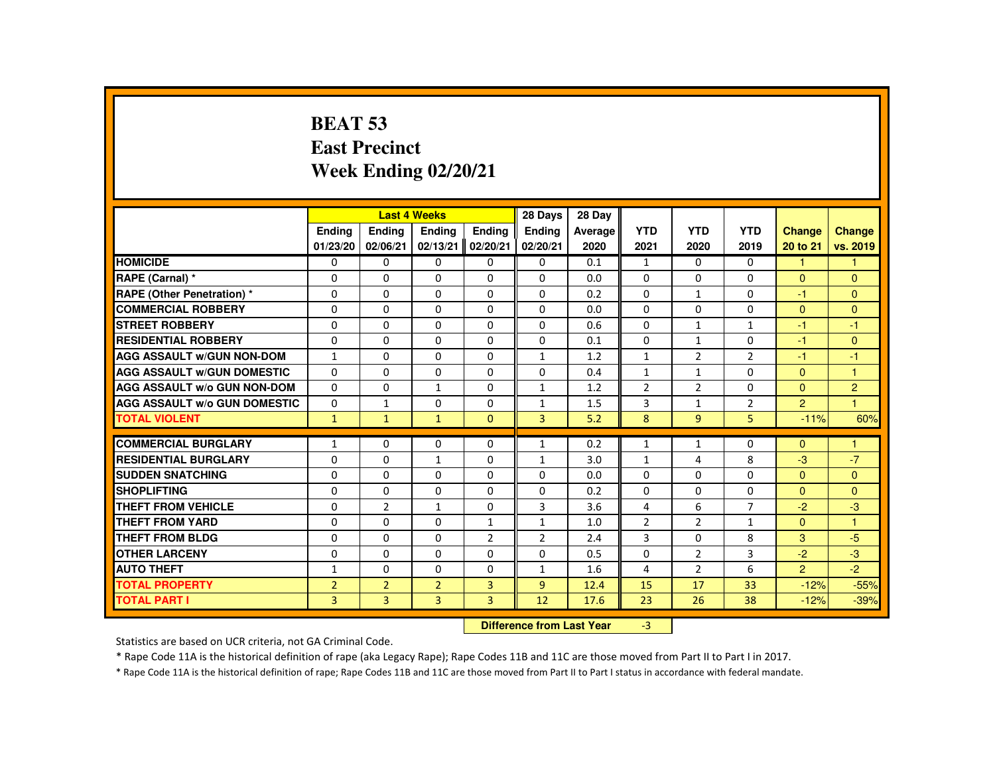# **BEAT 53 East PrecinctWeek Ending 02/20/21**

|                                     |                |                | <b>Last 4 Weeks</b> |                | 28 Days        | 28 Day                    |                |                |                |                |                |
|-------------------------------------|----------------|----------------|---------------------|----------------|----------------|---------------------------|----------------|----------------|----------------|----------------|----------------|
|                                     | <b>Endina</b>  | <b>Ending</b>  | <b>Ending</b>       | <b>Endina</b>  | <b>Endina</b>  | Average                   | <b>YTD</b>     | <b>YTD</b>     | <b>YTD</b>     | <b>Change</b>  | Change         |
|                                     | 01/23/20       | 02/06/21       | 02/13/21            | 02/20/21       | 02/20/21       | 2020                      | 2021           | 2020           | 2019           | 20 to 21       | vs. 2019       |
| <b>HOMICIDE</b>                     | $\Omega$       | $\Omega$       | $\Omega$            | $\Omega$       | 0              | 0.1                       | $\mathbf{1}$   | $\Omega$       | $\Omega$       | $\mathbf{1}$   | $\mathbf{1}$   |
| RAPE (Carnal) *                     | $\Omega$       | $\Omega$       | $\Omega$            | $\Omega$       | $\Omega$       | 0.0                       | $\Omega$       | $\Omega$       | $\Omega$       | $\mathbf{0}$   | $\mathbf{0}$   |
| RAPE (Other Penetration) *          | $\Omega$       | $\Omega$       | $\Omega$            | $\Omega$       | $\Omega$       | 0.2                       | $\Omega$       | 1              | $\Omega$       | $-1$           | $\Omega$       |
| <b>COMMERCIAL ROBBERY</b>           | $\mathbf{0}$   | $\Omega$       | $\Omega$            | $\Omega$       | $\Omega$       | 0.0                       | $\Omega$       | 0              | 0              | $\mathbf{0}$   | $\mathbf{0}$   |
| <b>STREET ROBBERY</b>               | $\Omega$       | $\Omega$       | $\Omega$            | $\Omega$       | $\Omega$       | 0.6                       | $\Omega$       | $\mathbf{1}$   | $\mathbf{1}$   | $-1$           | $-1$           |
| <b>RESIDENTIAL ROBBERY</b>          | $\mathbf{0}$   | $\Omega$       | $\mathbf{0}$        | 0              | 0              | 0.1                       | 0              | 1              | 0              | -1             | $\mathbf{0}$   |
| <b>AGG ASSAULT w/GUN NON-DOM</b>    | $\mathbf{1}$   | $\Omega$       | $\Omega$            | $\Omega$       | $\mathbf{1}$   | 1.2                       | $\mathbf{1}$   | $\overline{2}$ | $\overline{2}$ | -1             | $-1$           |
| <b>AGG ASSAULT W/GUN DOMESTIC</b>   | $\Omega$       | $\Omega$       | $\Omega$            | $\Omega$       | $\Omega$       | 0.4                       | $\mathbf{1}$   | $\mathbf{1}$   | $\Omega$       | $\Omega$       | $\mathbf{1}$   |
| AGG ASSAULT w/o GUN NON-DOM         | $\Omega$       | $\Omega$       | $\mathbf{1}$        | $\Omega$       | $\mathbf{1}$   | 1.2                       | $\overline{2}$ | $\overline{2}$ | $\Omega$       | $\mathbf{0}$   | $\overline{2}$ |
| <b>AGG ASSAULT W/o GUN DOMESTIC</b> | $\Omega$       | $\mathbf{1}$   | $\mathbf{0}$        | $\Omega$       | $\mathbf{1}$   | 1.5                       | 3              | $\mathbf{1}$   | $\overline{2}$ | $\overline{2}$ | 1              |
| <b>TOTAL VIOLENT</b>                | $\mathbf{1}$   | $\mathbf{1}$   | $\mathbf{1}$        | $\mathbf{0}$   | $\overline{3}$ | 5.2                       | 8              | 9 <sup>°</sup> | 5              | $-11%$         | 60%            |
| <b>COMMERCIAL BURGLARY</b>          | $\mathbf{1}$   | $\Omega$       | $\Omega$            | $\Omega$       | $\mathbf{1}$   | 0.2                       | $\mathbf{1}$   | $\mathbf{1}$   | $\Omega$       | $\Omega$       | 1              |
| <b>RESIDENTIAL BURGLARY</b>         | 0              | $\Omega$       | $\mathbf{1}$        | $\Omega$       | $\mathbf{1}$   | 3.0                       | $\mathbf{1}$   | 4              | 8              | $-3$           | $-7$           |
| <b>SUDDEN SNATCHING</b>             | $\Omega$       | $\Omega$       | $\Omega$            | $\Omega$       | $\Omega$       | 0.0                       | $\Omega$       | $\Omega$       | $\Omega$       | $\mathbf{0}$   | $\overline{0}$ |
| <b>SHOPLIFTING</b>                  | $\Omega$       | $\Omega$       | $\Omega$            | $\Omega$       | $\Omega$       | 0.2                       | $\Omega$       | $\Omega$       | $\Omega$       | $\Omega$       | $\Omega$       |
| <b>THEFT FROM VEHICLE</b>           | $\Omega$       | $\overline{2}$ | $\mathbf{1}$        | $\Omega$       | 3              | 3.6                       | $\overline{4}$ | 6              | $\overline{7}$ | $-2$           | $-3$           |
| <b>THEFT FROM YARD</b>              | $\Omega$       | $\Omega$       | $\Omega$            | $\mathbf{1}$   | $\mathbf{1}$   | 1.0                       | $\overline{2}$ | $\overline{2}$ | $\mathbf{1}$   | $\Omega$       | $\mathbf{1}$   |
| <b>THEFT FROM BLDG</b>              | $\mathbf{0}$   | $\Omega$       | $\mathbf{0}$        | $\overline{2}$ | $\overline{2}$ | 2.4                       | 3              | 0              | 8              | $\mathbf{3}$   | $-5$           |
| <b>OTHER LARCENY</b>                | $\mathbf{0}$   | $\Omega$       | $\Omega$            | $\Omega$       | $\Omega$       | 0.5                       | $\Omega$       | $\overline{2}$ | 3              | $-2$           | $-3$           |
| <b>AUTO THEFT</b>                   | $\mathbf{1}$   | $\Omega$       | $\Omega$            | $\Omega$       | $\mathbf{1}$   | 1.6                       | 4              | $\overline{2}$ | 6              | $\overline{2}$ | $-2$           |
| <b>TOTAL PROPERTY</b>               | $\overline{2}$ | $\overline{2}$ | $\overline{2}$      | $\overline{3}$ | $\overline{9}$ | 12.4                      | 15             | 17             | 33             | $-12%$         | $-55%$         |
| <b>TOTAL PART I</b>                 | 3              | 3              | 3                   | $\overline{3}$ | 12             | 17.6                      | 23             | 26             | 38             | $-12%$         | $-39%$         |
|                                     |                |                |                     |                |                | Difference from Loot Voor |                |                |                |                |                |

 **Difference from Last Year**r  $-3$ 

Statistics are based on UCR criteria, not GA Criminal Code.

\* Rape Code 11A is the historical definition of rape (aka Legacy Rape); Rape Codes 11B and 11C are those moved from Part II to Part I in 2017.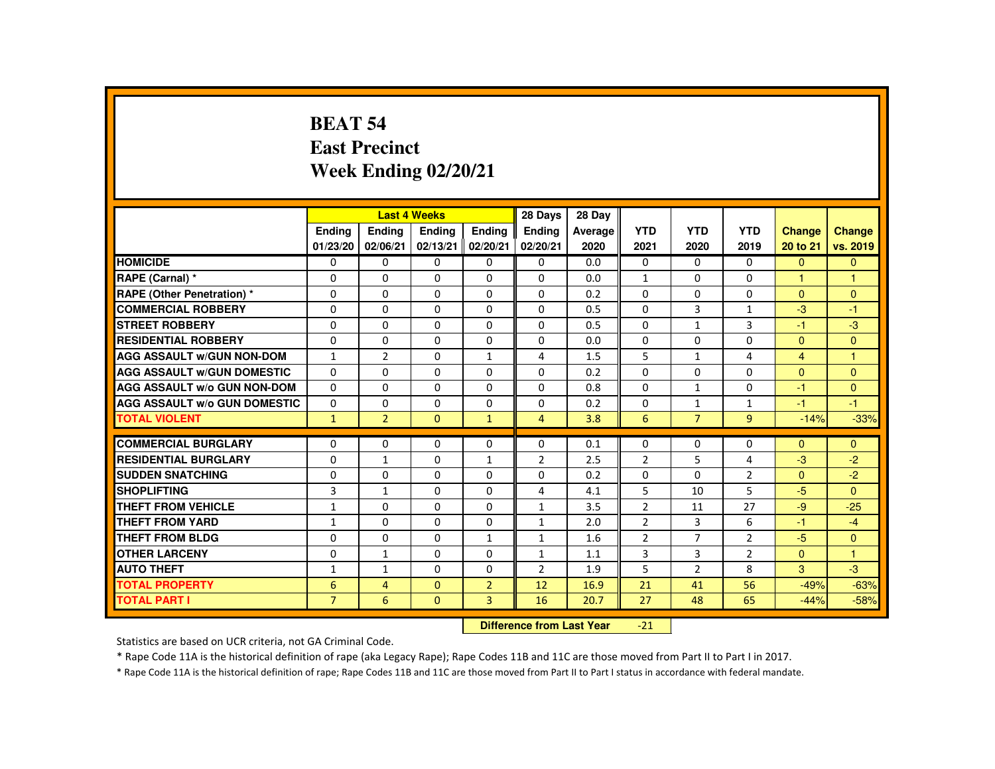#### **BEAT 54 East PrecinctWeek Ending 02/20/21**

|                                     |                |                           | <b>Last 4 Weeks</b> |                | 28 Days        | 28 Day  |                |                |                |                |                |
|-------------------------------------|----------------|---------------------------|---------------------|----------------|----------------|---------|----------------|----------------|----------------|----------------|----------------|
|                                     | <b>Endina</b>  | <b>Endina</b>             | <b>Endina</b>       | <b>Endina</b>  | <b>Endina</b>  | Average | <b>YTD</b>     | <b>YTD</b>     | <b>YTD</b>     | <b>Change</b>  | <b>Change</b>  |
|                                     | 01/23/20       | 02/06/21                  | 02/13/21            | 02/20/21       | 02/20/21       | 2020    | 2021           | 2020           | 2019           | 20 to 21       | vs. 2019       |
| <b>HOMICIDE</b>                     | $\mathbf{0}$   | 0                         | $\Omega$            | 0              | 0              | 0.0     | 0              | $\Omega$       | $\Omega$       | $\Omega$       | $\overline{0}$ |
| RAPE (Carnal) *                     | 0              | $\Omega$                  | $\Omega$            | $\Omega$       | $\Omega$       | 0.0     | $\mathbf{1}$   | $\Omega$       | $\Omega$       |                | 1              |
| <b>RAPE (Other Penetration) *</b>   | $\Omega$       | $\Omega$                  | $\Omega$            | $\Omega$       | $\Omega$       | 0.2     | $\Omega$       | $\Omega$       | $\Omega$       | $\Omega$       | $\Omega$       |
| <b>COMMERCIAL ROBBERY</b>           | $\Omega$       | $\Omega$                  | $\Omega$            | $\Omega$       | $\Omega$       | 0.5     | $\Omega$       | $\overline{3}$ | $\mathbf{1}$   | $-3$           | $-1$           |
| <b>STREET ROBBERY</b>               | $\Omega$       | $\Omega$                  | $\Omega$            | $\Omega$       | $\Omega$       | 0.5     | $\Omega$       | $\mathbf{1}$   | 3              | -1             | $-3$           |
| <b>RESIDENTIAL ROBBERY</b>          | $\Omega$       | 0                         | $\Omega$            | $\Omega$       | $\Omega$       | 0.0     | $\Omega$       | $\Omega$       | $\Omega$       | $\Omega$       | $\mathbf{0}$   |
| <b>AGG ASSAULT W/GUN NON-DOM</b>    | $\mathbf{1}$   | $\overline{2}$            | $\Omega$            | $\mathbf{1}$   | 4              | 1.5     | 5              | $\mathbf{1}$   | 4              | $\overline{4}$ | $\mathbf{1}$   |
| <b>AGG ASSAULT W/GUN DOMESTIC</b>   | $\Omega$       | $\Omega$                  | $\Omega$            | $\Omega$       | $\Omega$       | 0.2     | $\Omega$       | $\Omega$       | $\Omega$       | $\Omega$       | $\Omega$       |
| AGG ASSAULT W/o GUN NON-DOM         | 0              | 0                         | 0                   | 0              | 0              | 0.8     | $\Omega$       | $\mathbf{1}$   | 0              | -1             | $\mathbf{0}$   |
| <b>AGG ASSAULT W/o GUN DOMESTIC</b> | $\Omega$       | 0                         | $\Omega$            | 0              | $\Omega$       | 0.2     | $\Omega$       | $\mathbf{1}$   | $\mathbf{1}$   | -1             | $-1$           |
| <b>TOTAL VIOLENT</b>                | $\mathbf{1}$   | $\overline{2}$            | $\Omega$            | $\mathbf{1}$   | $\overline{4}$ | 3.8     | 6              | $\overline{7}$ | $\overline{9}$ | $-14%$         | $-33%$         |
| <b>COMMERCIAL BURGLARY</b>          | 0              | 0                         | 0                   | 0              | 0              | 0.1     | 0              | 0              | 0              | $\Omega$       | $\Omega$       |
| <b>RESIDENTIAL BURGLARY</b>         | $\Omega$       | $\mathbf{1}$              | $\Omega$            | $\mathbf{1}$   | $\overline{2}$ | 2.5     | $\overline{2}$ | 5              | 4              | $-3$           | $-2$           |
| <b>SUDDEN SNATCHING</b>             | $\Omega$       | $\Omega$                  | $\Omega$            | $\Omega$       | $\Omega$       | 0.2     | $\Omega$       | $\Omega$       | $\overline{2}$ | $\Omega$       | $-2$           |
| <b>SHOPLIFTING</b>                  | 3              | $\mathbf{1}$              | 0                   | 0              | 4              | 4.1     | 5              | 10             | 5              | $-5$           | $\Omega$       |
| <b>THEFT FROM VEHICLE</b>           | $\mathbf{1}$   | $\Omega$                  | $\Omega$            | $\Omega$       | $\mathbf{1}$   | 3.5     | $\overline{2}$ | 11             | 27             | $-9$           | $-25$          |
| <b>THEFT FROM YARD</b>              | $\mathbf{1}$   | $\Omega$                  | $\Omega$            | 0              | $\mathbf{1}$   | 2.0     | $\overline{2}$ | 3              | 6              | $-1$           | $-4$           |
| <b>THEFT FROM BLDG</b>              | 0              | $\Omega$                  | $\Omega$            | $\mathbf{1}$   | $\mathbf{1}$   | 1.6     | $\overline{2}$ | $\overline{7}$ | $\overline{2}$ | $-5$           | $\Omega$       |
| <b>OTHER LARCENY</b>                | 0              | $\mathbf{1}$              | $\Omega$            | $\Omega$       | $\mathbf{1}$   | 1.1     | 3              | 3              | $\overline{2}$ | $\mathbf{0}$   | $\overline{1}$ |
| <b>AUTO THEFT</b>                   | $\mathbf{1}$   | $\mathbf{1}$              | $\Omega$            | $\Omega$       | $\overline{2}$ | 1.9     | 5              | 2              | 8              | 3              | $-3$           |
| <b>TOTAL PROPERTY</b>               | 6              | $\overline{4}$            | $\mathbf{0}$        | $\overline{2}$ | 12             | 16.9    | 21             | 41             | 56             | $-49%$         | $-63%$         |
| <b>TOTAL PART I</b>                 | $\overline{7}$ | 6                         | $\mathbf{0}$        | $\overline{3}$ | 16             | 20.7    | 27             | 48             | 65             | $-44%$         | $-58%$         |
|                                     |                | Difference from Last Year |                     | $-21$          |                |         |                |                |                |                |                |

Statistics are based on UCR criteria, not GA Criminal Code.

\* Rape Code 11A is the historical definition of rape (aka Legacy Rape); Rape Codes 11B and 11C are those moved from Part II to Part I in 2017.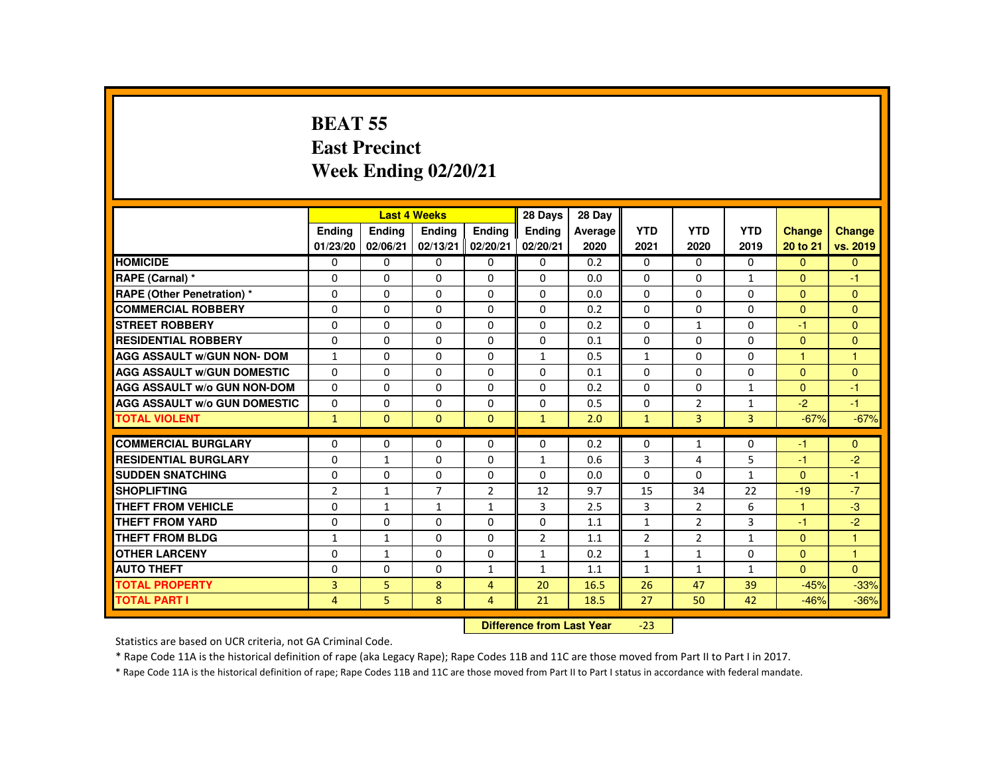#### **BEAT 55 East PrecinctWeek Ending 02/20/21**

|                                     |                           |               | <b>Last 4 Weeks</b> |                | 28 Days            | 28 Day  |                    |                |                    |                |                      |
|-------------------------------------|---------------------------|---------------|---------------------|----------------|--------------------|---------|--------------------|----------------|--------------------|----------------|----------------------|
|                                     | <b>Ending</b>             | <b>Ending</b> | <b>Ending</b>       | <b>Endina</b>  | <b>Endina</b>      | Average | <b>YTD</b>         | <b>YTD</b>     | <b>YTD</b>         | Change         | <b>Change</b>        |
|                                     | 01/23/20                  | 02/06/21      | 02/13/21            | 02/20/21       | 02/20/21           | 2020    | 2021               | 2020           | 2019               | 20 to 21       | vs. 2019             |
| <b>HOMICIDE</b>                     | $\Omega$                  | $\Omega$      | $\Omega$            | $\mathbf{0}$   | 0                  | 0.2     | $\Omega$           | $\Omega$       | $\Omega$           | $\mathbf{0}$   | $\mathbf{0}$         |
| RAPE (Carnal) *                     | 0                         | $\Omega$      | $\Omega$            | $\Omega$       | $\Omega$           | 0.0     | $\Omega$           | 0              | $\mathbf{1}$       | $\mathbf{0}$   | $-1$                 |
| RAPE (Other Penetration) *          | $\Omega$                  | $\Omega$      | $\Omega$            | $\Omega$       | $\Omega$           | 0.0     | $\Omega$           | $\Omega$       | $\Omega$           | $\Omega$       | $\mathbf{0}$         |
| <b>COMMERCIAL ROBBERY</b>           | $\Omega$                  | $\Omega$      | $\Omega$            | $\Omega$       | 0                  | 0.2     | 0                  | 0              | $\Omega$           | $\mathbf{0}$   | $\mathbf{0}$         |
| <b>STREET ROBBERY</b>               | $\Omega$                  | $\Omega$      | $\Omega$            | $\Omega$       | $\Omega$           | 0.2     | $\Omega$           | $\mathbf{1}$   | $\Omega$           | $-1$           | $\mathbf{0}$         |
| <b>RESIDENTIAL ROBBERY</b>          | $\Omega$                  | $\Omega$      | $\Omega$            | $\Omega$       | 0                  | 0.1     | 0                  | 0              | $\Omega$           | $\mathbf{0}$   | $\mathbf{0}$         |
| <b>AGG ASSAULT w/GUN NON- DOM</b>   | $\mathbf{1}$              | $\Omega$      | $\Omega$            | $\Omega$       | $\mathbf{1}$       | 0.5     | $\mathbf{1}$       | $\Omega$       | $\Omega$           | $\mathbf{1}$   | $\blacktriangleleft$ |
| <b>AGG ASSAULT W/GUN DOMESTIC</b>   | $\Omega$                  | $\Omega$      | $\Omega$            | $\Omega$       | $\Omega$           | 0.1     | $\Omega$           | $\Omega$       | $\Omega$           | $\Omega$       | $\Omega$             |
| <b>AGG ASSAULT w/o GUN NON-DOM</b>  | $\Omega$                  | $\Omega$      | $\Omega$            | $\Omega$       | $\Omega$           | 0.2     | $\Omega$           | $\Omega$       | $\mathbf{1}$       | $\Omega$       | $-1$                 |
| <b>AGG ASSAULT W/o GUN DOMESTIC</b> | $\Omega$                  | $\Omega$      | $\Omega$            | $\Omega$       | $\Omega$           | 0.5     | $\Omega$           | $\overline{2}$ | $\mathbf{1}$       | $-2$           | $-1$                 |
| <b>TOTAL VIOLENT</b>                | $\mathbf{1}$              | $\mathbf{0}$  | $\Omega$            | $\Omega$       | $\mathbf{1}$       | 2.0     | $\mathbf{1}$       | 3              | $\overline{3}$     | $-67%$         | $-67%$               |
| <b>COMMERCIAL BURGLARY</b>          | $\Omega$                  | $\Omega$      | $\Omega$            | $\Omega$       | $\Omega$           | 0.2     | $\Omega$           | $\mathbf{1}$   | 0                  | $-1$           | $\Omega$             |
| <b>RESIDENTIAL BURGLARY</b>         | $\Omega$                  | $\mathbf{1}$  | $\Omega$            | $\Omega$       | $\mathbf{1}$       | 0.6     | 3                  | 4              | 5                  | $-1$           | $-2$                 |
| <b>SUDDEN SNATCHING</b>             | $\Omega$                  | $\Omega$      | $\Omega$            | $\Omega$       | $\Omega$           | 0.0     | $\Omega$           | $\Omega$       | $\mathbf{1}$       | $\Omega$       | $-1$                 |
| <b>SHOPLIFTING</b>                  | 2                         | $\mathbf{1}$  | $\overline{7}$      | $\overline{2}$ | 12                 | 9.7     | 15                 | 34             | 22                 | $-19$          | $-7$                 |
| <b>THEFT FROM VEHICLE</b>           | $\Omega$                  | $\mathbf{1}$  | $\mathbf{1}$        | $\mathbf{1}$   | 3                  | 2.5     | 3                  | $\overline{2}$ | 6                  | $\mathbf{1}$   | $-3$                 |
| <b>THEFT FROM YARD</b>              | $\Omega$                  | $\Omega$      | $\Omega$            | $\Omega$       | $\Omega$           | 1.1     | $\mathbf{1}$       | $\overline{2}$ | $\overline{3}$     | $-1$           | $-2$                 |
| THEFT FROM BLDG                     | 1                         | $\mathbf{1}$  | $\Omega$            | $\Omega$       | $\overline{2}$     | 1.1     | $\overline{2}$     | $\overline{2}$ | $\mathbf{1}$       | $\overline{0}$ | 1                    |
| <b>OTHER LARCENY</b>                | $\Omega$                  | $\mathbf{1}$  | $\Omega$            | $\Omega$       | $\mathbf{1}$       | 0.2     | $\mathbf{1}$       | $\mathbf{1}$   | $\Omega$           | $\Omega$       | $\mathbf{1}$         |
| <b>AUTO THEFT</b>                   | $\Omega$                  | $\Omega$      | $\Omega$            | $\mathbf{1}$   |                    |         |                    | $\mathbf{1}$   |                    | $\Omega$       | $\Omega$             |
|                                     | $\overline{3}$            | 5             | 8                   |                | $\mathbf{1}$<br>20 | 1.1     | $\mathbf{1}$<br>26 | 47             | $\mathbf{1}$<br>39 |                |                      |
| <b>TOTAL PROPERTY</b>               |                           |               |                     | $\overline{4}$ |                    | 16.5    |                    |                |                    | $-45%$         | $-33%$               |
| <b>TOTAL PART I</b>                 | $\overline{4}$            | 5.            | 8                   | 4              | 21                 | 18.5    | 27                 | 50             | 42                 | $-46%$         | $-36%$               |
|                                     | Difference from Loot Vear |               |                     |                |                    |         |                    |                |                    |                |                      |

 **Difference from Last Year**-23

Statistics are based on UCR criteria, not GA Criminal Code.

\* Rape Code 11A is the historical definition of rape (aka Legacy Rape); Rape Codes 11B and 11C are those moved from Part II to Part I in 2017.